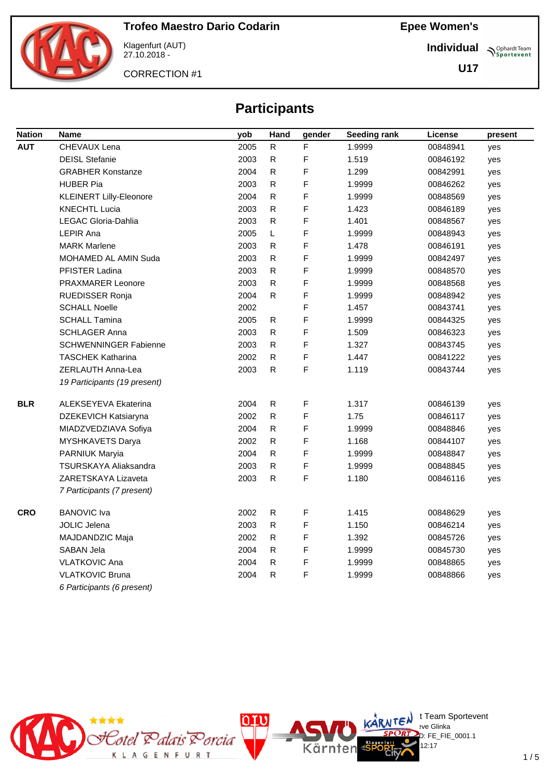

Klagenfurt (AUT) 27.10.2018 -

CORRECTION #1

**Individual Sportevent** 

**U17**

# **Participants**

| <b>Nation</b> | <b>Name</b>                    | yob  | Hand      | gender | Seeding rank | License  | present |
|---------------|--------------------------------|------|-----------|--------|--------------|----------|---------|
| <b>AUT</b>    | CHEVAUX Lena                   | 2005 | ${\sf R}$ | F      | 1.9999       | 00848941 | yes     |
|               | <b>DEISL Stefanie</b>          | 2003 | ${\sf R}$ | F      | 1.519        | 00846192 | yes     |
|               | <b>GRABHER Konstanze</b>       | 2004 | ${\sf R}$ | F      | 1.299        | 00842991 | yes     |
|               | <b>HUBER Pia</b>               | 2003 | ${\sf R}$ | F      | 1.9999       | 00846262 | yes     |
|               | <b>KLEINERT Lilly-Eleonore</b> | 2004 | ${\sf R}$ | F      | 1.9999       | 00848569 | yes     |
|               | <b>KNECHTL Lucia</b>           | 2003 | ${\sf R}$ | F      | 1.423        | 00846189 | yes     |
|               | <b>LEGAC Gloria-Dahlia</b>     | 2003 | R         | F      | 1.401        | 00848567 | yes     |
|               | <b>LEPIR Ana</b>               | 2005 | L         | F      | 1.9999       | 00848943 | yes     |
|               | <b>MARK Marlene</b>            | 2003 | R         | F      | 1.478        | 00846191 | yes     |
|               | MOHAMED AL AMIN Suda           | 2003 | ${\sf R}$ | F      | 1.9999       | 00842497 | yes     |
|               | PFISTER Ladina                 | 2003 | ${\sf R}$ | F      | 1.9999       | 00848570 | yes     |
|               | <b>PRAXMARER Leonore</b>       | 2003 | ${\sf R}$ | F      | 1.9999       | 00848568 | yes     |
|               | RUEDISSER Ronja                | 2004 | ${\sf R}$ | F      | 1.9999       | 00848942 | yes     |
|               | <b>SCHALL Noelle</b>           | 2002 |           | F      | 1.457        | 00843741 | yes     |
|               | <b>SCHALL Tamina</b>           | 2005 | ${\sf R}$ | F      | 1.9999       | 00844325 | yes     |
|               | <b>SCHLAGER Anna</b>           | 2003 | ${\sf R}$ | F      | 1.509        | 00846323 | yes     |
|               | <b>SCHWENNINGER Fabienne</b>   | 2003 | ${\sf R}$ | F      | 1.327        | 00843745 | yes     |
|               | <b>TASCHEK Katharina</b>       | 2002 | ${\sf R}$ | F      | 1.447        | 00841222 | yes     |
|               | ZERLAUTH Anna-Lea              | 2003 | ${\sf R}$ | F      | 1.119        | 00843744 | yes     |
|               | 19 Participants (19 present)   |      |           |        |              |          |         |
| <b>BLR</b>    | ALEKSEYEVA Ekaterina           | 2004 | ${\sf R}$ | F      | 1.317        | 00846139 | yes     |
|               | DZEKEVICH Katsiaryna           | 2002 | ${\sf R}$ | F      | 1.75         | 00846117 | yes     |
|               | MIADZVEDZIAVA Sofiya           | 2004 | ${\sf R}$ | F      | 1.9999       | 00848846 | yes     |
|               | MYSHKAVETS Darya               | 2002 | ${\sf R}$ | F      | 1.168        | 00844107 | yes     |
|               | PARNIUK Maryia                 | 2004 | ${\sf R}$ | F      | 1.9999       | 00848847 | yes     |
|               | TSURSKAYA Aliaksandra          | 2003 | ${\sf R}$ | F      | 1.9999       | 00848845 | yes     |
|               | ZARETSKAYA Lizaveta            | 2003 | ${\sf R}$ | F      | 1.180        | 00846116 | yes     |
|               | 7 Participants (7 present)     |      |           |        |              |          |         |
| <b>CRO</b>    | <b>BANOVIC</b> Iva             | 2002 | ${\sf R}$ | F      | 1.415        | 00848629 | yes     |
|               | <b>JOLIC Jelena</b>            | 2003 | ${\sf R}$ | F      | 1.150        | 00846214 | yes     |
|               | MAJDANDZIC Maja                | 2002 | ${\sf R}$ | F      | 1.392        | 00845726 | yes     |
|               | <b>SABAN Jela</b>              | 2004 | R         | F      | 1.9999       | 00845730 | yes     |
|               | <b>VLATKOVIC Ana</b>           | 2004 | ${\sf R}$ | F      | 1.9999       | 00848865 | yes     |
|               | <b>VLATKOVIC Bruna</b>         | 2004 | ${\sf R}$ | F      | 1.9999       | 00848866 | yes     |
|               | 6 Participants (6 present)     |      |           |        |              |          |         |



 $\bigcup_{v \in \mathcal{F}} \mathbb{I}$  Team Sportevent

 $12:17$ 

.<br>D: FE\_FIE\_0001.1

**N'Y'License:** Bye Glinka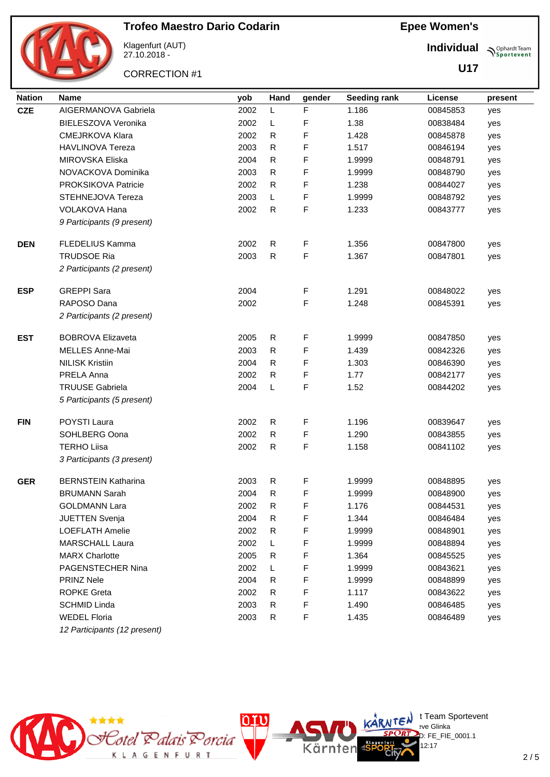

Klagenfurt (AUT) 27.10.2018 -

CORRECTION #1

**Epee Women's**

**Individual Supplemant** Team

**U17**

| <b>Nation</b> | <b>Name</b>                  | yob  | Hand         | gender | Seeding rank | License  | present |
|---------------|------------------------------|------|--------------|--------|--------------|----------|---------|
| <b>CZE</b>    | AIGERMANOVA Gabriela         | 2002 | L            | F      | 1.186        | 00845853 | yes     |
|               | BIELESZOVA Veronika          | 2002 | L            | F      | 1.38         | 00838484 | yes     |
|               | <b>CMEJRKOVA Klara</b>       | 2002 | R            | F      | 1.428        | 00845878 | yes     |
|               | <b>HAVLINOVA Tereza</b>      | 2003 | R            | F      | 1.517        | 00846194 | yes     |
|               | MIROVSKA Eliska              | 2004 | R            | F      | 1.9999       | 00848791 | yes     |
|               | NOVACKOVA Dominika           | 2003 | R            | F      | 1.9999       | 00848790 | yes     |
|               | PROKSIKOVA Patricie          | 2002 | R            | F      | 1.238        | 00844027 | yes     |
|               | STEHNEJOVA Tereza            | 2003 | L            | F      | 1.9999       | 00848792 | yes     |
|               | VOLAKOVA Hana                | 2002 | R            | F      | 1.233        | 00843777 | yes     |
|               | 9 Participants (9 present)   |      |              |        |              |          |         |
| <b>DEN</b>    | <b>FLEDELIUS Kamma</b>       | 2002 | R            | F      | 1.356        | 00847800 | yes     |
|               | <b>TRUDSOE Ria</b>           | 2003 | R            | F      | 1.367        | 00847801 | yes     |
|               | 2 Participants (2 present)   |      |              |        |              |          |         |
| <b>ESP</b>    | <b>GREPPI</b> Sara           | 2004 |              | F      | 1.291        | 00848022 | yes     |
|               | RAPOSO Dana                  | 2002 |              | F      | 1.248        | 00845391 | yes     |
|               | 2 Participants (2 present)   |      |              |        |              |          |         |
| <b>EST</b>    | <b>BOBROVA Elizaveta</b>     | 2005 | R            | F      | 1.9999       | 00847850 | yes     |
|               | MELLES Anne-Mai              | 2003 | R            | F      | 1.439        | 00842326 | yes     |
|               | <b>NILISK Kristiin</b>       | 2004 | R            | F      | 1.303        | 00846390 | yes     |
|               | PRELA Anna                   | 2002 | R            | F      | 1.77         | 00842177 | yes     |
|               | <b>TRUUSE Gabriela</b>       | 2004 | L            | F      | 1.52         | 00844202 | yes     |
|               | 5 Participants (5 present)   |      |              |        |              |          |         |
| <b>FIN</b>    | POYSTI Laura                 | 2002 | R            | F      | 1.196        | 00839647 | yes     |
|               | SOHLBERG Oona                | 2002 | R            | F      | 1.290        | 00843855 | yes     |
|               | <b>TERHO Liisa</b>           | 2002 | R            | F      | 1.158        | 00841102 | yes     |
|               | 3 Participants (3 present)   |      |              |        |              |          |         |
| <b>GER</b>    | <b>BERNSTEIN Katharina</b>   | 2003 | R            | F      | 1.9999       | 00848895 | yes     |
|               | <b>BRUMANN Sarah</b>         | 2004 | R            | F      | 1.9999       | 00848900 | yes     |
|               | <b>GOLDMANN Lara</b>         | 2002 | R            | F      | 1.176        | 00844531 | yes     |
|               | <b>JUETTEN Svenja</b>        | 2004 | R            | F      | 1.344        | 00846484 | yes     |
|               | <b>LOEFLATH Amelie</b>       | 2002 | $\mathsf{R}$ | F      | 1.9999       | 00848901 | yes     |
|               | <b>MARSCHALL Laura</b>       | 2002 | L            | F      | 1.9999       | 00848894 | yes     |
|               | <b>MARX Charlotte</b>        | 2005 | R            | F      | 1.364        | 00845525 | yes     |
|               | PAGENSTECHER Nina            | 2002 | L            | F      | 1.9999       | 00843621 | yes     |
|               | <b>PRINZ Nele</b>            | 2004 | R            | F      | 1.9999       | 00848899 | yes     |
|               | <b>ROPKE Greta</b>           | 2002 | R            | F      | 1.117        | 00843622 | yes     |
|               | <b>SCHMID Linda</b>          | 2003 | R            | F      | 1.490        | 00846485 | yes     |
|               | <b>WEDEL Floria</b>          | 2003 | R            | F      | 1.435        | 00846489 | yes     |
|               | 12 Participants (12 present) |      |              |        |              |          |         |



 $\bigcup_{v \in \mathcal{F}} \mathbb{I}$  Team Sportevent

 $12:17$ 

.<br>D: FE\_FIE\_0001.1

**N'Y'License:** Bye Glinka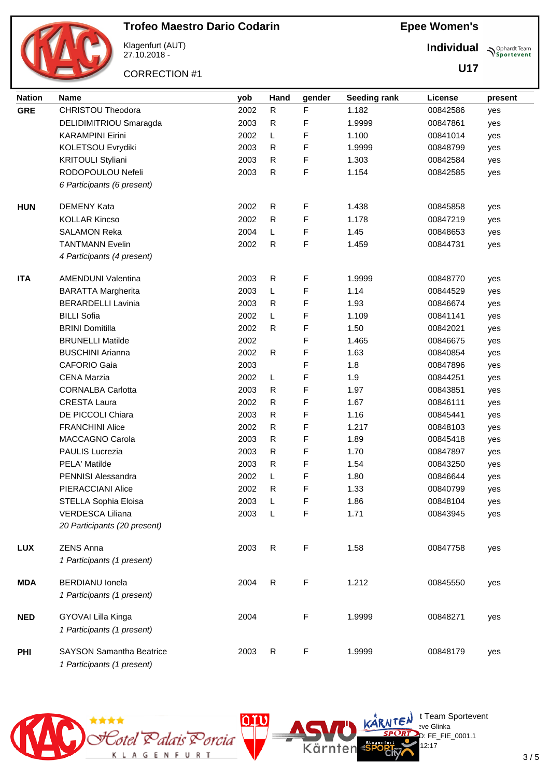

Klagenfurt (AUT) 27.10.2018 -

CORRECTION #1

**Epee Women's**

**Individual Supplemant** Team

**U17**

| <b>Nation</b> | <b>Name</b>                                                   | yob  | Hand         | gender      | Seeding rank | License  | present |
|---------------|---------------------------------------------------------------|------|--------------|-------------|--------------|----------|---------|
| <b>GRE</b>    | CHRISTOU Theodora                                             | 2002 | $\mathsf{R}$ | F           | 1.182        | 00842586 | yes     |
|               | <b>DELIDIMITRIOU Smaragda</b>                                 | 2003 | R            | F           | 1.9999       | 00847861 | yes     |
|               | <b>KARAMPINI Eirini</b>                                       | 2002 | L            | F           | 1.100        | 00841014 | yes     |
|               | KOLETSOU Evrydiki                                             | 2003 | R            | F           | 1.9999       | 00848799 | yes     |
|               | <b>KRITOULI Styliani</b>                                      | 2003 | R.           | F           | 1.303        | 00842584 | yes     |
|               | RODOPOULOU Nefeli                                             | 2003 | R            | F           | 1.154        | 00842585 | yes     |
|               | 6 Participants (6 present)                                    |      |              |             |              |          |         |
| <b>HUN</b>    | <b>DEMENY Kata</b>                                            | 2002 | R            | F           | 1.438        | 00845858 | yes     |
|               | <b>KOLLAR Kincso</b>                                          | 2002 | R            | F           | 1.178        | 00847219 | yes     |
|               | <b>SALAMON Reka</b>                                           | 2004 | L            | F           | 1.45         | 00848653 | yes     |
|               | <b>TANTMANN Evelin</b>                                        | 2002 | ${\sf R}$    | F           | 1.459        | 00844731 | yes     |
|               | 4 Participants (4 present)                                    |      |              |             |              |          |         |
| <b>ITA</b>    | <b>AMENDUNI Valentina</b>                                     | 2003 | R            | F           | 1.9999       | 00848770 | yes     |
|               | <b>BARATTA Margherita</b>                                     | 2003 | L            | F           | 1.14         | 00844529 | yes     |
|               | <b>BERARDELLI Lavinia</b>                                     | 2003 | R            | F           | 1.93         | 00846674 | yes     |
|               | <b>BILLI Sofia</b>                                            | 2002 | L            | F           | 1.109        | 00841141 | yes     |
|               | <b>BRINI Domitilla</b>                                        | 2002 | R            | F           | 1.50         | 00842021 | yes     |
|               | <b>BRUNELLI Matilde</b>                                       | 2002 |              | F           | 1.465        | 00846675 | yes     |
|               | <b>BUSCHINI Arianna</b>                                       | 2002 | R            | F           | 1.63         | 00840854 | yes     |
|               | <b>CAFORIO Gaia</b>                                           | 2003 |              | F           | 1.8          | 00847896 | yes     |
|               | <b>CENA Marzia</b>                                            | 2002 | L            | F           | 1.9          | 00844251 | yes     |
|               | <b>CORNALBA Carlotta</b>                                      | 2003 | R.           | F           | 1.97         | 00843851 | yes     |
|               | <b>CRESTA Laura</b>                                           | 2002 | R            | F           | 1.67         | 00846111 | yes     |
|               | DE PICCOLI Chiara                                             | 2003 | R            | F           | 1.16         | 00845441 | yes     |
|               | <b>FRANCHINI Alice</b>                                        | 2002 | R            | F           | 1.217        | 00848103 | yes     |
|               | MACCAGNO Carola                                               | 2003 | $\mathsf{R}$ | F           | 1.89         | 00845418 | yes     |
|               | PAULIS Lucrezia                                               | 2003 | R            | F           | 1.70         | 00847897 | yes     |
|               | PELA' Matilde                                                 | 2003 | R            | F           | 1.54         | 00843250 | yes     |
|               | PENNISI Alessandra                                            | 2002 | L            | F           | 1.80         | 00846644 | yes     |
|               | PIERACCIANI Alice                                             | 2002 | R            | F           | 1.33         | 00840799 | yes     |
|               | STELLA Sophia Eloisa                                          | 2003 | L            | F           | 1.86         | 00848104 | yes     |
|               | VERDESCA Liliana                                              | 2003 | L            | F           | 1.71         | 00843945 | yes     |
|               | 20 Participants (20 present)                                  |      |              |             |              |          |         |
| <b>LUX</b>    | <b>ZENS Anna</b>                                              | 2003 | $\mathsf{R}$ | F           | 1.58         | 00847758 | yes     |
|               | 1 Participants (1 present)                                    |      |              |             |              |          |         |
| <b>MDA</b>    | <b>BERDIANU</b> Ionela                                        | 2004 | $\mathsf{R}$ | $\mathsf F$ | 1.212        | 00845550 | yes     |
|               | 1 Participants (1 present)                                    |      |              |             |              |          |         |
| <b>NED</b>    | GYOVAI Lilla Kinga                                            | 2004 |              | F           | 1.9999       | 00848271 | yes     |
|               | 1 Participants (1 present)                                    |      |              |             |              |          |         |
| PHI           | <b>SAYSON Samantha Beatrice</b><br>1 Participants (1 present) | 2003 | $\mathsf{R}$ | F           | 1.9999       | 00848179 | yes     |



 $\bigcup_{v \in \mathcal{F}} \mathbb{I}$  Team Sportevent

 $12:17$ 

D: FE\_FIE\_0001.1

**N'Y'License:** Bye Glinka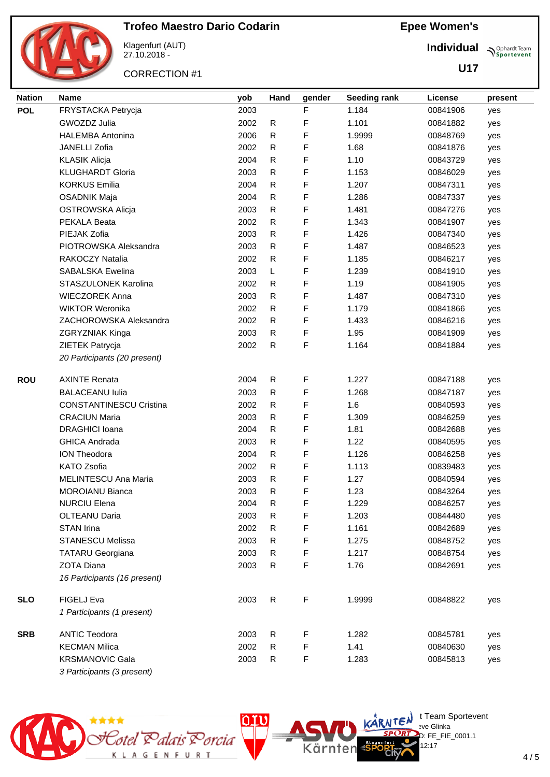

Klagenfurt (AUT) 27.10.2018 -

CORRECTION #1

**Epee Women's**

**Individual Supplemant** Team

**U17**

| <b>Nation</b> | <b>Name</b>                    | yob  | Hand         | gender      | <b>Seeding rank</b> | License  | present |
|---------------|--------------------------------|------|--------------|-------------|---------------------|----------|---------|
| <b>POL</b>    | FRYSTACKA Petrycja             | 2003 |              | F           | 1.184               | 00841906 | yes     |
|               | GWOZDZ Julia                   | 2002 | $\mathsf{R}$ | F           | 1.101               | 00841882 | yes     |
|               | <b>HALEMBA Antonina</b>        | 2006 | R            | F           | 1.9999              | 00848769 | yes     |
|               | JANELLI Zofia                  | 2002 | R            | F           | 1.68                | 00841876 | yes     |
|               | <b>KLASIK Alicja</b>           | 2004 | R            | F           | 1.10                | 00843729 | yes     |
|               | <b>KLUGHARDT Gloria</b>        | 2003 | R            | F           | 1.153               | 00846029 | yes     |
|               | <b>KORKUS Emilia</b>           | 2004 | $\mathsf{R}$ | $\mathsf F$ | 1.207               | 00847311 | yes     |
|               | <b>OSADNIK Maja</b>            | 2004 | R            | F           | 1.286               | 00847337 | yes     |
|               | OSTROWSKA Alicja               | 2003 | $\mathsf{R}$ | F           | 1.481               | 00847276 | yes     |
|               | PEKALA Beata                   | 2002 | R            | F           | 1.343               | 00841907 | yes     |
|               | PIEJAK Zofia                   | 2003 | $\mathsf{R}$ | F           | 1.426               | 00847340 | yes     |
|               | PIOTROWSKA Aleksandra          | 2003 | R            | F           | 1.487               | 00846523 | yes     |
|               | RAKOCZY Natalia                | 2002 | R            | F           | 1.185               | 00846217 | yes     |
|               | <b>SABALSKA Ewelina</b>        | 2003 | L            | F           | 1.239               | 00841910 | yes     |
|               | STASZULONEK Karolina           | 2002 | R            | F           | 1.19                | 00841905 | yes     |
|               | <b>WIECZOREK Anna</b>          | 2003 | R            | $\mathsf F$ | 1.487               | 00847310 | yes     |
|               | <b>WIKTOR Weronika</b>         | 2002 | R            | F           | 1.179               | 00841866 | yes     |
|               | ZACHOROWSKA Aleksandra         | 2002 | R            | F           | 1.433               | 00846216 | yes     |
|               | ZGRYZNIAK Kinga                | 2003 | R            | F           | 1.95                | 00841909 | yes     |
|               | ZIETEK Patrycja                | 2002 | $\mathsf{R}$ | $\mathsf F$ | 1.164               | 00841884 | yes     |
|               | 20 Participants (20 present)   |      |              |             |                     |          |         |
| <b>ROU</b>    | <b>AXINTE Renata</b>           | 2004 | R            | F           | 1.227               | 00847188 | yes     |
|               | <b>BALACEANU Iulia</b>         | 2003 | R            | F           | 1.268               | 00847187 | yes     |
|               | <b>CONSTANTINESCU Cristina</b> | 2002 | R            | F           | 1.6                 | 00840593 | yes     |
|               | <b>CRACIUN Maria</b>           | 2003 | $\mathsf{R}$ | F           | 1.309               | 00846259 | yes     |
|               | <b>DRAGHICI Ioana</b>          | 2004 | R            | F           | 1.81                | 00842688 | yes     |
|               | <b>GHICA Andrada</b>           | 2003 | R            | F           | 1.22                | 00840595 | yes     |
|               | <b>ION Theodora</b>            | 2004 | R            | F           | 1.126               | 00846258 | yes     |
|               | KATO Zsofia                    | 2002 | R            | $\mathsf F$ | 1.113               | 00839483 | yes     |
|               | <b>MELINTESCU Ana Maria</b>    | 2003 | R            | F           | 1.27                | 00840594 | yes     |
|               | <b>MOROIANU Bianca</b>         | 2003 | R            | F           | 1.23                | 00843264 | yes     |
|               | <b>NURCIU Elena</b>            | 2004 | $\mathsf{R}$ | F           | 1.229               | 00846257 | yes     |
|               | <b>OLTEANU Daria</b>           | 2003 | $\mathsf{R}$ | F           | 1.203               | 00844480 | yes     |
|               | <b>STAN Irina</b>              | 2002 | $\mathsf{R}$ | F           | 1.161               | 00842689 | yes     |
|               | <b>STANESCU Melissa</b>        | 2003 | R            | F           | 1.275               | 00848752 | yes     |
|               | <b>TATARU Georgiana</b>        | 2003 | $\mathsf{R}$ | $\mathsf F$ | 1.217               | 00848754 | yes     |
|               | ZOTA Diana                     | 2003 | $\mathsf{R}$ | F           | 1.76                | 00842691 | yes     |
|               | 16 Participants (16 present)   |      |              |             |                     |          |         |
| <b>SLO</b>    | FIGELJ Eva                     | 2003 | $\mathsf R$  | $\mathsf F$ | 1.9999              | 00848822 | yes     |
|               | 1 Participants (1 present)     |      |              |             |                     |          |         |
| <b>SRB</b>    | <b>ANTIC Teodora</b>           | 2003 | R            | F.          | 1.282               | 00845781 | yes     |
|               | <b>KECMAN Milica</b>           | 2002 | $\mathsf{R}$ | $\mathsf F$ | 1.41                | 00840630 | yes     |
|               | <b>KRSMANOVIC Gala</b>         | 2003 | $\mathsf{R}$ | $\mathsf F$ | 1.283               | 00845813 | yes     |
|               | 3 Participants (3 present)     |      |              |             |                     |          |         |



 $\bigcup_{v \in \mathcal{F}} \mathbb{I}$  Team Sportevent

 $12:17$ 

D: FE\_FIE\_0001.1

**N'Y'License:** Bye Glinka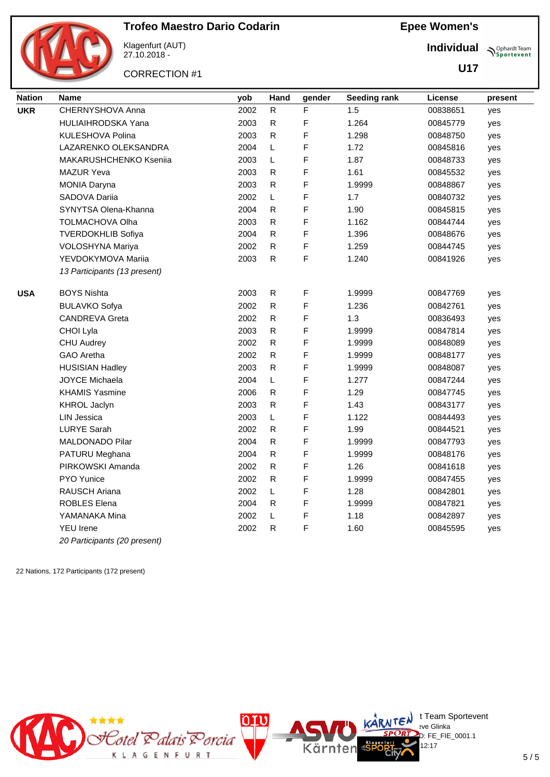

Klagenfurt (AUT) 27.10.2018 -

CORRECTION #1

**Epee Women's**

**Individual Supplemant** Team

**U17**

| <b>Nation</b> | <b>Name</b>                  | yob  | Hand         | gender | Seeding rank | License  | present |
|---------------|------------------------------|------|--------------|--------|--------------|----------|---------|
| <b>UKR</b>    | CHERNYSHOVA Anna             | 2002 | ${\sf R}$    | F      | 1.5          | 00838651 | yes     |
|               | HULIAIHRODSKA Yana           | 2003 | $\mathsf{R}$ | F      | 1.264        | 00845779 | yes     |
|               | KULESHOVA Polina             | 2003 | $\mathsf{R}$ | F      | 1.298        | 00848750 | yes     |
|               | LAZARENKO OLEKSANDRA         | 2004 | L            | F      | 1.72         | 00845816 | yes     |
|               | MAKARUSHCHENKO Kseniia       | 2003 | L            | F      | 1.87         | 00848733 | yes     |
|               | <b>MAZUR Yeva</b>            | 2003 | $\mathsf{R}$ | F      | 1.61         | 00845532 | yes     |
|               | <b>MONIA Daryna</b>          | 2003 | $\mathsf{R}$ | F      | 1.9999       | 00848867 | yes     |
|               | SADOVA Dariia                | 2002 | L            | F      | 1.7          | 00840732 | yes     |
|               | SYNYTSA Olena-Khanna         | 2004 | $\mathsf R$  | F      | 1.90         | 00845815 | yes     |
|               | TOLMACHOVA Olha              | 2003 | $\mathsf{R}$ | F      | 1.162        | 00844744 | yes     |
|               | <b>TVERDOKHLIB Sofiya</b>    | 2004 | $\mathsf{R}$ | F      | 1.396        | 00848676 | yes     |
|               | VOLOSHYNA Mariya             | 2002 | $\mathsf{R}$ | F      | 1.259        | 00844745 | yes     |
|               | YEVDOKYMOVA Mariia           | 2003 | $\mathsf{R}$ | F      | 1.240        | 00841926 | yes     |
|               | 13 Participants (13 present) |      |              |        |              |          |         |
| <b>USA</b>    | <b>BOYS Nishta</b>           | 2003 | $\mathsf{R}$ | F      | 1.9999       | 00847769 | yes     |
|               | <b>BULAVKO Sofya</b>         | 2002 | $\mathsf{R}$ | F      | 1.236        | 00842761 | yes     |
|               | <b>CANDREVA Greta</b>        | 2002 | $\mathsf R$  | F      | 1.3          | 00836493 | yes     |
|               | CHOI Lyla                    | 2003 | $\mathsf R$  | F      | 1.9999       | 00847814 | yes     |
|               | CHU Audrey                   | 2002 | $\mathsf R$  | F      | 1.9999       | 00848089 | yes     |
|               | GAO Aretha                   | 2002 | $\mathsf{R}$ | F      | 1.9999       | 00848177 | yes     |
|               | <b>HUSISIAN Hadley</b>       | 2003 | $\mathsf{R}$ | F      | 1.9999       | 00848087 | yes     |
|               | <b>JOYCE Michaela</b>        | 2004 | L            | F      | 1.277        | 00847244 | yes     |
|               | <b>KHAMIS Yasmine</b>        | 2006 | R.           | F      | 1.29         | 00847745 | yes     |
|               | KHROL Jaclyn                 | 2003 | R            | F      | 1.43         | 00843177 | yes     |
|               | <b>LIN Jessica</b>           | 2003 | L            | F      | 1.122        | 00844493 | yes     |
|               | <b>LURYE Sarah</b>           | 2002 | $\mathsf{R}$ | F      | 1.99         | 00844521 | yes     |
|               | MALDONADO Pilar              | 2004 | $\mathsf{R}$ | F      | 1.9999       | 00847793 | yes     |
|               | PATURU Meghana               | 2004 | $\mathsf{R}$ | F      | 1.9999       | 00848176 | yes     |
|               | PIRKOWSKI Amanda             | 2002 | $\mathsf{R}$ | F      | 1.26         | 00841618 | yes     |
|               | <b>PYO Yunice</b>            | 2002 | $\mathsf{R}$ | F      | 1.9999       | 00847455 | yes     |
|               | RAUSCH Ariana                | 2002 | L            | F      | 1.28         | 00842801 | yes     |
|               | <b>ROBLES Elena</b>          | 2004 | R            | F      | 1.9999       | 00847821 | yes     |
|               | YAMANAKA Mina                | 2002 | L            | F      | 1.18         | 00842897 | yes     |
|               | <b>YEU Irene</b>             | 2002 | $\mathsf{R}$ | F      | 1.60         | 00845595 | yes     |
|               | 20 Participants (20 present) |      |              |        |              |          |         |
|               |                              |      |              |        |              |          |         |

22 Nations, 172 Participants (172 present)

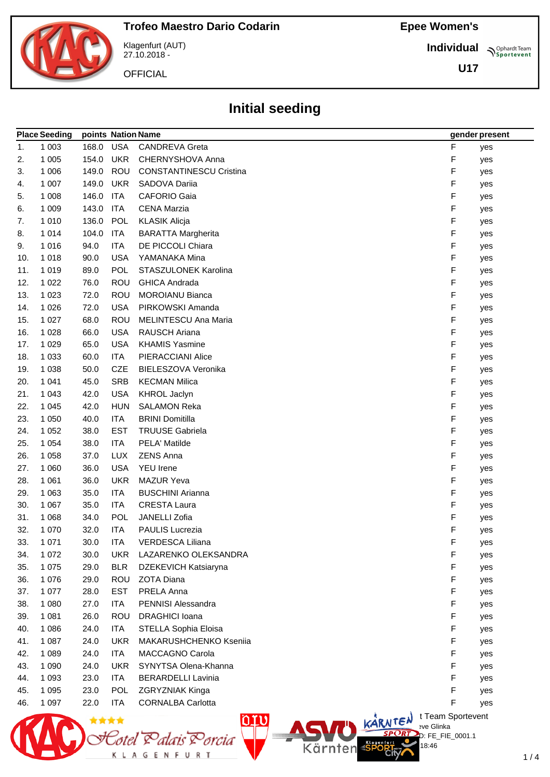**Individual Sportevent** 

**U17**



Klagenfurt (AUT) 27.10.2018 -

**OFFICIAL** 

# **Initial seeding**

|     | <b>Place Seeding</b> |       | points Nation Name |                                |                   | gender present |
|-----|----------------------|-------|--------------------|--------------------------------|-------------------|----------------|
| 1.  | 1 0 0 3              | 168.0 | <b>USA</b>         | <b>CANDREVA Greta</b>          | F                 | yes            |
| 2.  | 1 0 0 5              | 154.0 | <b>UKR</b>         | CHERNYSHOVA Anna               | F                 | yes            |
| 3.  | 1 0 0 6              | 149.0 | ROU                | <b>CONSTANTINESCU Cristina</b> | F                 | yes            |
| 4.  | 1 0 0 7              | 149.0 | <b>UKR</b>         | SADOVA Dariia                  | F                 | yes            |
| 5.  | 1 0 0 8              | 146.0 | <b>ITA</b>         | <b>CAFORIO Gaia</b>            | F                 | yes            |
| 6.  | 1 0 0 9              | 143.0 | <b>ITA</b>         | <b>CENA Marzia</b>             | F                 | yes            |
| 7.  | 1 0 1 0              | 136.0 | POL                | <b>KLASIK Alicja</b>           | F                 | yes            |
| 8.  | 1 0 1 4              | 104.0 | <b>ITA</b>         | <b>BARATTA Margherita</b>      | F                 | yes            |
| 9.  | 1 0 1 6              | 94.0  | <b>ITA</b>         | DE PICCOLI Chiara              | F                 | yes            |
| 10. | 1018                 | 90.0  | <b>USA</b>         | YAMANAKA Mina                  | F                 | yes            |
| 11. | 1 0 1 9              | 89.0  | POL                | STASZULONEK Karolina           | F                 | yes            |
| 12. | 1 0 2 2              | 76.0  | <b>ROU</b>         | <b>GHICA Andrada</b>           | F                 | yes            |
| 13. | 1 0 2 3              | 72.0  | <b>ROU</b>         | <b>MOROIANU Bianca</b>         | F                 | yes            |
| 14. | 1 0 2 6              | 72.0  | <b>USA</b>         | PIRKOWSKI Amanda               | F                 | yes            |
| 15. | 1 0 2 7              | 68.0  | <b>ROU</b>         | MELINTESCU Ana Maria           | F                 | yes            |
| 16. | 1 0 28               | 66.0  | <b>USA</b>         | <b>RAUSCH Ariana</b>           | F                 | yes            |
| 17. | 1 0 2 9              | 65.0  | <b>USA</b>         | <b>KHAMIS Yasmine</b>          | F                 | yes            |
| 18. | 1 0 3 3              | 60.0  | <b>ITA</b>         | PIERACCIANI Alice              | F                 | yes            |
| 19. | 1 0 3 8              | 50.0  | CZE                | BIELESZOVA Veronika            | F                 | yes            |
| 20. | 1 0 4 1              | 45.0  | <b>SRB</b>         | <b>KECMAN Milica</b>           | F                 | yes            |
| 21. | 1 0 4 3              | 42.0  | <b>USA</b>         | <b>KHROL Jaclyn</b>            | F                 | yes            |
| 22. | 1 0 4 5              | 42.0  | <b>HUN</b>         | <b>SALAMON Reka</b>            | F                 | yes            |
| 23. | 1 0 5 0              | 40.0  | <b>ITA</b>         | <b>BRINI Domitilla</b>         | F                 | yes            |
| 24. | 1 0 5 2              | 38.0  | <b>EST</b>         | <b>TRUUSE Gabriela</b>         | F                 | yes            |
| 25. | 1 0 5 4              | 38.0  | <b>ITA</b>         | PELA' Matilde                  | F                 | yes            |
| 26. | 1 0 5 8              | 37.0  | <b>LUX</b>         | <b>ZENS Anna</b>               | F                 | yes            |
| 27. | 1 0 6 0              | 36.0  | <b>USA</b>         | <b>YEU Irene</b>               | F                 | yes            |
| 28. | 1 0 6 1              | 36.0  | <b>UKR</b>         | <b>MAZUR Yeva</b>              | F                 | yes            |
| 29. | 1 0 6 3              | 35.0  | <b>ITA</b>         | <b>BUSCHINI Arianna</b>        | F                 | yes            |
| 30. | 1 0 6 7              | 35.0  | ITA                | <b>CRESTA Laura</b>            | F                 | yes            |
| 31. | 1 0 6 8              | 34.0  | POL                | JANELLI Zofia                  | F                 | yes            |
| 32. | 1 0 7 0              | 32.0  | <b>ITA</b>         | PAULIS Lucrezia                | F                 | yes            |
| 33. | 1 0 7 1              | 30.0  | <b>ITA</b>         | VERDESCA Liliana               | F                 | yes            |
| 34. | 1 0 7 2              | 30.0  | <b>UKR</b>         | LAZARENKO OLEKSANDRA           | F                 | yes            |
| 35. | 1 0 7 5              | 29.0  | <b>BLR</b>         | DZEKEVICH Katsiaryna           | F                 | yes            |
| 36. | 1 0 7 6              | 29.0  | <b>ROU</b>         | <b>ZOTA Diana</b>              | F                 | yes            |
| 37. | 1 0 7 7              | 28.0  | <b>EST</b>         | PRELA Anna                     | F                 | yes            |
| 38. | 1 0 8 0              | 27.0  | <b>ITA</b>         | PENNISI Alessandra             | F                 | yes            |
| 39. | 1 0 8 1              | 26.0  | ROU                | <b>DRAGHICI</b> Ioana          | F                 | yes            |
| 40. | 1 0 8 6              | 24.0  | ITA                | STELLA Sophia Eloisa           | F                 | yes            |
| 41. | 1 0 8 7              | 24.0  | <b>UKR</b>         | MAKARUSHCHENKO Kseniia         | F                 | yes            |
| 42. | 1 0 8 9              | 24.0  | <b>ITA</b>         | <b>MACCAGNO Carola</b>         | F                 | yes            |
| 43. | 1 0 9 0              | 24.0  | <b>UKR</b>         | SYNYTSA Olena-Khanna           | F                 | yes            |
| 44. | 1 0 9 3              | 23.0  | ITA                | <b>BERARDELLI Lavinia</b>      | F                 | yes            |
| 45. | 1 0 9 5              | 23.0  | <b>POL</b>         | ZGRYZNIAK Kinga                | F                 | yes            |
| 46. | 1 0 9 7              | 22.0  | <b>ITA</b>         | <b>CORNALBA Carlotta</b>       | F                 | yes            |
|     |                      |       |                    | <b>ntis</b>                    | t Team Sportevent |                |

DIV

Kärnten

<u>Potel BalaisBorcia</u>

K L A G E N F U R T

**N'Y'License:** Bye Glinka .<br>D: FE\_FIE\_0001.1

18:46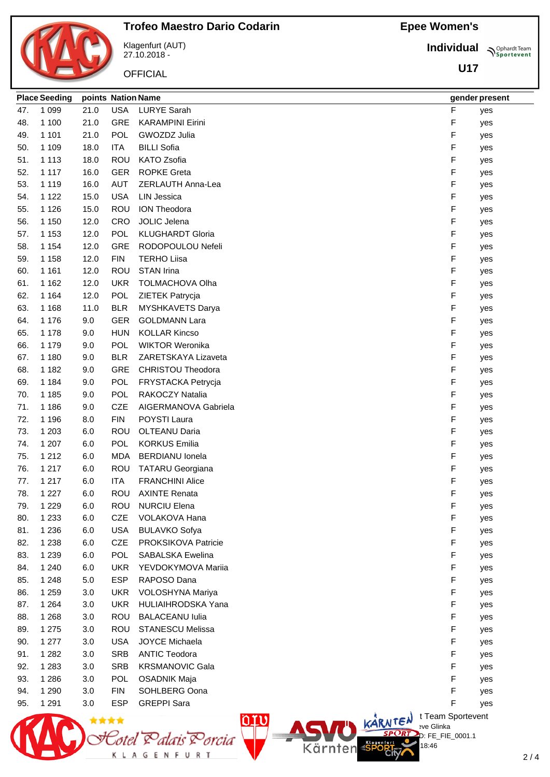**Epee Women's**



Klagenfurt (AUT) 27.10.2018 -

**OFFICIAL** 

**Individual Supplemant** Team

**U17**

|     | <b>Place Seeding</b> |      | points Nation Name |                                                   |   | gender present |
|-----|----------------------|------|--------------------|---------------------------------------------------|---|----------------|
| 47. | 1 0 9 9              | 21.0 | <b>USA</b>         | <b>LURYE Sarah</b>                                | F | yes            |
| 48. | 1 100                | 21.0 | GRE                | <b>KARAMPINI Eirini</b>                           | F | yes            |
| 49. | 1 1 0 1              | 21.0 | POL                | GWOZDZ Julia                                      | F | yes            |
| 50. | 1 1 0 9              | 18.0 | <b>ITA</b>         | <b>BILLI Sofia</b>                                | F | yes            |
| 51. | 1 1 1 3              | 18.0 | <b>ROU</b>         | KATO Zsofia                                       | F | yes            |
| 52. | 1 1 1 7              | 16.0 | <b>GER</b>         | <b>ROPKE Greta</b>                                | F | yes            |
| 53. | 1 1 1 9              | 16.0 | <b>AUT</b>         | ZERLAUTH Anna-Lea                                 | F | yes            |
| 54. | 1 1 2 2              | 15.0 | <b>USA</b>         | <b>LIN Jessica</b>                                | F | yes            |
| 55. | 1 1 2 6              | 15.0 | <b>ROU</b>         | ION Theodora                                      | F | yes            |
| 56. | 1 1 5 0              | 12.0 | <b>CRO</b>         | JOLIC Jelena                                      | F | yes            |
| 57. | 1 1 5 3              | 12.0 | <b>POL</b>         | <b>KLUGHARDT Gloria</b>                           | F | yes            |
| 58. | 1 1 5 4              | 12.0 | <b>GRE</b>         | RODOPOULOU Nefeli                                 | F | yes            |
| 59. | 1 1 5 8              | 12.0 | <b>FIN</b>         | <b>TERHO Liisa</b>                                | F | yes            |
| 60. | 1 1 6 1              | 12.0 | <b>ROU</b>         | <b>STAN Irina</b>                                 | F | yes            |
| 61. | 1 1 6 2              | 12.0 | <b>UKR</b>         | TOLMACHOVA Olha                                   | F | yes            |
| 62. | 1 1 6 4              | 12.0 | POL                | ZIETEK Patrycja                                   | F | yes            |
| 63. | 1 1 6 8              | 11.0 | <b>BLR</b>         | MYSHKAVETS Darya                                  | F | yes            |
| 64. | 1 1 7 6              | 9.0  | <b>GER</b>         | <b>GOLDMANN Lara</b>                              | F | yes            |
| 65. | 1 1 7 8              | 9.0  | <b>HUN</b>         | <b>KOLLAR Kincso</b>                              | F | yes            |
| 66. | 1 1 7 9              | 9.0  | POL                | <b>WIKTOR Weronika</b>                            | F | yes            |
| 67. | 1 1 8 0              | 9.0  | <b>BLR</b>         | ZARETSKAYA Lizaveta                               | F | yes            |
| 68. | 1 1 8 2              | 9.0  | <b>GRE</b>         | CHRISTOU Theodora                                 | F | yes            |
| 69. | 1 1 8 4              | 9.0  | POL                | FRYSTACKA Petrycja                                | F | yes            |
| 70. | 1 1 8 5              | 9.0  | POL                | RAKOCZY Natalia                                   | F | yes            |
| 71. | 1 1 8 6              | 9.0  | <b>CZE</b>         | AIGERMANOVA Gabriela                              | F | yes            |
| 72. | 1 1 9 6              | 8.0  | <b>FIN</b>         | POYSTI Laura                                      | F | yes            |
| 73. | 1 203                | 6.0  | <b>ROU</b>         | <b>OLTEANU Daria</b>                              | F | yes            |
| 74. | 1 207                | 6.0  | POL                | <b>KORKUS Emilia</b>                              | F | yes            |
| 75. | 1 2 1 2              | 6.0  | <b>MDA</b>         | <b>BERDIANU</b> lonela                            | F | yes            |
| 76. | 1 2 1 7              | 6.0  | <b>ROU</b>         | <b>TATARU Georgiana</b>                           | F | yes            |
| 77. | 1 2 1 7              | 6.0  | <b>ITA</b>         | <b>FRANCHINI Alice</b>                            | F | yes            |
| 78. | 1 2 2 7              | 6.0  | ROU                | <b>AXINTE Renata</b>                              | F | yes            |
| 79. | 1 2 2 9              | 6.0  |                    | ROU NURCIU Elena                                  | F | yes            |
| 80. | 1 2 3 3              | 6.0  | <b>CZE</b>         | VOLAKOVA Hana                                     | F | yes            |
| 81. | 1 2 3 6              | 6.0  | <b>USA</b>         | <b>BULAVKO Sofya</b>                              | F | yes            |
| 82. | 1 2 3 8              | 6.0  | <b>CZE</b>         | PROKSIKOVA Patricie                               | F | yes            |
| 83. | 1 2 3 9              | 6.0  | <b>POL</b>         | <b>SABALSKA Ewelina</b>                           | F | yes            |
| 84. | 1 2 4 0              | 6.0  | <b>UKR</b>         | YEVDOKYMOVA Marija                                | F | yes            |
| 85. | 1 2 4 8              | 5.0  | <b>ESP</b>         | RAPOSO Dana                                       | F | yes            |
| 86. | 1 2 5 9              | 3.0  | <b>UKR</b>         | VOLOSHYNA Mariya                                  | F | yes            |
| 87. | 1 2 6 4              | 3.0  | <b>UKR</b>         | HULIAIHRODSKA Yana                                | F | yes            |
| 88. | 1 2 6 8              | 3.0  | <b>ROU</b>         | <b>BALACEANU Iulia</b>                            | F | yes            |
| 89. | 1 2 7 5              | 3.0  | <b>ROU</b>         | <b>STANESCU Melissa</b>                           | F | yes            |
| 90. | 1 2 7 7              | 3.0  | <b>USA</b>         | <b>JOYCE Michaela</b>                             | F | yes            |
| 91. | 1 2 8 2              | 3.0  | <b>SRB</b>         | <b>ANTIC Teodora</b>                              | F | yes            |
| 92. | 1 2 8 3              | 3.0  | <b>SRB</b>         | <b>KRSMANOVIC Gala</b>                            | F | yes            |
| 93. | 1 2 8 6              | 3.0  | <b>POL</b>         | <b>OSADNIK Maja</b>                               | F | yes            |
| 94. | 1 2 9 0              | 3.0  | <b>FIN</b>         | SOHLBERG Oona                                     | F | yes            |
| 95. | 1 2 9 1              | 3.0  | <b>ESP</b>         | <b>GREPPI</b> Sara                                | F | yes            |
|     |                      | **** |                    | t Team Sportevent<br>nru<br>KARNTEN<br>sve Glinka |   |                |
|     |                      |      |                    | $D: FE_FIE_0001.1$<br><sup>s</sup> orcia          |   |                |
|     |                      |      |                    | Klagenfur<br>18:46<br>Kärnten                     |   |                |
|     |                      |      |                    |                                                   |   |                |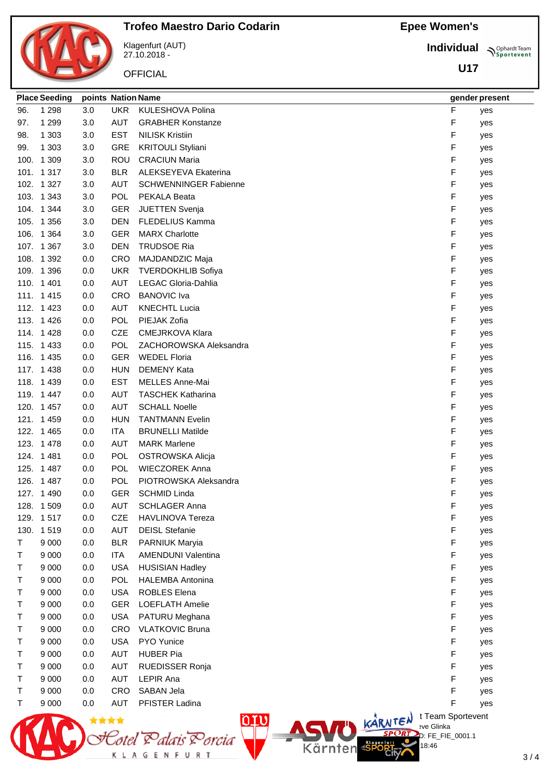# **Epee Women's**

**U17**

**Individual Prophardt Team** 

Klagenfurt (AUT) 27.10.2018 - **OFFICIAL** 

<del>\*\*\*\*</del><br>Eotel Palais Porcia

K L A G E N F U R T

|     | <b>Place Seeding</b> | points Nation Name |            |                              |   | gender present |
|-----|----------------------|--------------------|------------|------------------------------|---|----------------|
| 96. | 1 2 9 8              | 3.0                | <b>UKR</b> | KULESHOVA Polina             | F | yes            |
| 97. | 1 2 9 9              | 3.0                | <b>AUT</b> | <b>GRABHER Konstanze</b>     | F | yes            |
| 98. | 1 3 0 3              | 3.0                | <b>EST</b> | <b>NILISK Kristiin</b>       | F | yes            |
| 99. | 1 3 0 3              | 3.0                | GRE        | <b>KRITOULI Styliani</b>     | F | yes            |
|     | 100. 1 309           | 3.0                | ROU        | <b>CRACIUN Maria</b>         | F | yes            |
|     | 101. 1317            | 3.0                | <b>BLR</b> | ALEKSEYEVA Ekaterina         | F | yes            |
|     | 102. 1327            | 3.0                | <b>AUT</b> | <b>SCHWENNINGER Fabienne</b> | F | yes            |
|     | 103. 1 343           | 3.0                | POL        | PEKALA Beata                 | F | yes            |
|     | 104. 1 344           | 3.0                | <b>GER</b> | <b>JUETTEN Svenja</b>        | F | yes            |
|     | 105. 1356            | 3.0                | <b>DEN</b> | FLEDELIUS Kamma              | F | yes            |
|     | 106. 1364            | 3.0                | <b>GER</b> | <b>MARX Charlotte</b>        | F | yes            |
|     | 107. 1367            | 3.0                | <b>DEN</b> | <b>TRUDSOE Ria</b>           | F | yes            |
|     | 108. 1 392           | 0.0                | CRO        | MAJDANDZIC Maja              | F | yes            |
|     | 109. 1396            | 0.0                | <b>UKR</b> | <b>TVERDOKHLIB Sofiya</b>    | F | yes            |
|     | 110. 1 401           | 0.0                | <b>AUT</b> | LEGAC Gloria-Dahlia          | F | yes            |
|     | 111. 1415            | 0.0                | CRO        | <b>BANOVIC</b> Iva           | F | yes            |
|     | 112. 1 423           | 0.0                | <b>AUT</b> | <b>KNECHTL Lucia</b>         | F | yes            |
|     | 113. 1426            | 0.0                | POL        | PIEJAK Zofia                 | F | yes            |
|     | 114. 1428            | 0.0                | <b>CZE</b> | <b>CMEJRKOVA Klara</b>       | F | yes            |
|     | 115. 1 433           | 0.0                | POL        | ZACHOROWSKA Aleksandra       | F | yes            |
|     | 116. 1 435           | 0.0                | <b>GER</b> | <b>WEDEL Floria</b>          | F | yes            |
|     | 117. 1438            | 0.0                | <b>HUN</b> | <b>DEMENY Kata</b>           | F | yes            |
|     | 118. 1 439           | 0.0                | <b>EST</b> | MELLES Anne-Mai              | F | yes            |
|     | 119. 1447            | 0.0                | AUT        | <b>TASCHEK Katharina</b>     | F | yes            |
|     | 120. 1457            | 0.0                | <b>AUT</b> | <b>SCHALL Noelle</b>         | F | yes            |
|     | 121. 1459            | 0.0                | <b>HUN</b> | <b>TANTMANN Evelin</b>       | F | yes            |
|     | 122. 1465            | 0.0                | <b>ITA</b> | <b>BRUNELLI Matilde</b>      | F | yes            |
|     | 123. 1478            | 0.0                | AUT        | <b>MARK Marlene</b>          | F | yes            |
|     | 124. 1481            | 0.0                | POL        | <b>OSTROWSKA Alicja</b>      | F | yes            |
|     | 125. 1487            | 0.0                | POL        | <b>WIECZOREK Anna</b>        | F | yes            |
|     | 126. 1487            | 0.0                | POL        | PIOTROWSKA Aleksandra        | F | yes            |
|     | 127. 1490            | 0.0                | <b>GER</b> | <b>SCHMID Linda</b>          | F | yes            |
|     | 128. 1509            | 0.0                | <b>AUT</b> | <b>SCHLAGER Anna</b>         | F | yes            |
|     | 129. 1517            | 0.0                | CZE        | <b>HAVLINOVA Tereza</b>      | F | yes            |
|     | 130. 1519            | 0.0                | <b>AUT</b> | <b>DEISL Stefanie</b>        | F | yes            |
| T   | 9 0 0 0              | 0.0                | <b>BLR</b> | PARNIUK Maryia               | F | yes            |
| Т   | 9 0 0 0              | 0.0                | <b>ITA</b> | <b>AMENDUNI Valentina</b>    | F | yes            |
| Т   | 9 0 0 0              | 0.0                | <b>USA</b> | <b>HUSISIAN Hadley</b>       | F | yes            |
| Τ   | 9 0 0 0              | 0.0                | <b>POL</b> | <b>HALEMBA Antonina</b>      | F | yes            |
| Τ   | 9 0 0 0              | 0.0                | <b>USA</b> | <b>ROBLES Elena</b>          | F | yes            |
| Τ   | 9 0 0 0              | 0.0                | <b>GER</b> | LOEFLATH Amelie              | F | yes            |
| Т   | 9 0 0 0              | 0.0                | <b>USA</b> | PATURU Meghana               | F | yes            |
| Т   | 9 0 0 0              | 0.0                | CRO        | <b>VLATKOVIC Bruna</b>       | F | yes            |
| T   | 9 0 0 0              | 0.0                | <b>USA</b> | PYO Yunice                   | F | yes            |
| Т   | 9 0 0 0              | 0.0                | <b>AUT</b> | <b>HUBER Pia</b>             | F | yes            |
| Т   | 9 0 0 0              | 0.0                | <b>AUT</b> | RUEDISSER Ronja              | F | yes            |
| Т   | 9 0 0 0              | 0.0                | <b>AUT</b> | LEPIR Ana                    | F | yes            |
| Т   | 9 0 0 0              | 0.0                | CRO        | SABAN Jela                   | F | yes            |
| Т   | 9 0 0 0              | 0.0                | <b>AUT</b> | PFISTER Ladina               | F | yes            |

**DIU** 

 $\frac{1}{2}$ 

Kärnten

 $\bigcup_{v \in \mathcal{F}} \mathbb{I}$  Team Sportevent

18:46

D: FE\_FIE\_0001.1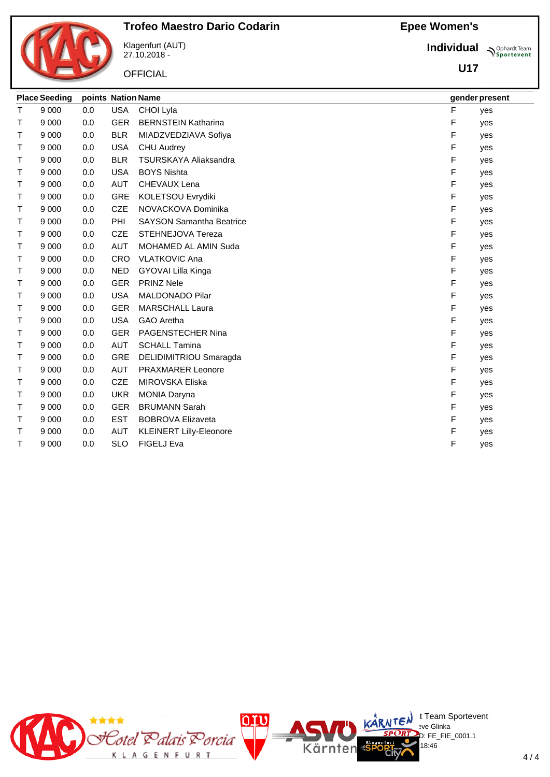# **Epee Women's**

**U17**

**Individual Supplemant** Team



Klagenfurt (AUT) 27.10.2018 -

**OFFICIAL** 

|   | <b>Place Seeding</b> | points Nation Name |            |                                 |   | gender present |
|---|----------------------|--------------------|------------|---------------------------------|---|----------------|
| T | 9 0 0 0              | 0.0                | <b>USA</b> | CHOI Lyla                       | F | yes            |
| Т | 9 0 0 0              | 0.0                | <b>GER</b> | <b>BERNSTEIN Katharina</b>      | F | yes            |
| Т | 9 0 0 0              | 0.0                | <b>BLR</b> | MIADZVEDZIAVA Sofiya            | F | yes            |
| Τ | 9 0 0 0              | 0.0                | <b>USA</b> | <b>CHU Audrey</b>               | F | yes            |
| Τ | 9 0 0 0              | 0.0                | <b>BLR</b> | <b>TSURSKAYA Aliaksandra</b>    | F | yes            |
| Т | 9 0 0 0              | 0.0                | <b>USA</b> | <b>BOYS Nishta</b>              | F | yes            |
| Т | 9 0 0 0              | 0.0                | <b>AUT</b> | CHEVAUX Lena                    | F | yes            |
| T | 9 0 0 0              | 0.0                | <b>GRE</b> | KOLETSOU Evrydiki               | F | yes            |
| T | 9 0 0 0              | 0.0                | <b>CZE</b> | NOVACKOVA Dominika              | F | yes            |
| Т | 9 0 0 0              | 0.0                | PHI        | <b>SAYSON Samantha Beatrice</b> | F | yes            |
| T | 9 0 0 0              | 0.0                | <b>CZE</b> | STEHNEJOVA Tereza               | F | yes            |
| Τ | 9 0 0 0              | 0.0                | <b>AUT</b> | <b>MOHAMED AL AMIN Suda</b>     | F | yes            |
| Τ | 9 0 0 0              | 0.0                | <b>CRO</b> | <b>VLATKOVIC Ana</b>            | F | yes            |
| Т | 9 0 0 0              | 0.0                | <b>NED</b> | GYOVAI Lilla Kinga              | F | yes            |
| T | 9 0 0 0              | 0.0                | <b>GER</b> | <b>PRINZ Nele</b>               | F | yes            |
| Τ | 9 0 0 0              | 0.0                | <b>USA</b> | <b>MALDONADO Pilar</b>          | F | yes            |
| T | 9 0 0 0              | 0.0                | <b>GER</b> | <b>MARSCHALL Laura</b>          | F | yes            |
| Т | 9 0 0 0              | 0.0                | <b>USA</b> | <b>GAO</b> Aretha               | F | yes            |
| Τ | 9 0 0 0              | 0.0                | <b>GER</b> | PAGENSTECHER Nina               | F | yes            |
| Τ | 9 0 0 0              | 0.0                | <b>AUT</b> | <b>SCHALL Tamina</b>            | F | yes            |
| Т | 9 0 0 0              | 0.0                | GRE        | DELIDIMITRIOU Smaragda          | F | yes            |
| Т | 9 0 0 0              | 0.0                | <b>AUT</b> | PRAXMARER Leonore               | F | yes            |
| T | 9 0 0 0              | 0.0                | <b>CZE</b> | <b>MIROVSKA Eliska</b>          | F | yes            |
| T | 9 0 0 0              | 0.0                | <b>UKR</b> | <b>MONIA Daryna</b>             | F | yes            |
| Τ | 9 0 0 0              | 0.0                | <b>GER</b> | <b>BRUMANN Sarah</b>            | F | yes            |
| T | 9 0 0 0              | 0.0                | <b>EST</b> | <b>BOBROVA Elizaveta</b>        | F | yes            |
| T | 9 0 0 0              | 0.0                | <b>AUT</b> | <b>KLEINERT Lilly-Eleonore</b>  | F | yes            |
| т | 9 0 0 0              | 0.0                | <b>SLO</b> | <b>FIGELJ Eva</b>               | F | yes            |

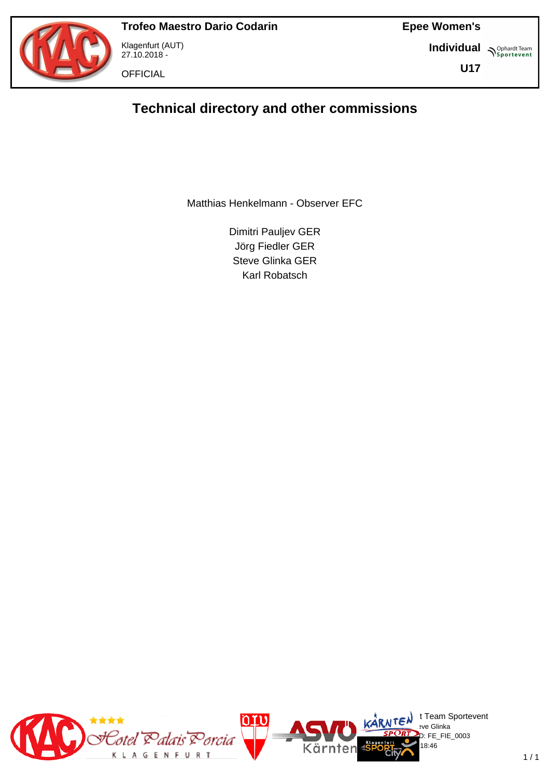

Klagenfurt (AUT) 27.10.2018 -

**OFFICIAL** 

**Epee Women's**

**Individual Supplemant** Team

**U17**

# **Technical directory and other commissions**

Matthias Henkelmann - Observer EFC

Dimitri Pauljev GER Jörg Fiedler GER Steve Glinka GER Karl Robatsch

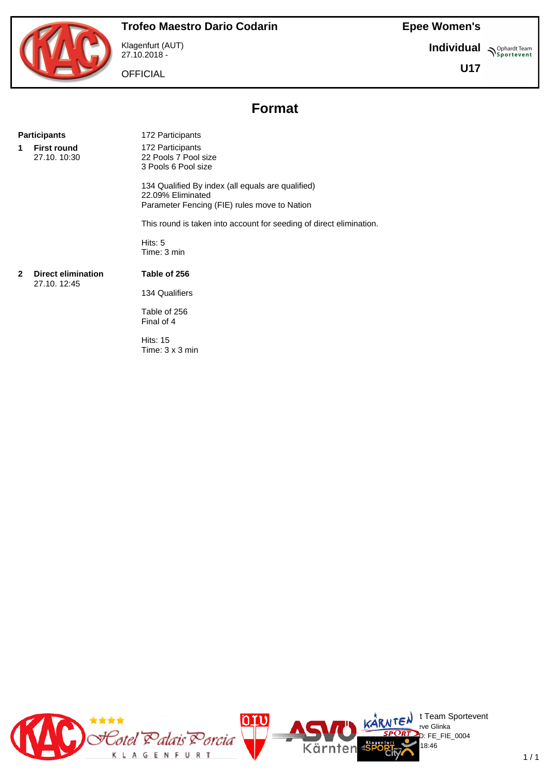**Individual Supplemant** Team

**U17**

**OFFICIAL** 

Klagenfurt (AUT) 27.10.2018 -

# **Format**

#### **Participants** 172 Participants

**1 First round** 27.10. 10:30 172 Participants 22 Pools 7 Pool size 3 Pools 6 Pool size

134 Qualified By index (all equals are qualified) 22.09% Eliminated Parameter Fencing (FIE) rules move to Nation

This round is taken into account for seeding of direct elimination.

Hits: 5 Time: 3 min

#### **2 Direct elimination** 27.10. 12:45

**Table of 256** 134 Qualifiers

Table of 256 Final of 4

Hits: 15 Time: 3 x 3 min

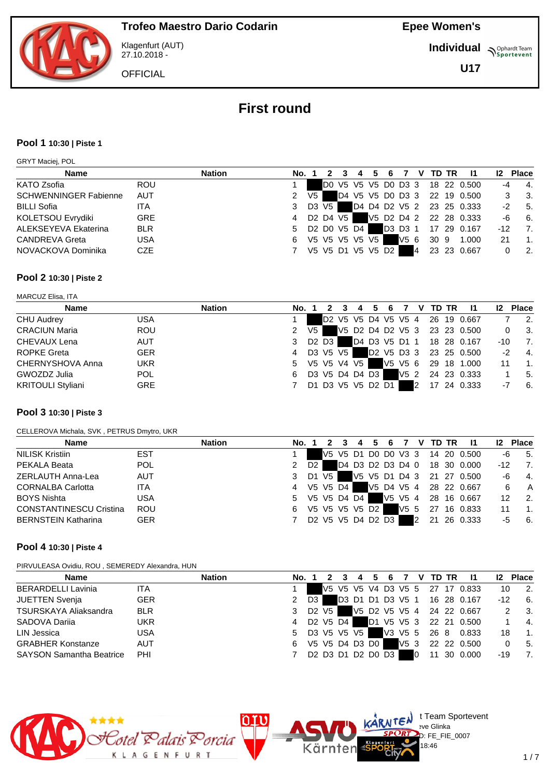

Klagenfurt (AUT) 27.10.2018 -

**Epee Women's**

**Individual Supplemant** Team

**OFFICIAL** 

**U17**

# **First round**

#### **Pool 1 10:30 | Piste 1**

GRYT Maciej, POL

| Name                         |            | <b>Nation</b> | No. 1 |     |       |                                                             | -4 | 5. | -6                |      |   | V TD TR | -11                             | 12 <sup>2</sup> | <b>Place</b>             |
|------------------------------|------------|---------------|-------|-----|-------|-------------------------------------------------------------|----|----|-------------------|------|---|---------|---------------------------------|-----------------|--------------------------|
| KATO Zsofia                  | <b>ROU</b> |               |       |     |       |                                                             |    |    |                   |      |   |         | DO V5 V5 V5 DO D3 3 18 22 0.500 | -4              | $-4.$                    |
| <b>SCHWENNINGER Fabienne</b> | AUT        |               | 2     | V5. |       |                                                             |    |    |                   |      |   |         | D4 V5 V5 D0 D3 3 22 19 0.500    |                 | - 3.                     |
| <b>BILLI Sofia</b>           | ITA.       |               | 3     |     | D3 V5 |                                                             |    |    |                   |      |   |         | D4 D4 D2 V5 2 23 25 0.333       | $-2$            | 5.                       |
| KOLETSOU Evrydiki            | <b>GRE</b> |               | 4     |     |       | D2 D4 V5                                                    |    |    |                   |      |   |         | V5 D2 D4 2 22 28 0.333          | -6              | 6.                       |
| ALEKSEYEVA Ekaterina         | <b>BLR</b> |               | 5     |     |       | D <sub>2</sub> D <sub>0</sub> V <sub>5</sub> D <sub>4</sub> |    |    |                   |      |   |         | D3 D3 1 17 29 0.167             | -12             | -7.                      |
| <b>CANDREVA Greta</b>        | <b>USA</b> |               | 6     |     |       | V5 V5 V5 V5 V5                                              |    |    |                   | V5 6 |   | 30 9    | 1.000                           | 21              | -1.                      |
| NOVACKOVA Dominika           | <b>CZE</b> |               | 7     |     |       |                                                             |    |    | V5 V5 D1 V5 V5 D2 |      | 4 |         | 23 23 0.667                     | 0               | $\overline{\phantom{a}}$ |

#### **Pool 2 10:30 | Piste 2**

MARCUZ Elisa, ITA

| <b>Name</b>              |            | <b>Nation</b> | No. 1         |      |            | 4 |                   | -6 |   | V TD TR | -11                             | 12 <sup>2</sup> | <b>Place</b>     |
|--------------------------|------------|---------------|---------------|------|------------|---|-------------------|----|---|---------|---------------------------------|-----------------|------------------|
| <b>CHU Audrey</b>        | <b>USA</b> |               |               |      |            |   |                   |    |   |         | D2 V5 V5 D4 V5 V5 4 26 19 0.667 |                 | $\overline{2}$ . |
| <b>CRACIUN Maria</b>     | <b>ROU</b> |               | 2             | V5 I |            |   |                   |    |   |         | V5 D2 D4 D2 V5 3 23 23 0.500    | 0               | - 3.             |
| CHEVAUX Lena             | <b>AUT</b> |               | 3             |      | D2 D3      |   |                   |    |   |         | D4 D3 V5 D1 1 18 28 0.167       | -10             | - 7.             |
| <b>ROPKE Greta</b>       | <b>GER</b> |               | 4             |      | D3 V5 V5 1 |   |                   |    |   |         | D2 V5 D3 3 23 25 0.500          | $-2$            | $-4.$            |
| CHERNYSHOVA Anna         | <b>UKR</b> |               | 5 V5 V5 V4 V5 |      |            |   |                   |    |   |         | V5 V5 6 29 18 1.000             |                 | - 1.             |
| GWOZDZ Julia             | <b>POL</b> |               | 6             |      |            |   | D3 V5 D4 D4 D3    |    |   |         | V5 2 24 23 0.333                |                 | -5.              |
| <b>KRITOULI Styliani</b> | <b>GRE</b> |               | 7             |      |            |   | D1 D3 V5 V5 D2 D1 |    | 2 |         | 17 24 0.333                     | -7              | 6.               |

#### **Pool 3 10:30 | Piste 3**

CELLEROVA Michala, SVK , PETRUS Dmytro, UKR

| <b>Name</b>                    |            | <b>Nation</b> | No. 1 |                |                               |             | 4 | 5                                                                                         | 6 |   | V TD TR |                                 | $12 \,$ | <b>Place</b>     |
|--------------------------------|------------|---------------|-------|----------------|-------------------------------|-------------|---|-------------------------------------------------------------------------------------------|---|---|---------|---------------------------------|---------|------------------|
| <b>NILISK Kristiin</b>         | <b>EST</b> |               |       |                |                               |             |   |                                                                                           |   |   |         | V5 V5 D1 D0 D0 V3 3 14 20 0.500 | -6      | 5.               |
| PEKALA Beata                   | <b>POL</b> |               |       | D <sub>2</sub> |                               |             |   |                                                                                           |   |   |         | D4 D3 D2 D3 D4 0 18 30 0.000    | $-12$   | 7.               |
| ZERLAUTH Anna-Lea              | AUT        |               | 3     |                | D <sub>1</sub> V <sub>5</sub> |             |   |                                                                                           |   |   |         | V5 V5 D1 D4 3 21 27 0.500       | -6      | $-4.$            |
| <b>CORNALBA Carlotta</b>       | <b>ITA</b> |               | 4     |                |                               | V5 V5 D4    |   |                                                                                           |   |   |         | V5 D4 V5 4 28 22 0.667          |         | A                |
| <b>BOYS Nishta</b>             | <b>USA</b> |               | 5     |                |                               | V5 V5 D4 D4 |   |                                                                                           |   |   |         | V5 V5 4 28 16 0.667             | 12      | $\overline{2}$ . |
| <b>CONSTANTINESCU Cristina</b> | ROU        |               | 6     |                |                               |             |   | V5 V5 V5 V5 D2                                                                            |   |   |         | V5 5 27 16 0.833                | 11      |                  |
| <b>BERNSTEIN Katharina</b>     | <b>GER</b> |               |       |                |                               |             |   | D <sub>2</sub> V <sub>5</sub> V <sub>5</sub> D <sub>4</sub> D <sub>2</sub> D <sub>3</sub> |   | 2 | 21      | 26 0.333                        | -5      | 6.               |

#### **Pool 4 10:30 | Piste 4**

PIRVULEASA Ovidiu, ROU , SEMEREDY Alexandra, HUN

| <b>Name</b>                     |            | <b>Nation</b> | No. 1 |                               |             | 4 |                   | 5 6 |   | 7 V TD TR    | - 11                            |                      | 12 Place         |
|---------------------------------|------------|---------------|-------|-------------------------------|-------------|---|-------------------|-----|---|--------------|---------------------------------|----------------------|------------------|
| <b>BERARDELLI Lavinia</b>       | ITA        |               |       |                               |             |   |                   |     |   |              | V5 V5 V5 V4 D3 V5 5 27 17 0.833 | 10                   | $\overline{2}$ . |
| <b>JUETTEN Svenja</b>           | <b>GER</b> |               |       | D3 I                          |             |   |                   |     |   |              | D3 D1 D1 D3 V5 1 16 28 0.167    | $-12$                | 6.               |
| TSURSKAYA Aliaksandra           | <b>BLR</b> |               | 3     | D <sub>2</sub> V <sub>5</sub> |             |   |                   |     |   |              | V5 D2 V5 V5 4 24 22 0.667       | $\mathbf{2}^{\circ}$ | - 3.             |
| SADOVA Darija                   | <b>UKR</b> |               | 4     |                               | D2 V5 D4 1  |   |                   |     |   |              | D1 V5 V5 3 22 21 0.500          |                      | 4.               |
| LIN Jessica                     | <b>USA</b> |               | 5     |                               | D3 V5 V5 V5 |   |                   |     |   | V3 V5 5 26 8 | 0.833                           | 18                   | $\overline{1}$ . |
| <b>GRABHER Konstanze</b>        | AUT        |               | 6     |                               |             |   | V5 V5 D4 D3 D0    |     |   |              | V5 3 22 22 0.500                | 0                    | - 5.             |
| <b>SAYSON Samantha Beatrice</b> | PHI        |               |       |                               |             |   | D2 D3 D1 D2 D0 D3 |     | 0 |              | 11 30 0.000                     | -19                  | 7.               |

Kärnten



 $\bigcup_{v \in \mathcal{F}} \mathbb{I}$  Team Sportevent

D: FE\_FIE\_0007  $8:46$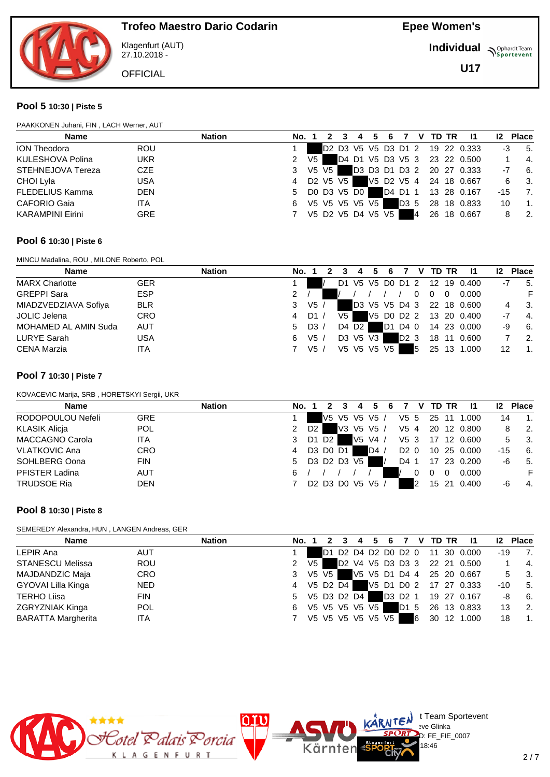

Klagenfurt (AUT) 27.10.2018 -

**OFFICIAL** 

**Epee Women's**

**Individual Supplemant** Team

**U17**

#### **Pool 5 10:30 | Piste 5**

| PAAKKONEN Juhani, FIN, LACH Werner, AUT |            |               |       |       |                     |   |   |            |                  |   |       |                              |                 |              |
|-----------------------------------------|------------|---------------|-------|-------|---------------------|---|---|------------|------------------|---|-------|------------------------------|-----------------|--------------|
| Name                                    |            | <b>Nation</b> | No. 1 |       |                     | 4 | 5 | 6          |                  | v | TD TR | -11                          | 12 <sup>2</sup> | <b>Place</b> |
| <b>ION Theodora</b>                     | <b>ROU</b> |               |       |       | D2 D3 V5 V5 D3 D1 2 |   |   |            |                  |   |       | 19 22 0.333                  | -3              | - 5.         |
| KULESHOVA Polina                        | <b>UKR</b> |               | 2     | V5    |                     |   |   |            |                  |   |       | D4 D1 V5 D3 V5 3 23 22 0.500 |                 | 4.           |
| STEHNEJOVA Tereza                       | <b>CZE</b> |               | 3     | V5 V5 |                     |   |   |            |                  |   |       | D3 D3 D1 D3 2 20 27 0.333    | -7              | 6.           |
| CHOI Lyla                               | <b>USA</b> |               | 4     |       | D2 V5 V5 1          |   |   | V5 D2 V5 4 |                  |   |       | 24 18 0.667                  | 6               | - 3.         |
| FLEDELIUS Kamma                         | <b>DEN</b> |               | 5.    |       | DO D3 V5 D0         |   |   | D4 D1 1    |                  |   |       | 13 28 0.167                  | -15             | 7.           |
| <b>CAFORIO Gaia</b>                     | <b>ITA</b> |               | 6     |       | V5 V5 V5 V5 V5      |   |   |            | D <sub>3</sub> 5 |   |       | 28 18 0.833                  | 10              | -1.          |
| <b>KARAMPINI Eirini</b>                 | <b>GRE</b> |               | 7     |       | V5 D2 V5 D4 V5 V5   |   |   |            |                  | 4 |       | 26 18 0.667                  | 8               | -2.          |

#### **Pool 6 10:30 | Piste 6**

MINCU Madalina, ROU , MILONE Roberto, POL

| <b>Name</b>           |            | <b>Nation</b> | No. |                |                |             |            |                  |   |          | <b>TD TR</b> |                              |    | <b>Place</b>     |
|-----------------------|------------|---------------|-----|----------------|----------------|-------------|------------|------------------|---|----------|--------------|------------------------------|----|------------------|
| <b>MARX Charlotte</b> | GER        |               |     |                |                |             |            |                  |   |          |              | D1 V5 V5 D0 D1 2 12 19 0.400 | -7 | 5.               |
| <b>GREPPI</b> Sara    | <b>ESP</b> |               |     |                |                |             |            |                  |   | $\Omega$ | $\mathbf 0$  | 0.000                        |    | F                |
| MIADZVEDZIAVA Sofiya  | <b>BLR</b> |               | 3   | V5/            |                |             |            |                  |   |          |              | D3 V5 V5 D4 3 22 18 0.600    |    | - 3.             |
| <b>JOLIC Jelena</b>   | <b>CRO</b> |               | 4   | D1 /           | V <sub>5</sub> |             | V5 D0 D2 2 |                  |   |          |              | 13 20 0.400                  | -7 | 4.               |
| MOHAMED AL AMIN Suda  | <b>AUT</b> |               | 5   | D <sub>3</sub> |                | D4 D2       | D1 D4 0    |                  |   |          |              | 14 23 0.000                  | -9 | - 6.             |
| LURYE Sarah           | USA        |               | 6   | V5/            |                | D3 V5 V3    |            | D <sub>2</sub> 3 |   |          |              | 18 11 0.600                  |    | $\overline{2}$ . |
| <b>CENA Marzia</b>    | <b>ITA</b> |               |     | V5.            |                | V5 V5 V5 V5 |            |                  | 5 | 25       | 13           | 1.000                        | 12 | 1.               |

#### **Pool 7 10:30 | Piste 7**

KOVACEVIC Marija, SRB , HORETSKYI Sergii, UKR

| <b>Name</b>            |            | <b>Nation</b> | No. |                |          |                                                                              |         |           |                  | v |            | TD TR |             |     | <b>Place</b>   |
|------------------------|------------|---------------|-----|----------------|----------|------------------------------------------------------------------------------|---------|-----------|------------------|---|------------|-------|-------------|-----|----------------|
| RODOPOULOU Nefeli      | <b>GRE</b> |               |     |                |          | V5 V5 V5 V5 /                                                                |         |           |                  |   | V5 5 25 11 |       | 1.000       | 14  | $\mathbf{1}$ . |
| <b>KLASIK Alicia</b>   | <b>POL</b> |               | 2   | D <sub>2</sub> |          | V3                                                                           | V5 V5 / |           | V54              |   |            |       | 20 12 0.800 | 8   | -2.            |
| <b>MACCAGNO Carola</b> | ITA        |               | 3.  |                | D1 D2    |                                                                              | V5      | V4/       | V5 3             |   | 17         |       | 12 0.600    |     | - 3.           |
| <b>VLATKOVIC Ana</b>   | <b>CRO</b> |               | 4   |                | D3 D0 D1 |                                                                              |         | <b>D4</b> | D <sub>2</sub> 0 |   |            |       | 10 25 0.000 | -15 | 6.             |
| SOHLBERG Oona          | <b>FIN</b> |               | 5.  |                |          | D3 D2 D3 V5                                                                  |         |           | D4 1             |   |            |       | 17 23 0.200 | -6  | - 5.           |
| <b>PFISTER Ladina</b>  | <b>AUT</b> |               | 6   |                |          |                                                                              |         |           |                  |   |            | 0     | 0.000       |     | F              |
| <b>TRUDSOE Ria</b>     | <b>DEN</b> |               |     |                |          | D <sub>2</sub> D <sub>3</sub> D <sub>0</sub> V <sub>5</sub> V <sub>5</sub> / |         |           |                  |   | 15         | -21   | 0.400       | -6  | 4.             |

#### **Pool 8 10:30 | Piste 8**

SEMEREDY Alexandra, HUN , LANGEN Andreas, GER

| <b>Name</b>               |            | <b>Nation</b> | No. 1         |      |                   | 4 | 5 | -6 |         |   | V TD TR | -11                          | 12 <sup>2</sup> | <b>Place</b>                |
|---------------------------|------------|---------------|---------------|------|-------------------|---|---|----|---------|---|---------|------------------------------|-----------------|-----------------------------|
| LEPIR Ana                 | <b>AUT</b> |               |               |      | D1                |   |   |    |         |   |         | D2 D4 D2 D0 D2 0 11 30 0.000 | -19             | $\overline{7}$              |
| <b>STANESCU Melissa</b>   | <b>ROU</b> |               | 2             | V5 I |                   |   |   |    |         |   |         | D2 V4 V5 D3 D3 3 22 21 0.500 |                 | $\mathbf{A}$                |
| MAJDANDZIC Maja           | <b>CRO</b> |               | 3             |      | V5 V5 I           |   |   |    |         |   |         | V5 V5 D1 D4 4 25 20 0.667    | 5               | $\overline{\phantom{a}}$ 3. |
| GYOVAI Lilla Kinga        | <b>NED</b> |               | 4 V5 D2 D4    |      |                   |   |   |    |         |   |         | V5 D1 D0 2 17 27 0.333       | -10             | - 5.                        |
| <b>TERHO Liisa</b>        | <b>FIN</b> |               | 5 V5 D3 D2 D4 |      |                   |   |   |    | D3 D2 1 |   |         | 19 27 0.167                  | -8              | 6 <sub>6</sub>              |
| ZGRYZNIAK Kinga           | <b>POL</b> |               | 6             |      | V5 V5 V5 V5 V5    |   |   |    | D1 5    |   |         | 26 13 0.833                  | 13              | $\overline{2}$              |
| <b>BARATTA Margherita</b> | ITA        |               |               |      | V5 V5 V5 V5 V5 V5 |   |   |    |         | 6 |         | 30 12 1.000                  | 18              | $\overline{1}$              |

Kärnten



 $\bigcup_{v \in \mathcal{F}} \mathbb{I}$  Team Sportevent

 $18:46$ 

D: FE\_FIE\_0007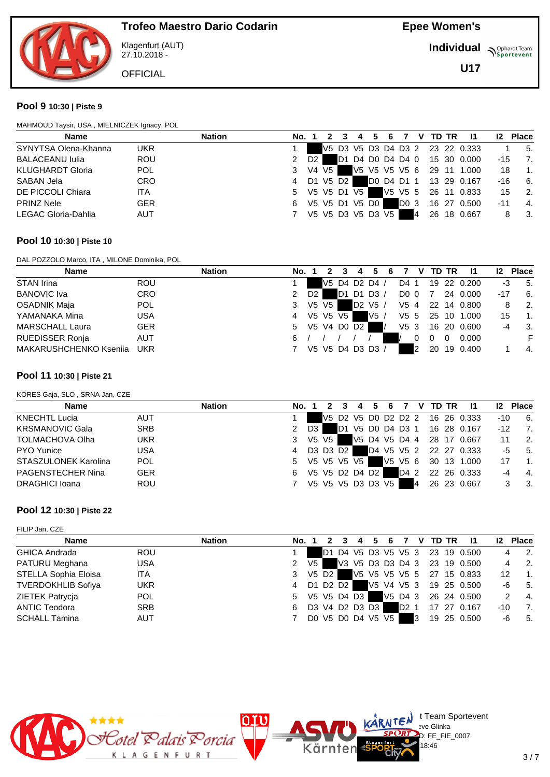

Klagenfurt (AUT) 27.10.2018 -

**OFFICIAL** 

**Epee Women's**

**Individual Supplemant** Team

**U17**

#### **Pool 9 10:30 | Piste 9**

| MAHMOUD Taysir, USA, MIELNICZEK Ignacy, POL |  |
|---------------------------------------------|--|
|---------------------------------------------|--|

| Name                    |            | <b>Nation</b> | No. 1          |         |                   | 5 | 6 |      | $\mathbf{V}$ | TD TR | - 11                            |       | <b>Place</b>   |
|-------------------------|------------|---------------|----------------|---------|-------------------|---|---|------|--------------|-------|---------------------------------|-------|----------------|
| SYNYTSA Olena-Khanna    | <b>UKR</b> |               |                |         |                   |   |   |      |              |       | V5 D3 V5 D3 D4 D3 2 23 22 0.333 |       | -5.            |
| <b>BALACEANU Iulia</b>  | <b>ROU</b> | 2             | D <sub>2</sub> |         |                   |   |   |      |              |       | D1 D4 D0 D4 D4 0 15 30 0.000    | $-15$ | 7.             |
| <b>KLUGHARDT Gloria</b> | <b>POL</b> | 3             |                | V4 V5 I |                   |   |   |      |              |       | V5 V5 V5 V5 6 29 11 1.000       | 18    | $\mathbf{1}$ . |
| SABAN Jela              | <b>CRO</b> | 4             |                |         | D1 V5 D2 I        |   |   |      |              |       | DO D4 D1 1 13 29 0.167          | -16   | -6.            |
| DE PICCOLI Chiara       | ITA        |               |                |         | 5 V5 V5 D1 V5     |   |   |      |              |       | V5 V5 5 26 11 0.833             | 15    | -2.            |
| <b>PRINZ Nele</b>       | <b>GER</b> | 6             |                |         | V5 V5 D1 V5 D0    |   |   | DO 3 |              |       | 16 27 0.500                     | $-11$ | 4.             |
| LEGAC Gloria-Dahlia     | <b>AUT</b> |               |                |         | V5 V5 D3 V5 D3 V5 |   |   |      | 4            |       | 26 18 0.667                     | 8     | 3.             |

#### **Pool 10 10:30 | Piste 10**

DAL POZZOLO Marco, ITA , MILONE Dominika, POL

| Name                   | <b>Nation</b> | No. |                |                  |               |    |                                 | 6 |      | v |          | TD TR |             |     | <b>Place</b>  |
|------------------------|---------------|-----|----------------|------------------|---------------|----|---------------------------------|---|------|---|----------|-------|-------------|-----|---------------|
| <b>STAN Irina</b>      | <b>ROU</b>    |     |                |                  | V5 D4 D2 D4 / |    |                                 |   | D4   |   |          |       | 19 22 0.200 | -3  | - 5.          |
| <b>BANOVIC Iva</b>     | <b>CRO</b>    | 2   | D <sub>2</sub> |                  | D1            | D1 | D3/                             |   | DO 0 |   |          |       | 24 0.000    | -17 | 6.            |
| OSADNIK Maja           | <b>POL</b>    | 3   |                | V5 V5            |               |    | D <sub>2</sub> V <sub>5</sub> / |   | V54  |   |          |       | 22 14 0.800 |     | -2.           |
| YAMANAKA Mina          | <b>USA</b>    | 4   |                | V5 V5 V5         |               |    | V5/                             |   | V55  |   | 25       | 10    | 1.000       | 15  | $\mathbf 1$ . |
| <b>MARSCHALL Laura</b> | <b>GER</b>    | 5   |                | V5 V4 D0 D2      |               |    |                                 |   | V53  |   | 16       |       | 20 0.600    | -4  | - 3.          |
| <b>RUEDISSER Ronja</b> | AUT           | 6   |                |                  |               |    |                                 |   |      |   | $\Omega$ |       | 0.000       |     | F             |
| MAKARUSHCHENKO Kseniia | <b>UKR</b>    |     |                | V5 V5 D4 D3 D3 / |               |    |                                 |   |      |   | 20       |       | 19 0.400    |     | 4.            |

#### **Pool 11 10:30 | Piste 21**

KORES Gaja, SLO , SRNA Jan, CZE

| <b>Name</b>            |            | <b>Nation</b> | No. 1         |                |         |                   | 4 | 5 | 6 |      |   | V TD TR | - 11                            | 12    | <b>Place</b>     |
|------------------------|------------|---------------|---------------|----------------|---------|-------------------|---|---|---|------|---|---------|---------------------------------|-------|------------------|
| <b>KNECHTL Lucia</b>   | <b>AUT</b> |               |               |                |         |                   |   |   |   |      |   |         | V5 D2 V5 D0 D2 D2 2 16 26 0.333 | -10   | -6.              |
| <b>KRSMANOVIC Gala</b> | <b>SRB</b> |               | 2             | D <sub>3</sub> |         |                   |   |   |   |      |   |         | D1 V5 D0 D4 D3 1 16 28 0.167    | $-12$ | -7.              |
| TOLMACHOVA Olha        | <b>UKR</b> |               |               |                | V5 V5 I |                   |   |   |   |      |   |         | V5 D4 V5 D4 4 28 17 0.667       | 11    | 2.               |
| <b>PYO Yunice</b>      | <b>USA</b> |               | 4             |                |         | D3 D3 D2 I        |   |   |   |      |   |         | D4 V5 V5 2 22 27 0.333          | -5    | 5.               |
| STASZULONEK Karolina   | <b>POL</b> |               | 5 V5 V5 V5 V5 |                |         |                   |   |   |   |      |   |         | V5 V5 6 30 13 1.000             |       | $\overline{1}$ . |
| PAGENSTECHER Nina      | <b>GER</b> |               | 6             |                |         | V5 V5 D2 D4 D2    |   |   |   | D4 2 |   |         | 22 26 0.333                     | -4    | $-4.$            |
| <b>DRAGHICI Ioana</b>  | <b>ROU</b> |               |               |                |         | V5 V5 V5 D3 D3 V5 |   |   |   |      | 4 |         | 26 23 0.667                     |       | - 3.             |

#### **Pool 12 10:30 | Piste 22**

FILIP Jan, CZE

**Name Nation No. 1 2 3 4 5 6 7 V TD TR I1 I2 Place** GHICA Andrada ROU 1 D1 D4 V5 D3 V5 V5 3 23 19 0.500 4 2. PATURU Meghana USA 2 V5 V3 V5 D3 D3 D4 3 23 19 0.500 4 2. STELLA Sophia Eloisa ITA 1. 1. 2010 12 1. 3 V5 D2 V5 V5 V5 V5 V5 27 15 0.833 12 1. TVERDOKHLIB Sofiya UKR 4 D1 D2 D2 V5 V4 V5 3 19 25 0.500 -6 5. ZIETEK Patrycja POL 5 V5 V5 D4 D3 V5 D4 3 26 24 0.500 2 4. ANTIC Teodora SRB 6 D3 V4 D2 D3 D3 D2 1 17 27 0.167 -10 7. SCHALL Tamina AUT 7 D0 V5 D0 D4 V5 V5 3 19 25 0.500 -6 5.

Kärnten



 $\bigcup_{v \in \mathcal{F}} \mathbb{I}$  Team Sportevent

 $18:46$ 

D: FE\_FIE\_0007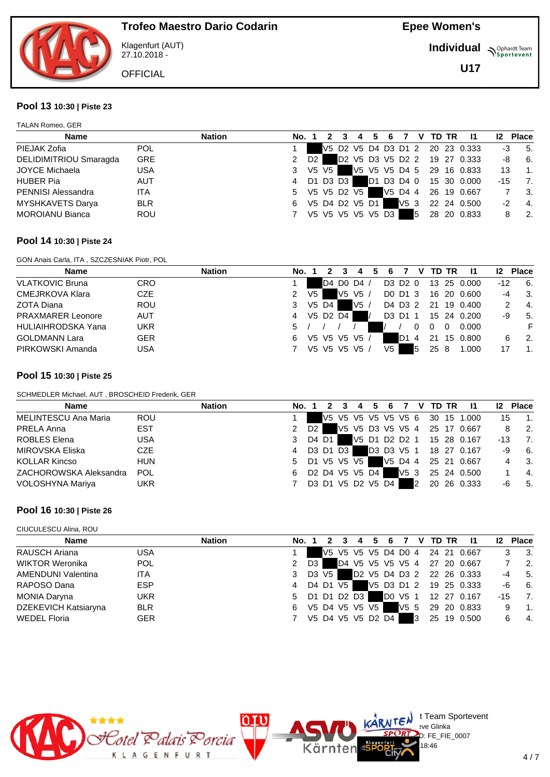

**Individual Supplemant** Team

**U17**

27.10.2018 - **OFFICIAL** 

Klagenfurt (AUT)

#### **Pool 13 10:30 | Piste 23**

| TALAN Romeo, GER          |            |               |       |                |       |                   |   |            |         |      |   |       |                                 |                 |                  |
|---------------------------|------------|---------------|-------|----------------|-------|-------------------|---|------------|---------|------|---|-------|---------------------------------|-----------------|------------------|
| <b>Name</b>               |            | <b>Nation</b> | No. 1 |                |       |                   | 4 | 5          | 6       |      | v | TD TR | - 11                            | 12 <sup>2</sup> | <b>Place</b>     |
| PIEJAK Zofia              | <b>POL</b> |               |       |                |       |                   |   |            |         |      |   |       | V5 D2 V5 D4 D3 D1 2 20 23 0.333 | -3              | 5.               |
| DELIDIMITRIOU Smaragda    | <b>GRE</b> |               | 2     | D <sub>2</sub> |       |                   |   |            |         |      |   |       | D2 V5 D3 V5 D2 2 19 27 0.333    | -8              | 6.               |
| <b>JOYCE Michaela</b>     | <b>USA</b> |               | 3     |                | V5 V5 |                   |   |            |         |      |   |       | V5 V5 V5 D4 5 29 16 0.833       | 13              | $\overline{1}$ . |
| <b>HUBER Pia</b>          | <b>AUT</b> |               | 4     |                |       | D1 D3 D3 I        |   | D1 D3 D4 0 |         |      |   |       | 15 30 0.000                     | $-15$           | 7.               |
| <b>PENNISI Alessandra</b> | <b>ITA</b> |               | 5     |                |       | V5 V5 D2 V5       |   |            | V5 D4 4 |      |   |       | 26 19 0.667                     |                 | - 3.             |
| MYSHKAVETS Darya          | <b>BLR</b> |               | 6     |                |       | V5 D4 D2 V5 D1    |   |            |         | V5 3 |   |       | 22 24 0.500                     | $-2$            | 4.               |
| <b>MOROIANU Bianca</b>    | <b>ROU</b> |               |       |                |       | V5 V5 V5 V5 V5 D3 |   |            |         |      | 5 |       | 28 20 0.833                     | 8               | 2.               |

#### **Pool 14 10:30 | Piste 24**

GON Anais Carla, ITA , SZCZESNIAK Piotr, POL

| <b>Nation</b> |                                        |                     |           |             |    |          |                                                |     |   |                                                                        |   | 11    | 12                                                                                   | <b>Place</b> |
|---------------|----------------------------------------|---------------------|-----------|-------------|----|----------|------------------------------------------------|-----|---|------------------------------------------------------------------------|---|-------|--------------------------------------------------------------------------------------|--------------|
|               |                                        |                     |           |             |    |          |                                                |     |   |                                                                        |   |       | $-12$                                                                                | 6.           |
|               |                                        |                     |           | V5          |    |          |                                                |     |   |                                                                        |   |       | $-4$                                                                                 | - 3.         |
|               |                                        |                     |           |             |    |          |                                                |     |   |                                                                        |   |       |                                                                                      | 4.           |
|               |                                        |                     |           |             |    |          |                                                |     |   |                                                                        |   |       | -9                                                                                   | -5.          |
|               |                                        |                     |           |             |    |          |                                                |     |   |                                                                        |   | 0.000 |                                                                                      |              |
|               |                                        |                     |           |             |    |          |                                                | ID1 |   | 21                                                                     |   |       |                                                                                      | 2.           |
|               |                                        |                     |           |             |    |          | V5                                             |     | 5 | 25                                                                     | 8 | 1.000 |                                                                                      |              |
| <b>UKR</b>    | <b>CRO</b><br><b>ROU</b><br><b>GER</b> | No.<br>4<br>5.<br>6 | V5<br>V5. | V5 D4<br>V5 | V5 | V5 D2 D4 | D4 D0 D4 /<br>V5/<br>V5<br>V5 V5 V5 V5 /<br>V5 |     |   | D3 D2 0<br>DO D1 3<br>D4 D3 2<br>D <sub>3</sub> D <sub>1</sub> 1<br>-4 |   |       | <b>TD TR</b><br>13 25 0.000<br>16 20 0.600<br>21 19 0.400<br>15 24 0.200<br>15 0.800 |              |

#### **Pool 15 10:30 | Piste 25**

SCHMEDLER Michael, AUT , BROSCHEID Frederik, GER

| <b>Name</b>            |            | <b>Nation</b> | No. 1 |                  |         |          | 4              | 5. | -6                |                 |                | V TD TR | - 11                            |     | <b>Place</b>     |
|------------------------|------------|---------------|-------|------------------|---------|----------|----------------|----|-------------------|-----------------|----------------|---------|---------------------------------|-----|------------------|
| MELINTESCU Ana Maria   | ROU        |               |       |                  |         |          |                |    |                   |                 |                |         | V5 V5 V5 V5 V5 V5 6 30 15 1.000 | 15  | $\overline{1}$ . |
| PRELA Anna             | <b>EST</b> |               | 2     | D <sub>2</sub> I |         |          |                |    |                   |                 |                |         | V5 V5 D3 V5 V5 4 25 17 0.667    | 8   | $\overline{2}$ . |
| ROBLES Elena           | <b>USA</b> |               | 3     |                  | D4 D1 I |          |                |    |                   |                 |                |         | V5 D1 D2 D2 1 15 28 0.167       | -13 | 7.               |
| MIROVSKA Eliska        | <b>CZE</b> |               | 4     |                  |         | D3 D1 D3 |                |    |                   |                 |                |         | D3 D3 V5 1 18 27 0.167          | -9  | 6.               |
| <b>KOLLAR Kincso</b>   | <b>HUN</b> |               | 5     |                  |         |          | D1 V5 V5 V5    |    |                   |                 |                |         | V5 D4 4 25 21 0.667             |     | 3.               |
| ZACHOROWSKA Aleksandra | <b>POL</b> |               | 6     |                  |         |          | D2 D4 V5 V5 D4 |    |                   | V5 <sub>3</sub> |                |         | 25 24 0.500                     |     | 4.               |
| VOLOSHYNA Mariya       | <b>UKR</b> |               |       |                  |         |          |                |    | D3 D1 V5 D2 V5 D4 |                 | $\overline{2}$ |         | 20 26 0.333                     | -6  | 5.               |

#### **Pool 16 10:30 | Piste 26**

CIUCULESCU Alina, ROU

| Name                      | <b>Nation</b> | No. 1 |    |          |                   | 6 | $\overline{7}$ |   | V TD TR | -11                             | 12 <sup>2</sup> | <b>Place</b>      |
|---------------------------|---------------|-------|----|----------|-------------------|---|----------------|---|---------|---------------------------------|-----------------|-------------------|
| RAUSCH Ariana             | <b>USA</b>    |       |    |          |                   |   |                |   |         | V5 V5 V5 V5 D4 D0 4 24 21 0.667 |                 | 3 <sub>1</sub>    |
| WIKTOR Weronika           | <b>POL</b>    |       | D3 |          |                   |   |                |   |         | D4 V5 V5 V5 V5 4 27 20 0.667    |                 | $\overline{2}$    |
| <b>AMENDUNI Valentina</b> | <b>ITA</b>    | 3     |    | D3 V5 1  |                   |   |                |   |         | D2 V5 D4 D3 2 22 26 0.333       | -4              | 5.                |
| RAPOSO Dana               | <b>ESP</b>    | 4     |    | D4 D1 V5 |                   |   |                |   |         | V5 D3 D1 2 19 25 0.333          | -6              | 6.                |
| <b>MONIA Daryna</b>       | <b>UKR</b>    | 5     |    |          | D1 D1 D2 D3       |   |                |   |         | DO V5 1 12 27 0.167             | $-15$           | $\overline{7}$    |
| DZEKEVICH Katsiaryna      | <b>BLR</b>    | 6     |    |          | V5 D4 V5 V5 V5    |   | V5 5           |   |         | 29 20 0.833                     | 9               | $\blacksquare$ 1. |
| <b>WEDEL Floria</b>       | <b>GER</b>    |       |    |          | V5 D4 V5 V5 D2 D4 |   |                | 3 |         | 25 19 0.500                     | 6               | $\overline{4}$    |

Kärnten



 $\bigcup_{v \in \mathcal{F}} \mathbb{I}$  Team Sportevent

 $D: FE$  FIE 0007  $18:46$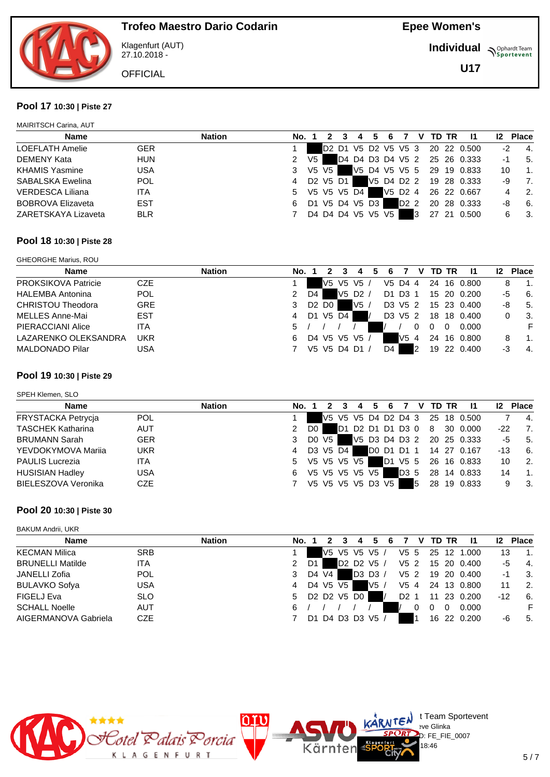

**Individual Supplemant** Team

**U17**

27.10.2018 - **OFFICIAL** 

Klagenfurt (AUT)

#### **Pool 17 10:30 | Piste 27**

| <b>MAIRITSCH Carina, AUT</b> |            |               |       |    |       |                                              |   |   |            |     |    |       |                                 |         |                  |
|------------------------------|------------|---------------|-------|----|-------|----------------------------------------------|---|---|------------|-----|----|-------|---------------------------------|---------|------------------|
| <b>Name</b>                  |            | <b>Nation</b> | No. 1 |    |       |                                              | 4 | 6 |            | v   |    | TD TR | - 11                            | $12 \,$ | <b>Place</b>     |
| <b>LOEFLATH Amelie</b>       | <b>GER</b> |               |       |    |       |                                              |   |   |            |     |    |       | D2 D1 V5 D2 V5 V5 3 20 22 0.500 | -2      | 4.               |
| <b>DEMENY Kata</b>           | <b>HUN</b> |               | 2     | V5 |       |                                              |   |   |            |     |    |       | D4 D4 D3 D4 V5 2 25 26 0.333    | $-1$    | -5.              |
| <b>KHAMIS Yasmine</b>        | <b>USA</b> |               | 3     |    | V5 V5 |                                              |   |   |            |     |    |       | V5 D4 V5 V5 5 29 19 0.833       | 10      | $\overline{1}$ . |
| <b>SABALSKA Ewelina</b>      | <b>POL</b> |               | 4     |    |       | D <sub>2</sub> V <sub>5</sub> D <sub>1</sub> |   |   | V5 D4 D2 2 |     |    |       | 19 28 0.333                     | -9      | 7.               |
| VERDESCA Liliana             | <b>ITA</b> |               | 5     |    |       | V5 V5 V5 D4                                  |   |   | V5 D2 4    |     |    |       | 26 22 0.667                     | 4       | 2.               |
| <b>BOBROVA Elizaveta</b>     | <b>EST</b> |               | 6     |    |       | D1 V5 D4 V5 D3                               |   |   | D2 2       |     |    |       | 20 28 0.333                     | -8      | - 6.             |
| ZARETSKAYA Lizaveta          | <b>BLR</b> |               |       |    |       | D4 D4 D4 V5 V5 V5                            |   |   |            | IЗ. | 27 |       | 21 0.500                        | 6       | -3.              |

#### **Pool 18 10:30 | Piste 28**

| <b>GHEORGHE Marius, ROU</b> |  |
|-----------------------------|--|
|                             |  |

| Name                       |            | <b>Nation</b> | No. 1 |       |          | 4             | 5 | 6  |         |   | V TD TR  |          |                     |    | <b>Place</b>          |
|----------------------------|------------|---------------|-------|-------|----------|---------------|---|----|---------|---|----------|----------|---------------------|----|-----------------------|
| <b>PROKSIKOVA Patricie</b> | <b>CZE</b> |               |       |       |          | V5 V5 V5 /    |   |    |         |   |          |          | V5 D4 4 24 16 0.800 |    | $\overline{1}$ .<br>8 |
| <b>HALEMBA Antonina</b>    | <b>POL</b> | $\mathcal{P}$ |       | D4    |          | V5 D2 /       |   |    | D1 D3 1 |   |          |          | 15 20 0.200         | -5 | - 6.                  |
| <b>CHRISTOU Theodora</b>   | <b>GRE</b> | 3.            |       | D2 D0 |          | V5/           |   |    | D3 V5 2 |   |          |          | 15 23 0.400         | -8 | 5.                    |
| MELLES Anne-Mai            | <b>EST</b> | 4             |       |       | D1 V5 D4 |               |   |    | D3 V5 2 |   |          |          | 18 18 0.400         |    | - 3.                  |
| PIERACCIANI Alice          | ITA        | 5             |       |       |          |               |   |    |         |   | $\Omega$ | $\Omega$ | 0.000               |    | F                     |
| LAZARENKO OLEKSANDRA       | <b>UKR</b> | 6.            |       |       |          | D4 V5 V5 V5 / |   |    | V5 4    |   |          |          | 24 16 0.800         |    | $\mathbf{1}$ .        |
| <b>MALDONADO Pilar</b>     | USA        |               |       |       |          | V5 V5 D4 D1 / |   | D4 |         | 2 |          |          | 19 22 0.400         | -3 | 4.                    |

#### **Pool 19 10:30 | Piste 29**

| SPEH Klemen, SLO |  |
|------------------|--|
|                  |  |

| Name                     |            | <b>Nation</b> | No. 1         |                |            | 4              | 5. | 6.                |      |   | V TD TR |                                 |       | 12 Place         |
|--------------------------|------------|---------------|---------------|----------------|------------|----------------|----|-------------------|------|---|---------|---------------------------------|-------|------------------|
| FRYSTACKA Petrycja       | <b>POL</b> |               |               |                |            |                |    |                   |      |   |         | V5 V5 V5 D4 D2 D4 3 25 18 0.500 |       | 4.               |
| <b>TASCHEK Katharina</b> | <b>AUT</b> |               | $\mathcal{P}$ | D <sub>0</sub> |            |                |    |                   |      |   |         | D1 D2 D1 D1 D3 0 8 30 0.000     | $-22$ | $\overline{7}$ . |
| <b>BRUMANN Sarah</b>     | <b>GER</b> |               | 3             |                | D0 V5      |                |    |                   |      |   |         | V5 D3 D4 D3 2 20 25 0.333       | -5    | 5.               |
| YEVDOKYMOVA Marija       | <b>UKR</b> |               | 4             |                | D3 V5 D4 I |                |    |                   |      |   |         | DO D1 D1 1 14 27 0.167          | $-13$ | - 6.             |
| <b>PAULIS Lucrezia</b>   | ITA        |               | 5 V5 V5 V5 V5 |                |            |                |    |                   |      |   |         | D1 V5 5 26 16 0.833             | 10    | 2.               |
| <b>HUSISIAN Hadley</b>   | <b>USA</b> |               | 6             |                |            | V5 V5 V5 V5 V5 |    |                   | D3 5 |   |         | 28 14 0.833                     | 14    | $\overline{1}$ . |
| BIELESZOVA Veronika      | <b>CZE</b> |               |               |                |            |                |    | V5 V5 V5 V5 D3 V5 |      | 5 | 28 19   | 0.833                           | 9     | 3.               |

#### **Pool 20 10:30 | Piste 30**

BAKUM Andrii, UKR

| Name                    |            | <b>Nation</b> | No. |     |             |     |                                                |                 | v |    | <b>TD TR</b> | -11         | 12  | <b>Place</b> |                |
|-------------------------|------------|---------------|-----|-----|-------------|-----|------------------------------------------------|-----------------|---|----|--------------|-------------|-----|--------------|----------------|
| <b>KECMAN Milica</b>    | <b>SRB</b> |               |     |     | V5.         |     | V5 V5 V5 /                                     | V5 5            |   |    |              | 25 12 1.000 | 13  |              | $\mathbf{1}$   |
| <b>BRUNELLI Matilde</b> | <b>ITA</b> |               | 2   | D1  |             |     | D <sub>2</sub> D <sub>2</sub> V <sub>5</sub> / | V5 <sub>2</sub> |   |    |              | 15 20 0.400 | -5  |              | $\overline{4}$ |
| JANELLI Zofia           | <b>POL</b> |               | 3   | D4  | V4          |     | D3 D3 /                                        | V5 2            |   |    |              | 19 20 0.400 | -1  |              | - 3.           |
| <b>BULAVKO Sofya</b>    | <b>USA</b> |               | 4   |     | D4 V5       | V5. | V5,                                            | V54             |   | 24 |              | 13 0.800    |     |              | $\overline{2}$ |
| FIGELJ Eva              | <b>SLO</b> |               | 5   |     | D2 D2 V5 D0 |     |                                                | D2.             |   | 11 |              | 23 0.200    | -12 |              | -6.            |
| <b>SCHALL Noelle</b>    | <b>AUT</b> |               | 6   |     |             |     |                                                |                 |   | 0  | $\Omega$     | 0.000       |     |              |                |
| AIGERMANOVA Gabriela    | <b>CZE</b> |               |     | D1. |             |     | D4 D3 D3 V5                                    |                 |   |    |              | 16 22 0.200 | -6  |              | -5.            |

Kärnten



 $\bigcup_{v \in \mathcal{F}} \mathbb{I}$  Team Sportevent

 $18:46$ 

D: FE\_FIE\_0007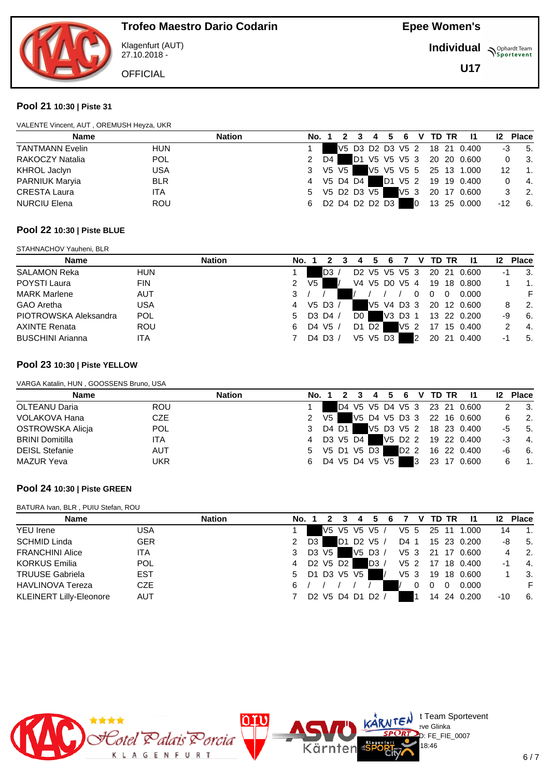

Klagenfurt (AUT) 27.10.2018 -

**OFFICIAL** 

**Epee Women's**

**Individual Supplemant** Team

**U17**

#### **Pool 21 10:30 | Piste 31**

| Name                   |            | <b>Nation</b> | No. 1         |    |       | 3        | -4 | -5                                                                         | 6   |   | V TD TR | - 11                         | 12 <sup>12</sup> | <b>Place</b>     |
|------------------------|------------|---------------|---------------|----|-------|----------|----|----------------------------------------------------------------------------|-----|---|---------|------------------------------|------------------|------------------|
| <b>TANTMANN Evelin</b> | <b>HUN</b> |               |               |    |       |          |    |                                                                            |     |   |         | V5 D3 D2 D3 V5 2 18 21 0.400 | -3               | 5.               |
| RAKOCZY Natalia        | <b>POL</b> |               | 2             | D4 |       |          |    |                                                                            |     |   |         | D1 V5 V5 V5 3 20 20 0.600    | 0                | - 3.             |
| <b>KHROL Jaclyn</b>    | <b>USA</b> |               | 3             |    | V5 V5 |          |    |                                                                            |     |   |         | V5 V5 V5 5 25 13 1.000       | 12               | $\overline{1}$ . |
| PARNIUK Maryia         | <b>BLR</b> |               | 4             |    |       | V5 D4 D4 |    | D1 V5 2                                                                    |     |   |         |                              | 0                | -4.              |
| <b>CRESTA Laura</b>    | ITA.       |               | 5 V5 D2 D3 V5 |    |       |          |    |                                                                            | V53 |   |         | 20 17 0.600                  | 3                | - 2.             |
| <b>NURCIU Elena</b>    | <b>ROU</b> |               | 6             |    |       |          |    | D <sub>2</sub> D <sub>4</sub> D <sub>2</sub> D <sub>2</sub> D <sub>3</sub> |     | 0 |         | 13 25 0.000                  | $-12$            | -6.              |

#### **Pool 22 10:30 | Piste BLUE**

#### STAHNACHOV Yauheni, BLR

| <b>Name</b>             |            | <b>Nation</b> | No. |    |                                   |      |          |                                                               |                 | v |       | TD TR |             |    | <b>Place</b> |
|-------------------------|------------|---------------|-----|----|-----------------------------------|------|----------|---------------------------------------------------------------|-----------------|---|-------|-------|-------------|----|--------------|
| <b>SALAMON Reka</b>     | <b>HUN</b> |               |     |    | D3                                |      |          | D <sub>2</sub> V <sub>5</sub> V <sub>5</sub> V <sub>5</sub> 3 |                 |   | 20 21 |       | 0.600       | -1 | -3.          |
| <b>POYSTI Laura</b>     | <b>FIN</b> |               | 2   | V5 |                                   |      |          | V4 V5 D0 V5 4                                                 |                 |   |       |       | 19 18 0.800 |    |              |
| <b>MARK Marlene</b>     | <b>AUT</b> |               | 3   |    |                                   |      |          |                                                               |                 |   |       | 0     | 0.000       |    | F            |
| GAO Aretha              | USA        |               | 4   |    | V <sub>5</sub> D <sub>3</sub> $/$ |      |          | V5 V4 D3 3                                                    |                 |   |       |       | 20 12 0.600 |    | 2.           |
| PIOTROWSKA Aleksandra   | <b>POL</b> |               | 5.  |    | D3 D4                             | DO I |          |                                                               | V3 D3 1         |   |       |       | 13 22 0.200 | -9 | - 6.         |
| <b>AXINTE Renata</b>    | <b>ROU</b> |               | 6   |    | D4 V5                             | D1   | D2 i     |                                                               | V5 <sub>2</sub> |   | 17    |       | 15 0.400    |    | 4.           |
| <b>BUSCHINI Arianna</b> | ITA        |               |     |    | D4 D3                             |      | V5 V5 D3 |                                                               |                 |   | 20    | -21   | 0.400       | -1 | -5.          |

#### **Pool 23 10:30 | Piste YELLOW**

#### VARGA Katalin, HUN , GOOSSENS Bruno, USA

| <b>Name</b>            |            | <b>Nation</b><br>No. 1 |                |  |  | 2 3 4 5 6 V TD TR | - 11                         |    | 12 Place                    |
|------------------------|------------|------------------------|----------------|--|--|-------------------|------------------------------|----|-----------------------------|
| OLTEANU Daria          | <b>ROU</b> |                        |                |  |  |                   | D4 V5 V5 D4 V5 3 23 21 0.600 |    | 3.                          |
| VOLAKOVA Hana          | CZE        | 2 V <sub>5</sub>       |                |  |  |                   | V5 D4 V5 D3 3 22 16 0.600    | 6  | $\overline{\phantom{a}}$ 2. |
| OSTROWSKA Alicja       | <b>POL</b> | 3 D4 D1                |                |  |  |                   | V5 D3 V5 2 18 23 0.400       |    | $-5$ 5.                     |
| <b>BRINI Domitilla</b> | ITA        | 4                      | D3 V5 D4       |  |  |                   | V5 D2 2 19 22 0.400          | -3 | $\overline{4}$ .            |
| <b>DEISL Stefanie</b>  | <b>AUT</b> | 5 V5 D1 V5 D3          |                |  |  |                   | D2 2 16 22 0.400             | -6 | 6.                          |
| MAZUR Yeva             | <b>UKR</b> | 6                      | D4 V5 D4 V5 V5 |  |  |                   | 3 23 17 0.600                | 6  | $\overline{1}$ .            |

#### **Pool 24 10:30 | Piste GREEN**

#### BATURA Ivan, BLR , PUIU Stefan, ROU

| <b>Name</b>                    |            | <b>Nation</b> | No. 1 |                |                                                                              |                                 |     | 6 |      | v    |       | TD TR | -11         | $12 \,$ | <b>Place</b> |
|--------------------------------|------------|---------------|-------|----------------|------------------------------------------------------------------------------|---------------------------------|-----|---|------|------|-------|-------|-------------|---------|--------------|
| <b>YEU</b> Irene               | USA        |               |       |                | V5 V5 V5 V5 /                                                                |                                 |     |   |      | V5 5 | 25 11 |       | 1.000       | 14      | 1.           |
| <b>SCHMID Linda</b>            | <b>GER</b> |               | 2     | D <sub>3</sub> | D1                                                                           | D <sub>2</sub> V <sub>5</sub> / |     |   | D4 1 |      |       |       | 15 23 0.200 | -8      | - 5.         |
| <b>FRANCHINI Alice</b>         | ITA        |               |       | D3 V5          |                                                                              | V5 D3 /                         |     |   | V53  |      |       |       | 21 17 0.600 |         | 2.           |
| <b>KORKUS Emilia</b>           | <b>POL</b> |               | 4     |                | D2 V5 D2                                                                     |                                 | D3/ |   | V5 2 |      | 17    |       | 18 0.400    | -1      | 4.           |
| <b>TRUUSE Gabriela</b>         | <b>EST</b> |               | 5     |                | D1 D3 V5 V5                                                                  |                                 |     |   | V53  |      | 19    |       | 18 0.600    |         | 3.           |
| <b>HAVLINOVA Tereza</b>        | <b>CZE</b> |               | 6     |                |                                                                              |                                 |     |   |      |      | 0     |       | 0.000       |         |              |
| <b>KLEINERT Lilly-Eleonore</b> | <b>AUT</b> |               |       |                | D <sub>2</sub> V <sub>5</sub> D <sub>4</sub> D <sub>1</sub> D <sub>2</sub> / |                                 |     |   |      |      | 14    |       | 24 0.200    | -10     | 6.           |



 $\bigcup_{v \in \mathcal{F}} \mathbb{I}$  Team Sportevent

 $D: FE$  FIE 0007  $18:46$ 

**N'Y'License:** Bye Glinka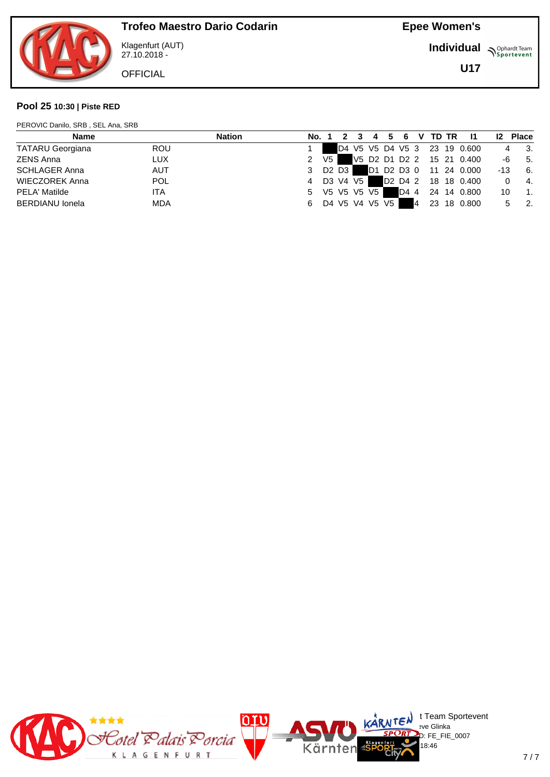

Klagenfurt (AUT) 27.10.2018 -

**OFFICIAL** 

**Individual Supplemant** Team

**U17**

#### **Pool 25 10:30 | Piste RED**

| PEROVIC Danilo, SRB, SEL Ana, SRB |               |                       |      |            |             |                |            |   |         |                              |                 |                                  |
|-----------------------------------|---------------|-----------------------|------|------------|-------------|----------------|------------|---|---------|------------------------------|-----------------|----------------------------------|
| <b>Name</b>                       | <b>Nation</b> | No. $1\quad 2\quad 3$ |      |            | 4           | 5              | 6          |   | V TD TR | - 11                         | 12 <sup>2</sup> | <b>Place</b>                     |
| TATARU Georgiana                  | ROU           |                       |      |            |             |                |            |   |         | D4 V5 V5 D4 V5 3 23 19 0.600 |                 | $\overline{\phantom{a}}$ 3.<br>4 |
| <b>ZENS Anna</b>                  | <b>LUX</b>    | $\mathcal{P}$         | V5 I |            |             |                |            |   |         | V5 D2 D1 D2 2 15 21 0.400    | -6              | 5.                               |
| <b>SCHLAGER Anna</b>              | <b>AUT</b>    | 3                     |      | D2 D3 I    |             |                | D1 D2 D3 0 |   |         | 11 24 0.000                  | -13             | - 6.                             |
| <b>WIECZOREK Anna</b>             | <b>POL</b>    | 4                     |      | D3 V4 V5 I |             |                | D2 D4 2    |   |         | 18 18 0.400                  |                 | $\overline{4}$                   |
| <b>PELA' Matilde</b>              | <b>ITA</b>    | 5                     |      |            | V5 V5 V5 V5 |                | D4 4       |   |         | 24 14 0.800                  | 10              | $\blacksquare$ 1.                |
| <b>BERDIANU</b> Ionela            | <b>MDA</b>    | 6                     |      |            |             | D4 V5 V4 V5 V5 |            | 4 |         | 23 18 0.800                  |                 | $\overline{2}$<br>5              |

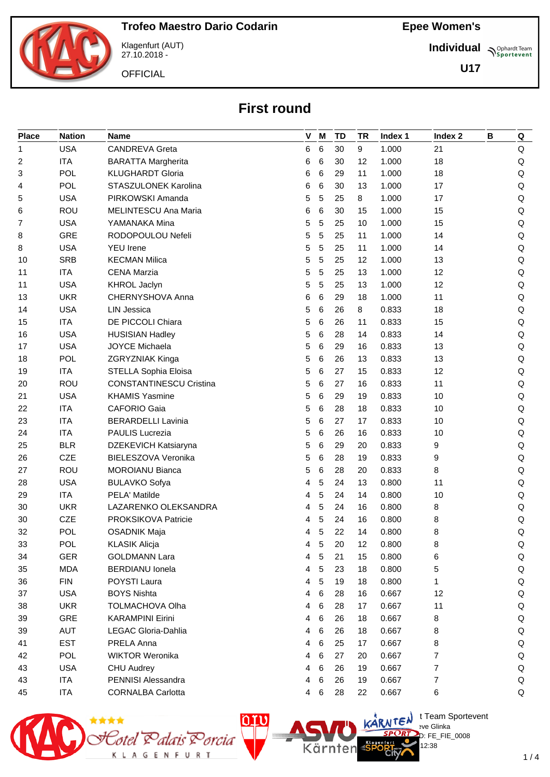

Klagenfurt (AUT) 27.10.2018 -

**OFFICIAL** 

**Individual Supplemant** Team

**U17**

# **First round**

| <b>Place</b>   | <b>Nation</b> | <b>Name</b>                    | V | M | <b>TD</b> | <b>TR</b> | Index 1 | Index 2        | B | Q       |
|----------------|---------------|--------------------------------|---|---|-----------|-----------|---------|----------------|---|---------|
| 1              | <b>USA</b>    | <b>CANDREVA Greta</b>          | 6 | 6 | 30        | 9         | 1.000   | 21             |   | Q       |
| 2              | <b>ITA</b>    | <b>BARATTA Margherita</b>      | 6 | 6 | 30        | 12        | 1.000   | 18             |   | Q       |
| 3              | POL           | <b>KLUGHARDT Gloria</b>        | 6 | 6 | 29        | 11        | 1.000   | 18             |   | Q       |
| 4              | POL           | STASZULONEK Karolina           | 6 | 6 | 30        | 13        | 1.000   | 17             |   | Q       |
| 5              | <b>USA</b>    | PIRKOWSKI Amanda               | 5 | 5 | 25        | 8         | 1.000   | 17             |   | Q       |
| 6              | ROU           | <b>MELINTESCU Ana Maria</b>    | 6 | 6 | 30        | 15        | 1.000   | 15             |   | $\sf Q$ |
| $\overline{7}$ | <b>USA</b>    | YAMANAKA Mina                  | 5 | 5 | 25        | 10        | 1.000   | 15             |   | Q       |
| 8              | <b>GRE</b>    | RODOPOULOU Nefeli              | 5 | 5 | 25        | 11        | 1.000   | 14             |   | Q       |
| 8              | <b>USA</b>    | <b>YEU</b> Irene               | 5 | 5 | 25        | 11        | 1.000   | 14             |   | Q       |
| 10             | <b>SRB</b>    | <b>KECMAN Milica</b>           | 5 | 5 | 25        | 12        | 1.000   | 13             |   | Q       |
| 11             | <b>ITA</b>    | <b>CENA Marzia</b>             | 5 | 5 | 25        | 13        | 1.000   | 12             |   | Q       |
| 11             | <b>USA</b>    | KHROL Jaclyn                   | 5 | 5 | 25        | 13        | 1.000   | 12             |   | Q       |
| 13             | <b>UKR</b>    | CHERNYSHOVA Anna               | 6 | 6 | 29        | 18        | 1.000   | 11             |   | Q       |
| 14             | <b>USA</b>    | <b>LIN Jessica</b>             | 5 | 6 | 26        | 8         | 0.833   | 18             |   | Q       |
| 15             | <b>ITA</b>    | DE PICCOLI Chiara              | 5 | 6 | 26        | 11        | 0.833   | 15             |   | Q       |
| 16             | <b>USA</b>    | <b>HUSISIAN Hadley</b>         | 5 | 6 | 28        | 14        | 0.833   | 14             |   | Q       |
| 17             | <b>USA</b>    | <b>JOYCE Michaela</b>          | 5 | 6 | 29        | 16        | 0.833   | 13             |   | Q       |
| 18             | <b>POL</b>    | ZGRYZNIAK Kinga                | 5 | 6 | 26        | 13        | 0.833   | 13             |   | Q       |
| 19             | <b>ITA</b>    | STELLA Sophia Eloisa           | 5 | 6 | 27        | 15        | 0.833   | 12             |   | Q       |
| 20             | ROU           | <b>CONSTANTINESCU Cristina</b> | 5 | 6 | 27        | 16        | 0.833   | 11             |   | Q       |
| 21             | <b>USA</b>    | <b>KHAMIS Yasmine</b>          | 5 | 6 | 29        | 19        | 0.833   | 10             |   | Q       |
| 22             | <b>ITA</b>    | <b>CAFORIO Gaia</b>            | 5 | 6 | 28        | 18        | 0.833   | 10             |   | Q       |
| 23             | <b>ITA</b>    | <b>BERARDELLI Lavinia</b>      | 5 | 6 | 27        | 17        | 0.833   | 10             |   | Q       |
| 24             | <b>ITA</b>    | PAULIS Lucrezia                | 5 | 6 | 26        | 16        | 0.833   | 10             |   | Q       |
| 25             | <b>BLR</b>    | DZEKEVICH Katsiaryna           | 5 | 6 | 29        | 20        | 0.833   | 9              |   | Q       |
| 26             | <b>CZE</b>    | BIELESZOVA Veronika            | 5 | 6 | 28        | 19        | 0.833   | 9              |   | Q       |
| 27             | ROU           | <b>MOROIANU Bianca</b>         | 5 | 6 | 28        | 20        | 0.833   | 8              |   | Q       |
| 28             | <b>USA</b>    | <b>BULAVKO Sofya</b>           | 4 | 5 | 24        | 13        | 0.800   | 11             |   | Q       |
| 29             | <b>ITA</b>    | PELA' Matilde                  | 4 | 5 | 24        | 14        | 0.800   | 10             |   | Q       |
| 30             | <b>UKR</b>    | LAZARENKO OLEKSANDRA           | 4 | 5 | 24        | 16        | 0.800   | 8              |   | Q       |
| 30             | CZE           | PROKSIKOVA Patricie            | 4 | 5 | 24        | 16        | 0.800   | 8              |   | Q       |
| 32             | <b>POL</b>    | <b>OSADNIK Maja</b>            | 4 | 5 | 22        | 14        | 0.800   | 8              |   | Q       |
| 33             | POL           | <b>KLASIK Alicja</b>           | 4 | 5 | 20        | 12        | 0.800   | 8              |   | Q       |
| 34             | <b>GER</b>    | <b>GOLDMANN Lara</b>           | 4 | 5 | 21        | 15        | 0.800   | 6              |   | Q       |
| 35             | <b>MDA</b>    | <b>BERDIANU</b> Ionela         | 4 | 5 | 23        | 18        | 0.800   | 5              |   | Q       |
| 36             | <b>FIN</b>    | POYSTI Laura                   | 4 | 5 | 19        | 18        | 0.800   | $\mathbf 1$    |   | Q       |
| 37             | <b>USA</b>    | <b>BOYS Nishta</b>             | 4 | 6 | 28        | 16        | 0.667   | 12             |   | Q       |
| 38             | <b>UKR</b>    | TOLMACHOVA Olha                | 4 | 6 | 28        | 17        | 0.667   | 11             |   | Q       |
| 39             | GRE           | <b>KARAMPINI Eirini</b>        | 4 | 6 | 26        | 18        | 0.667   | 8              |   | Q       |
| 39             | <b>AUT</b>    | LEGAC Gloria-Dahlia            | 4 | 6 | 26        | 18        | 0.667   | 8              |   | Q       |
| 41             | <b>EST</b>    | PRELA Anna                     | 4 | 6 | 25        | 17        | 0.667   | 8              |   | Q       |
| 42             | <b>POL</b>    | <b>WIKTOR Weronika</b>         | 4 | 6 | 27        | 20        | 0.667   | $\overline{7}$ |   | Q       |
| 43             | <b>USA</b>    | <b>CHU Audrey</b>              | 4 | 6 | 26        | 19        | 0.667   | 7              |   | Q       |
| 43             | <b>ITA</b>    | PENNISI Alessandra             | 4 | 6 | 26        | 19        | 0.667   | 7              |   | Q       |
| 45             | <b>ITA</b>    | <b>CORNALBA Carlotta</b>       | 4 | 6 | 28        | 22        | 0.667   | 6              |   | Q       |



 $1/4$ 

 $\bigcup_{v \in \mathcal{F}} \mathbb{I}$  Team Sportevent

12:38

 $D: FE$  FIE 0008

**N'Y'License:** Bye Glinka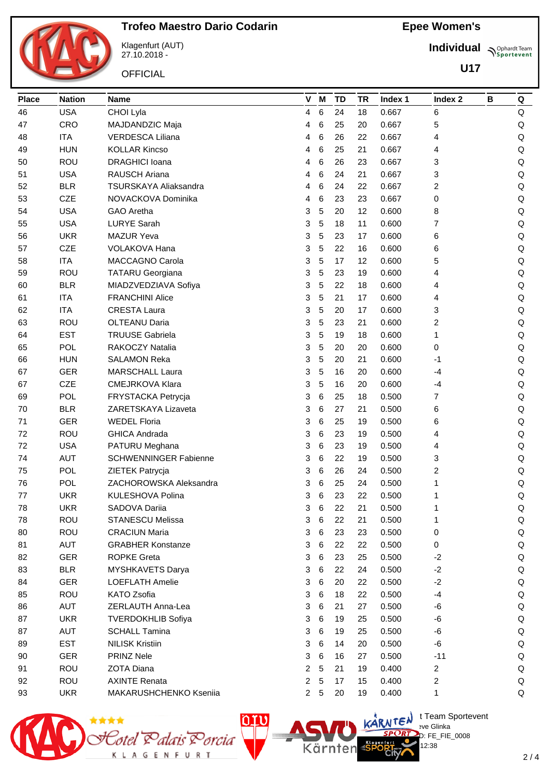

Klagenfurt (AUT) 27.10.2018 -

**OFFICIAL** 

**Individual Supplemant** Team

**U17**

| <b>Place</b> | <b>Nation</b> | <b>Name</b>                  |                | V M |   | TD | <b>TR</b> | Index 1 | Index 2   | B | Q           |
|--------------|---------------|------------------------------|----------------|-----|---|----|-----------|---------|-----------|---|-------------|
| 46           | <b>USA</b>    | CHOI Lyla                    | 4              |     | 6 | 24 | 18        | 0.667   | 6         |   | Q           |
| 47           | CRO           | MAJDANDZIC Maja              | 4              |     | 6 | 25 | 20        | 0.667   | 5         |   | Q           |
| 48           | <b>ITA</b>    | <b>VERDESCA Liliana</b>      | 4              |     | 6 | 26 | 22        | 0.667   | 4         |   | Q           |
| 49           | <b>HUN</b>    | <b>KOLLAR Kincso</b>         | 4              |     | 6 | 25 | 21        | 0.667   | 4         |   | Q           |
| 50           | <b>ROU</b>    | <b>DRAGHICI Ioana</b>        | 4              |     | 6 | 26 | 23        | 0.667   | 3         |   | $\mathsf Q$ |
| 51           | <b>USA</b>    | RAUSCH Ariana                | 4              |     | 6 | 24 | 21        | 0.667   | 3         |   | Q           |
| 52           | <b>BLR</b>    | TSURSKAYA Aliaksandra        | 4              |     | 6 | 24 | 22        | 0.667   | 2         |   | Q           |
| 53           | <b>CZE</b>    | NOVACKOVA Dominika           | 4              |     | 6 | 23 | 23        | 0.667   | 0         |   | Q           |
| 54           | <b>USA</b>    | <b>GAO</b> Aretha            | 3              |     | 5 | 20 | 12        | 0.600   | 8         |   | $\mathsf Q$ |
| 55           | <b>USA</b>    | <b>LURYE Sarah</b>           | 3              |     | 5 | 18 | 11        | 0.600   | 7         |   | $\sf Q$     |
| 56           | <b>UKR</b>    | <b>MAZUR Yeva</b>            | 3              |     | 5 | 23 | 17        | 0.600   | 6         |   | Q           |
| 57           | <b>CZE</b>    | VOLAKOVA Hana                | 3              |     | 5 | 22 | 16        | 0.600   | 6         |   | Q           |
| 58           | <b>ITA</b>    | MACCAGNO Carola              | 3              |     | 5 | 17 | 12        | 0.600   | 5         |   | $\sf Q$     |
| 59           | <b>ROU</b>    | <b>TATARU Georgiana</b>      | 3              |     | 5 | 23 | 19        | 0.600   | 4         |   | $\sf Q$     |
| 60           | <b>BLR</b>    | MIADZVEDZIAVA Sofiya         | 3              |     | 5 | 22 | 18        | 0.600   | 4         |   | Q           |
| 61           | <b>ITA</b>    | <b>FRANCHINI Alice</b>       | 3              |     | 5 | 21 | 17        | 0.600   | 4         |   | Q           |
| 62           | <b>ITA</b>    | <b>CRESTA Laura</b>          | 3              |     | 5 | 20 | 17        | 0.600   | 3         |   | $\mathsf Q$ |
| 63           | <b>ROU</b>    | <b>OLTEANU Daria</b>         | 3              |     | 5 | 23 | 21        | 0.600   | 2         |   | $\mathsf Q$ |
| 64           | <b>EST</b>    | <b>TRUUSE Gabriela</b>       | 3              |     | 5 | 19 | 18        | 0.600   | 1         |   | $\sf Q$     |
| 65           | <b>POL</b>    | RAKOCZY Natalia              | 3              |     | 5 | 20 | 20        | 0.600   | 0         |   | $\mathsf Q$ |
| 66           | <b>HUN</b>    | <b>SALAMON Reka</b>          | 3              |     | 5 | 20 | 21        | 0.600   | -1        |   | Q           |
| 67           | <b>GER</b>    | <b>MARSCHALL Laura</b>       | 3              |     | 5 | 16 | 20        | 0.600   | $-4$      |   | $\sf Q$     |
| 67           | <b>CZE</b>    | <b>CMEJRKOVA Klara</b>       | 3              |     | 5 | 16 | 20        | 0.600   | $-4$      |   | Q           |
| 69           | <b>POL</b>    | FRYSTACKA Petrycja           | 3              |     | 6 | 25 | 18        | 0.500   | 7         |   | Q           |
| 70           | <b>BLR</b>    | ZARETSKAYA Lizaveta          | 3              |     | 6 | 27 | 21        | 0.500   | 6         |   | Q           |
| 71           | <b>GER</b>    | <b>WEDEL Floria</b>          | 3              |     | 6 | 25 | 19        | 0.500   | 6         |   | Q           |
| 72           | ROU           | <b>GHICA Andrada</b>         | 3              |     | 6 | 23 | 19        | 0.500   | 4         |   | $\sf Q$     |
| 72           | <b>USA</b>    | PATURU Meghana               | 3              |     | 6 | 23 | 19        | 0.500   | 4         |   | Q           |
| 74           | <b>AUT</b>    | <b>SCHWENNINGER Fabienne</b> | 3              |     | 6 | 22 | 19        | 0.500   | 3         |   | Q           |
| 75           | <b>POL</b>    | ZIETEK Patrycja              | 3              |     | 6 | 26 | 24        | 0.500   | 2         |   | $\sf Q$     |
| 76           | <b>POL</b>    | ZACHOROWSKA Aleksandra       | 3              |     | 6 | 25 | 24        | 0.500   | 1         |   | Q           |
| 77           | <b>UKR</b>    | KULESHOVA Polina             | 3              |     | 6 | 23 | 22        | 0.500   | 1         |   | Q           |
| 78           | UKR           | SADOVA Dariia                | 3              |     | 6 | 22 | 21        | 0.500   | 1         |   | Q           |
| 78           | ROU           | <b>STANESCU Melissa</b>      | 3              |     | 6 | 22 | 21        | 0.500   | 1         |   | Q           |
| 80           | ROU           | <b>CRACIUN Maria</b>         | 3              |     | 6 | 23 | 23        | 0.500   | 0         |   | Q           |
| 81           | <b>AUT</b>    | <b>GRABHER Konstanze</b>     | 3              |     | 6 | 22 | 22        | 0.500   | $\pmb{0}$ |   | Q           |
| 82           | <b>GER</b>    | <b>ROPKE Greta</b>           | 3              |     | 6 | 23 | 25        | 0.500   | $-2$      |   | Q           |
| 83           | <b>BLR</b>    | MYSHKAVETS Darya             | 3              |     | 6 | 22 | 24        | 0.500   | $-2$      |   | Q           |
| 84           | <b>GER</b>    | LOEFLATH Amelie              | 3              |     | 6 | 20 | 22        | 0.500   | $-2$      |   | Q           |
| 85           | ROU           | KATO Zsofia                  | 3              |     | 6 | 18 | 22        | 0.500   | $-4$      |   | Q           |
| 86           | <b>AUT</b>    | ZERLAUTH Anna-Lea            | 3              |     | 6 | 21 | 27        | 0.500   | -6        |   | Q           |
| 87           | <b>UKR</b>    | <b>TVERDOKHLIB Sofiya</b>    | 3              |     | 6 | 19 | 25        | 0.500   | -6        |   | Q           |
| 87           | <b>AUT</b>    | <b>SCHALL Tamina</b>         | 3              |     | 6 | 19 | 25        | 0.500   | -6        |   | Q           |
| 89           | <b>EST</b>    | <b>NILISK Kristiin</b>       | 3              |     | 6 | 14 | 20        | 0.500   | -6        |   | Q           |
| 90           | <b>GER</b>    | PRINZ Nele                   | 3              |     | 6 | 16 | 27        | 0.500   | $-11$     |   | Q           |
| 91           | ROU           | ZOTA Diana                   | 2              |     | 5 | 21 | 19        | 0.400   | 2         |   | Q           |
| 92           | ROU           | <b>AXINTE Renata</b>         | 2              |     | 5 | 17 | 15        | 0.400   | 2         |   | Q           |
| 93           | <b>UKR</b>    | MAKARUSHCHENKO Kseniia       | $\overline{2}$ |     | 5 | 20 | 19        | 0.400   | 1         |   | Q           |



 $\bigcup_{v \in \mathcal{F}} \mathbb{I}$  Team Sportevent

12:38

 $D: FE$  FIE 0008

**N'Y'License:** Bye Glinka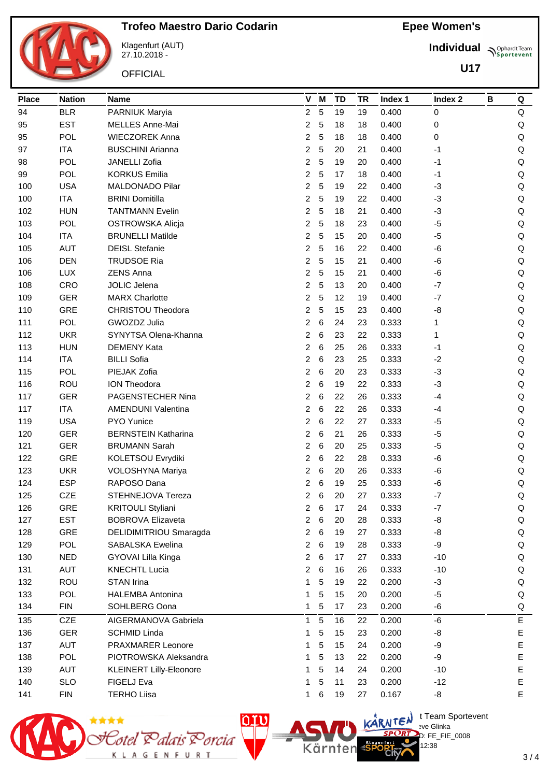

Klagenfurt (AUT) 27.10.2018 -

**OFFICIAL** 

**Individual Supplemant** Team

**U17**

| <b>Place</b> | <b>Nation</b> | <b>Name</b>                    | V                       | M          | TD | TR | Index 1 | Index 2 | в | Q           |
|--------------|---------------|--------------------------------|-------------------------|------------|----|----|---------|---------|---|-------------|
| 94           | <b>BLR</b>    | PARNIUK Maryia                 | 2                       | 5          | 19 | 19 | 0.400   | 0       |   | Q           |
| 95           | <b>EST</b>    | MELLES Anne-Mai                | 2                       | 5          | 18 | 18 | 0.400   | 0       |   | Q           |
| 95           | POL           | <b>WIECZOREK Anna</b>          | 2                       | 5          | 18 | 18 | 0.400   | 0       |   | $\sf Q$     |
| 97           | <b>ITA</b>    | <b>BUSCHINI Arianna</b>        | 2                       | 5          | 20 | 21 | 0.400   | -1      |   | $\sf Q$     |
| 98           | <b>POL</b>    | <b>JANELLI Zofia</b>           | 2                       | 5          | 19 | 20 | 0.400   | -1      |   | $\sf Q$     |
| 99           | <b>POL</b>    | <b>KORKUS Emilia</b>           | $\overline{\mathbf{c}}$ | 5          | 17 | 18 | 0.400   | $-1$    |   | $\sf Q$     |
| 100          | <b>USA</b>    | MALDONADO Pilar                | 2                       | 5          | 19 | 22 | 0.400   | -3      |   | $\sf Q$     |
| 100          | <b>ITA</b>    | <b>BRINI Domitilla</b>         | 2                       | 5          | 19 | 22 | 0.400   | $-3$    |   | $\sf Q$     |
| 102          | <b>HUN</b>    | <b>TANTMANN Evelin</b>         | 2                       | 5          | 18 | 21 | 0.400   | $-3$    |   | $\sf Q$     |
| 103          | <b>POL</b>    | <b>OSTROWSKA Alicja</b>        | 2                       | 5          | 18 | 23 | 0.400   | $-5$    |   | $\sf Q$     |
| 104          | <b>ITA</b>    | <b>BRUNELLI Matilde</b>        | 2                       | 5          | 15 | 20 | 0.400   | -5      |   | $\sf Q$     |
| 105          | <b>AUT</b>    | <b>DEISL Stefanie</b>          | 2                       | 5          | 16 | 22 | 0.400   | -6      |   | $\sf Q$     |
| 106          | <b>DEN</b>    | <b>TRUDSOE Ria</b>             | 2                       | 5          | 15 | 21 | 0.400   | -6      |   | $\sf Q$     |
| 106          | <b>LUX</b>    | <b>ZENS Anna</b>               | 2                       | 5          | 15 | 21 | 0.400   | -6      |   | $\sf Q$     |
| 108          | CRO           | <b>JOLIC Jelena</b>            | 2                       | 5          | 13 | 20 | 0.400   | $-7$    |   | Q           |
| 109          | <b>GER</b>    | <b>MARX Charlotte</b>          | 2                       | 5          | 12 | 19 | 0.400   | $-7$    |   | $\sf Q$     |
| 110          | GRE           | CHRISTOU Theodora              | 2                       | 5          | 15 | 23 | 0.400   | -8      |   | $\sf Q$     |
| 111          | <b>POL</b>    | GWOZDZ Julia                   | 2                       | 6          | 24 | 23 | 0.333   | 1       |   | $\sf Q$     |
| 112          | <b>UKR</b>    | SYNYTSA Olena-Khanna           | 2                       | 6          | 23 | 22 | 0.333   | 1       |   | $\sf Q$     |
| 113          | <b>HUN</b>    | <b>DEMENY Kata</b>             | 2                       | 6          | 25 | 26 | 0.333   | -1      |   | $\sf Q$     |
| 114          | <b>ITA</b>    | <b>BILLI Sofia</b>             | 2                       | 6          | 23 | 25 | 0.333   | -2      |   | $\sf Q$     |
| 115          | <b>POL</b>    | PIEJAK Zofia                   | 2                       | 6          | 20 | 23 | 0.333   | $-3$    |   | $\sf Q$     |
| 116          | ROU           | <b>ION Theodora</b>            | 2                       | 6          | 19 | 22 | 0.333   | -3      |   | $\sf Q$     |
| 117          | <b>GER</b>    | PAGENSTECHER Nina              | 2                       | 6          | 22 | 26 | 0.333   | $-4$    |   | $\sf Q$     |
| 117          | <b>ITA</b>    | <b>AMENDUNI Valentina</b>      | 2                       | 6          | 22 | 26 | 0.333   | $-4$    |   | $\sf Q$     |
| 119          | <b>USA</b>    | PYO Yunice                     | 2                       | 6          | 22 | 27 | 0.333   | -5      |   | $\sf Q$     |
| 120          | <b>GER</b>    | <b>BERNSTEIN Katharina</b>     | 2                       | 6          | 21 | 26 | 0.333   | $-5$    |   | $\sf Q$     |
| 121          | <b>GER</b>    | <b>BRUMANN Sarah</b>           | 2                       | 6          | 20 | 25 | 0.333   | -5      |   | Q           |
| 122          | GRE           | KOLETSOU Evrydiki              | 2                       | 6          | 22 | 28 | 0.333   | -6      |   | Q           |
| 123          | <b>UKR</b>    | VOLOSHYNA Mariya               | 2                       | 6          | 20 | 26 | 0.333   | -6      |   | $\sf Q$     |
| 124          | <b>ESP</b>    | RAPOSO Dana                    | 2                       | 6          | 19 | 25 | 0.333   | -6      |   | Q           |
| 125          | <b>CZE</b>    | STEHNEJOVA Tereza              | $\overline{\mathbf{c}}$ | 6          | 20 | 27 | 0.333   | $-7$    |   | Q           |
| 126          | <b>GRE</b>    | <b>KRITOULI Styliani</b>       | $\mathcal{P}$           | 6          | 17 | 24 | 0.333   | -7      |   | Q           |
| 127          | <b>EST</b>    | <b>BOBROVA Elizaveta</b>       | 2                       | 6          | 20 | 28 | 0.333   | -8      |   | Q           |
| 128          | GRE           | DELIDIMITRIOU Smaragda         | 2                       | 6          | 19 | 27 | 0.333   | -8      |   | Q           |
| 129          | <b>POL</b>    | SABALSKA Ewelina               | 2                       | 6          | 19 | 28 | 0.333   | -9      |   | Q           |
| 130          | <b>NED</b>    | GYOVAI Lilla Kinga             | 2                       | 6          | 17 | 27 | 0.333   | $-10$   |   | Q           |
| 131          | <b>AUT</b>    | <b>KNECHTL Lucia</b>           | 2                       | 6          | 16 | 26 | 0.333   | $-10$   |   | Q           |
| 132          | <b>ROU</b>    | STAN Irina                     | 1                       | 5          | 19 | 22 | 0.200   | $-3$    |   | Q           |
| 133          | <b>POL</b>    | <b>HALEMBA Antonina</b>        | 1                       | 5          | 15 | 20 | 0.200   | $-5$    |   | Q           |
| 134          | <b>FIN</b>    | SOHLBERG Oona                  | $\mathbf{1}$            | $\sqrt{5}$ | 17 | 23 | 0.200   | -6      |   | Q           |
| 135          | CZE           | AIGERMANOVA Gabriela           | $\mathbf{1}$            | 5          | 16 | 22 | 0.200   | -6      |   | E           |
| 136          | <b>GER</b>    | <b>SCHMID Linda</b>            | 1                       | 5          | 15 | 23 | 0.200   | -8      |   | Е           |
| 137          | <b>AUT</b>    | PRAXMARER Leonore              | 1                       | 5          | 15 | 24 | 0.200   | -9      |   | $\mathsf E$ |
| 138          | <b>POL</b>    | PIOTROWSKA Aleksandra          | 1                       | 5          | 13 | 22 | 0.200   | -9      |   | E           |
| 139          | <b>AUT</b>    | <b>KLEINERT Lilly-Eleonore</b> | 1                       | 5          | 14 | 24 | 0.200   | $-10$   |   | E           |
| 140          | <b>SLO</b>    | FIGELJ Eva                     | 1                       | 5          | 11 | 23 | 0.200   | $-12$   |   | E           |
| 141          | <b>FIN</b>    | <b>TERHO Liisa</b>             | $\mathbf{1}$            | $\,6$      | 19 | 27 | 0.167   | -8      |   | E           |
|              |               |                                |                         |            |    |    |         |         |   |             |



**N'Y'License:** Bye Glinka  $D: FE$  FIE 0008 12:38

 $\bigcup_{v \in \mathcal{F}} \mathbb{I}$  Team Sportevent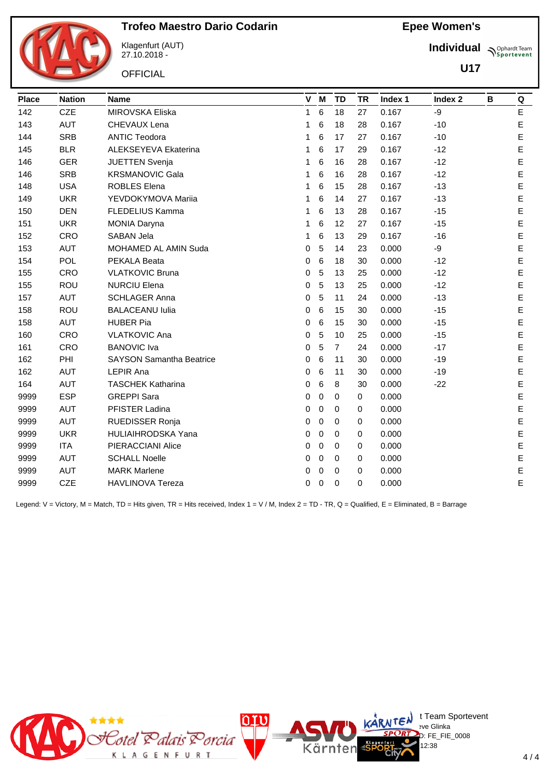

Klagenfurt (AUT) 27.10.2018 -

**OFFICIAL** 

**Individual Supplemant** Team

**U17**

| <b>Place</b> | <b>Nation</b> | <b>Name</b>                     |   |   | V M         | <b>TD</b>      | <b>TR</b> | Index 1 | Index 2 | B | Q           |
|--------------|---------------|---------------------------------|---|---|-------------|----------------|-----------|---------|---------|---|-------------|
| 142          | <b>CZE</b>    | MIROVSKA Eliska                 |   | 1 | 6           | 18             | 27        | 0.167   | -9      |   | E           |
| 143          | <b>AUT</b>    | CHEVAUX Lena                    | 1 |   | 6           | 18             | 28        | 0.167   | $-10$   |   | E           |
| 144          | <b>SRB</b>    | <b>ANTIC Teodora</b>            | 1 |   | 6           | 17             | 27        | 0.167   | $-10$   |   | E           |
| 145          | <b>BLR</b>    | ALEKSEYEVA Ekaterina            | 1 |   | 6           | 17             | 29        | 0.167   | $-12$   |   | E           |
| 146          | <b>GER</b>    | <b>JUETTEN Svenja</b>           | 1 |   | 6           | 16             | 28        | 0.167   | $-12$   |   | E           |
| 146          | <b>SRB</b>    | <b>KRSMANOVIC Gala</b>          | 1 |   | 6           | 16             | 28        | 0.167   | $-12$   |   | E           |
| 148          | <b>USA</b>    | <b>ROBLES Elena</b>             | 1 |   | 6           | 15             | 28        | 0.167   | $-13$   |   | E           |
| 149          | <b>UKR</b>    | YEVDOKYMOVA Mariia              | 1 |   | 6           | 14             | 27        | 0.167   | $-13$   |   | E           |
| 150          | <b>DEN</b>    | <b>FLEDELIUS Kamma</b>          | 1 |   | 6           | 13             | 28        | 0.167   | $-15$   |   | E           |
| 151          | <b>UKR</b>    | <b>MONIA Daryna</b>             | 1 |   | 6           | 12             | 27        | 0.167   | $-15$   |   | E           |
| 152          | CRO           | SABAN Jela                      | 1 |   | 6           | 13             | 29        | 0.167   | $-16$   |   | E           |
| 153          | <b>AUT</b>    | MOHAMED AL AMIN Suda            | 0 |   | 5           | 14             | 23        | 0.000   | -9      |   | E           |
| 154          | POL           | PEKALA Beata                    | 0 |   | 6           | 18             | 30        | 0.000   | $-12$   |   | E           |
| 155          | CRO           | <b>VLATKOVIC Bruna</b>          | 0 |   | 5           | 13             | 25        | 0.000   | $-12$   |   | E           |
| 155          | ROU           | <b>NURCIU Elena</b>             | 0 |   | 5           | 13             | 25        | 0.000   | $-12$   |   | E           |
| 157          | <b>AUT</b>    | <b>SCHLAGER Anna</b>            | 0 |   | 5           | 11             | 24        | 0.000   | $-13$   |   | E           |
| 158          | ROU           | <b>BALACEANU Iulia</b>          | 0 |   | 6           | 15             | 30        | 0.000   | $-15$   |   | E           |
| 158          | <b>AUT</b>    | <b>HUBER Pia</b>                | 0 |   | 6           | 15             | 30        | 0.000   | $-15$   |   | E           |
| 160          | CRO           | <b>VLATKOVIC Ana</b>            | 0 |   | 5           | 10             | 25        | 0.000   | $-15$   |   | E           |
| 161          | CRO           | <b>BANOVIC Iva</b>              | 0 |   | 5           | $\overline{7}$ | 24        | 0.000   | $-17$   |   | E           |
| 162          | PHI           | <b>SAYSON Samantha Beatrice</b> | 0 |   | 6           | 11             | 30        | 0.000   | $-19$   |   | E           |
| 162          | <b>AUT</b>    | <b>LEPIR Ana</b>                | 0 |   | 6           | 11             | 30        | 0.000   | $-19$   |   | E           |
| 164          | <b>AUT</b>    | <b>TASCHEK Katharina</b>        | 0 |   | 6           | 8              | 30        | 0.000   | $-22$   |   | E           |
| 9999         | <b>ESP</b>    | <b>GREPPI</b> Sara              | 0 |   | $\mathbf 0$ | 0              | 0         | 0.000   |         |   | E           |
| 9999         | <b>AUT</b>    | PFISTER Ladina                  | 0 |   | $\mathbf 0$ | 0              | 0         | 0.000   |         |   | E           |
| 9999         | <b>AUT</b>    | <b>RUEDISSER Ronja</b>          | 0 |   | $\Omega$    | 0              | 0         | 0.000   |         |   | E           |
| 9999         | <b>UKR</b>    | HULIAIHRODSKA Yana              | 0 |   | $\mathbf 0$ | 0              | 0         | 0.000   |         |   | E           |
| 9999         | <b>ITA</b>    | PIERACCIANI Alice               | 0 |   | 0           | $\Omega$       | 0         | 0.000   |         |   | E           |
| 9999         | <b>AUT</b>    | <b>SCHALL Noelle</b>            | 0 |   | $\mathbf 0$ | 0              | 0         | 0.000   |         |   | $\mathsf E$ |
| 9999         | <b>AUT</b>    | <b>MARK Marlene</b>             | 0 |   | $\Omega$    | 0              | 0         | 0.000   |         |   | E           |
| 9999         | <b>CZE</b>    | <b>HAVLINOVA Tereza</b>         | 0 |   | 0           | 0              | 0         | 0.000   |         |   | E           |

Legend: V = Victory, M = Match, TD = Hits given, TR = Hits received, Index 1 = V / M, Index 2 = TD - TR, Q = Qualified, E = Eliminated, B = Barrage

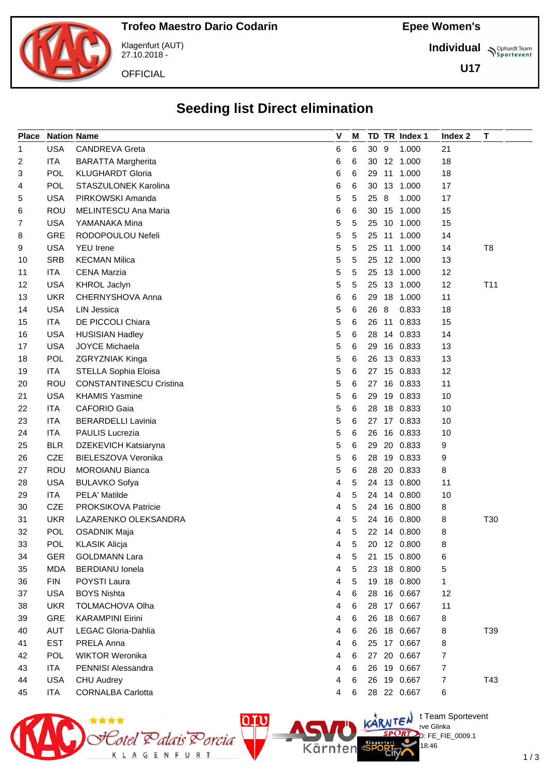

Klagenfurt (AUT) 27.10.2018 -

**OFFICIAL** 

**Individual Supplemant** Team

**U17**

# **Seeding list Direct elimination**

| <b>Place</b> |                          | <b>Nation Name</b>                          | $\mathsf{V}$ | M |      |    | TD TR Index 1 | Index 2 | $\mathbf T$     |
|--------------|--------------------------|---------------------------------------------|--------------|---|------|----|---------------|---------|-----------------|
| 1            | <b>USA</b>               | <b>CANDREVA Greta</b>                       | 6            | 6 | 30 9 |    | 1.000         | 21      |                 |
| 2            | <b>ITA</b>               | <b>BARATTA Margherita</b>                   | 6            | 6 |      |    | 30 12 1.000   | 18      |                 |
| 3            | <b>POL</b>               | <b>KLUGHARDT Gloria</b>                     | 6            | 6 | 29   | 11 | 1.000         | 18      |                 |
| 4            | <b>POL</b>               | STASZULONEK Karolina                        | 6            | 6 |      |    | 30 13 1.000   | 17      |                 |
| 5            | <b>USA</b>               | PIRKOWSKI Amanda                            | 5            | 5 | 25   | 8  | 1.000         | 17      |                 |
| 6            | <b>ROU</b>               | MELINTESCU Ana Maria                        | 6            | 6 | 30   | 15 | 1.000         | 15      |                 |
| 7            | <b>USA</b>               | YAMANAKA Mina                               | 5            | 5 | 25   | 10 | 1.000         | 15      |                 |
| 8            | GRE                      | RODOPOULOU Nefeli                           | 5            | 5 | 25   | 11 | 1.000         | 14      |                 |
| 9            | <b>USA</b>               | <b>YEU</b> Irene                            | 5            | 5 | 25   |    | 11 1.000      | 14      | T8              |
| 10           | <b>SRB</b>               | <b>KECMAN Milica</b>                        | 5            | 5 | 25   |    | 12 1.000      | 13      |                 |
| 11           | <b>ITA</b>               | <b>CENA Marzia</b>                          | 5            | 5 | 25   |    | 13 1.000      | 12      |                 |
| 12           | <b>USA</b>               | <b>KHROL Jaclyn</b>                         | 5            | 5 | 25   |    | 13 1.000      | 12      | T <sub>11</sub> |
| 13           | <b>UKR</b>               | CHERNYSHOVA Anna                            | 6            | 6 |      |    | 29 18 1.000   | 11      |                 |
| 14           | <b>USA</b>               | <b>LIN Jessica</b>                          | 5            | 6 | 26   | 8  | 0.833         | 18      |                 |
| 15           | <b>ITA</b>               | DE PICCOLI Chiara                           | 5            | 6 | 26   | 11 | 0.833         | 15      |                 |
| 16           | <b>USA</b>               | <b>HUSISIAN Hadley</b>                      | 5            | 6 | 28   |    | 14 0.833      | 14      |                 |
| 17           | <b>USA</b>               | <b>JOYCE Michaela</b>                       | 5            | 6 | 29   |    | 16 0.833      | 13      |                 |
| 18           | POL                      | ZGRYZNIAK Kinga                             | 5            | 6 | 26   |    | 13 0.833      | 13      |                 |
| 19           | <b>ITA</b>               | STELLA Sophia Eloisa                        | 5            | 6 | 27   |    | 15 0.833      | 12      |                 |
| 20           | <b>ROU</b>               | <b>CONSTANTINESCU Cristina</b>              | 5            | 6 | 27   |    | 16 0.833      | 11      |                 |
| 21           | <b>USA</b>               | <b>KHAMIS Yasmine</b>                       | 5            | 6 | 29   |    | 19 0.833      | 10      |                 |
| 22           | <b>ITA</b>               | <b>CAFORIO Gaia</b>                         | 5            | 6 | 28   |    | 18 0.833      | 10      |                 |
| 23           | <b>ITA</b>               | <b>BERARDELLI Lavinia</b>                   | 5            | 6 |      |    | 27 17 0.833   | 10      |                 |
| 24           | <b>ITA</b>               | PAULIS Lucrezia                             |              | 6 |      |    | 16 0.833      |         |                 |
|              |                          |                                             | 5            | 6 | 26   |    | 20 0.833      | 10      |                 |
| 25<br>26     | <b>BLR</b><br><b>CZE</b> | DZEKEVICH Katsiaryna<br>BIELESZOVA Veronika | 5            |   | 29   |    | 28 19 0.833   | 9       |                 |
|              | ROU                      |                                             | 5            | 6 |      |    |               | 9       |                 |
| 27           |                          | <b>MOROIANU Bianca</b>                      | 5            | 6 | 28   |    | 20 0.833      | 8       |                 |
| 28           | <b>USA</b>               | <b>BULAVKO Sofya</b><br>PELA' Matilde       | 4            | 5 | 24   |    | 13 0.800      | 11      |                 |
| 29           | <b>ITA</b>               |                                             | 4            | 5 | 24   |    | 14 0.800      | 10      |                 |
| 30           | CZE                      | PROKSIKOVA Patricie                         | 4            | 5 | 24   |    | 16 0.800      | 8       |                 |
| 31           | <b>UKR</b>               | LAZARENKO OLEKSANDRA                        | 4            | 5 | 24   |    | 16 0.800      | 8       | T30             |
| 32           | <b>POL</b>               | <b>OSADNIK Maja</b>                         | 4            | 5 |      |    | 22 14 0.800   | 8       |                 |
| 33           | POL                      | <b>KLASIK Alicja</b>                        | 4            | 5 | 20   |    | 12 0.800      | 8       |                 |
| 34           | <b>GER</b>               | <b>GOLDMANN Lara</b>                        | 4            | 5 | 21   |    | 15 0.800      | 6       |                 |
| 35           | <b>MDA</b>               | <b>BERDIANU</b> lonela                      | 4            | 5 |      |    | 23 18 0.800   | 5       |                 |
| 36           | <b>FIN</b>               | POYSTI Laura                                | 4            | 5 |      |    | 19 18 0.800   | 1       |                 |
| 37           | <b>USA</b>               | <b>BOYS Nishta</b>                          | 4            | 6 | 28   |    | 16 0.667      | 12      |                 |
| 38           | <b>UKR</b>               | <b>TOLMACHOVA Olha</b>                      | 4            | 6 |      |    | 28 17 0.667   | 11      |                 |
| 39           | <b>GRE</b>               | <b>KARAMPINI Eirini</b>                     | 4            | 6 |      |    | 26 18 0.667   | 8       |                 |
| 40           | <b>AUT</b>               | LEGAC Gloria-Dahlia                         | 4            | 6 |      |    | 26 18 0.667   | 8       | T39             |
| 41           | <b>EST</b>               | PRELA Anna                                  | 4            | 6 |      |    | 25 17 0.667   | 8       |                 |
| 42           | POL                      | <b>WIKTOR Weronika</b>                      | 4            | 6 | 27   |    | 20 0.667      | 7       |                 |
| 43           | <b>ITA</b>               | PENNISI Alessandra                          | 4            | 6 |      |    | 26 19 0.667   | 7       |                 |
| 44           | <b>USA</b>               | <b>CHU Audrey</b>                           | 4            | 6 |      |    | 26 19 0.667   | 7       | T43             |
| 45           | ITA                      | <b>CORNALBA Carlotta</b>                    | 4            | 6 | 28   |    | 22 0.667      | 6       |                 |



 $\bigcup_{v \in \mathcal{F}} \mathbb{I}$  Team Sportevent **N'Y'License:** Bye Glinka D: FE\_FIE\_0009.1 18:46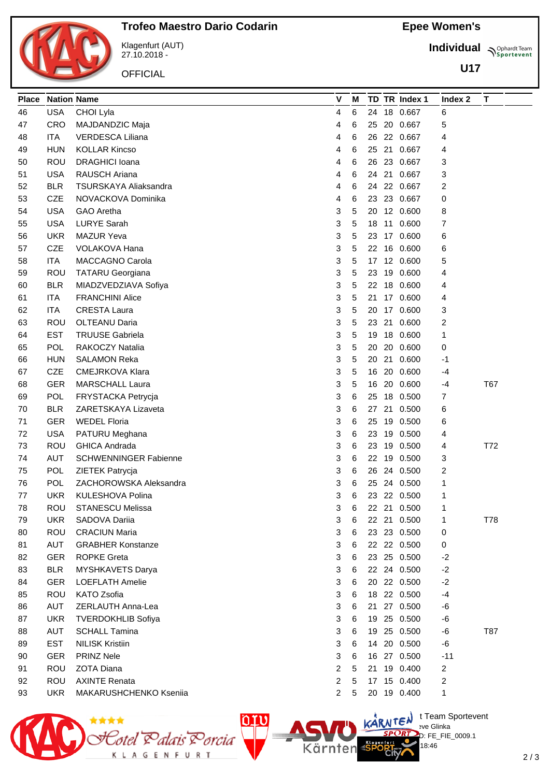

Klagenfurt (AUT) 27.10.2018 -

**OFFICIAL** 

**Individual Supplemant** Team

**U17**

| <b>Place</b> | <b>Nation Name</b> |                               | V | M |     |    | TD TR Index 1 | Index 2 | Т   |
|--------------|--------------------|-------------------------------|---|---|-----|----|---------------|---------|-----|
| 46           | <b>USA</b>         | CHOI Lyla                     | 4 | 6 | 24  |    | 18 0.667      | 6       |     |
| 47           | CRO                | MAJDANDZIC Maja               | 4 | 6 | 25  |    | 20 0.667      | 5       |     |
| 48           | <b>ITA</b>         | <b>VERDESCA Liliana</b>       | 4 | 6 | 26  |    | 22 0.667      | 4       |     |
| 49           | <b>HUN</b>         | <b>KOLLAR Kincso</b>          | 4 | 6 | 25  |    | 21 0.667      | 4       |     |
| 50           | <b>ROU</b>         | <b>DRAGHICI Ioana</b>         | 4 | 6 | 26  |    | 23 0.667      | 3       |     |
| 51           | <b>USA</b>         | <b>RAUSCH Ariana</b>          | 4 | 6 | 24  |    | 21 0.667      | 3       |     |
| 52           | <b>BLR</b>         | <b>TSURSKAYA Aliaksandra</b>  | 4 | 6 | 24  |    | 22 0.667      | 2       |     |
| 53           | <b>CZE</b>         | NOVACKOVA Dominika            | 4 | 6 | 23. |    | 23 0.667      | 0       |     |
| 54           | <b>USA</b>         | <b>GAO Aretha</b>             | 3 | 5 | 20  |    | 12 0.600      | 8       |     |
| 55           | <b>USA</b>         | <b>LURYE Sarah</b>            | 3 | 5 | 18  |    | 11 0.600      | 7       |     |
| 56           | <b>UKR</b>         | <b>MAZUR Yeva</b>             | 3 | 5 | 23  |    | 17 0.600      | 6       |     |
| 57           | <b>CZE</b>         | <b>VOLAKOVA Hana</b>          | 3 | 5 | 22  |    | 16 0.600      | 6       |     |
| 58           | <b>ITA</b>         | MACCAGNO Carola               | 3 | 5 | 17  |    | 12 0.600      | 5       |     |
| 59           | <b>ROU</b>         | <b>TATARU Georgiana</b>       | 3 | 5 | 23  |    | 19 0.600      | 4       |     |
| 60           | <b>BLR</b>         | MIADZVEDZIAVA Sofiya          | 3 | 5 | 22  |    | 18 0.600      | 4       |     |
| 61           | <b>ITA</b>         | <b>FRANCHINI Alice</b>        | 3 | 5 | 21  |    | 17 0.600      | 4       |     |
| 62           | <b>ITA</b>         | <b>CRESTA Laura</b>           | 3 | 5 | 20  |    | 17 0.600      | 3       |     |
| 63           | <b>ROU</b>         | <b>OLTEANU Daria</b>          | 3 | 5 | 23  | 21 | 0.600         | 2       |     |
| 64           | <b>EST</b>         | <b>TRUUSE Gabriela</b>        | 3 | 5 | 19  |    | 18 0.600      | 1       |     |
| 65           | <b>POL</b>         | RAKOCZY Natalia               | 3 | 5 | 20  |    | 20 0.600      | 0       |     |
| 66           | <b>HUN</b>         | <b>SALAMON Reka</b>           | 3 | 5 | 20  |    | 21 0.600      | -1      |     |
| 67           | <b>CZE</b>         | CMEJRKOVA Klara               | 3 | 5 | 16  |    | 20 0.600      | -4      |     |
| 68           | <b>GER</b>         | MARSCHALL Laura               | 3 | 5 | 16  |    | 20 0.600      | -4      | T67 |
| 69           | <b>POL</b>         | FRYSTACKA Petrycja            | 3 | 6 | 25  |    | 18 0.500      | 7       |     |
| 70           | <b>BLR</b>         | ZARETSKAYA Lizaveta           | 3 | 6 | 27  |    | 21 0.500      | 6       |     |
| 71           | <b>GER</b>         | <b>WEDEL Floria</b>           | 3 | 6 | 25  |    | 19 0.500      | 6       |     |
| 72           | <b>USA</b>         | PATURU Meghana                | 3 | 6 | 23  | 19 | 0.500         | 4       |     |
| 73           | <b>ROU</b>         | <b>GHICA Andrada</b>          | 3 | 6 | 23  |    | 19 0.500      | 4       | T72 |
| 74           | <b>AUT</b>         | <b>SCHWENNINGER Fabienne</b>  | 3 | 6 | 22  |    | 19 0.500      | 3       |     |
| 75           | <b>POL</b>         | ZIETEK Patrycja               | 3 | 6 | 26  |    | 24 0.500      | 2       |     |
| 76           | <b>POL</b>         | ZACHOROWSKA Aleksandra        | 3 | 6 | 25  |    | 24 0.500      | 1       |     |
| 77           | <b>UKR</b>         | KULESHOVA Polina              | 3 | 6 |     |    | 23 22 0.500   | 1       |     |
| 78           | ROU                | STANESCU Melissa              | 3 | 6 |     |    | 22 21 0.500   | 1       |     |
| 79           | <b>UKR</b>         | SADOVA Dariia                 | 3 | 6 |     |    | 22 21 0.500   | 1       | T78 |
| 80           | <b>ROU</b>         | <b>CRACIUN Maria</b>          | 3 | 6 |     |    | 23 23 0.500   | 0       |     |
| 81           | <b>AUT</b>         | <b>GRABHER Konstanze</b>      | 3 | 6 |     |    | 22 22 0.500   | 0       |     |
| 82           | <b>GER</b>         | <b>ROPKE Greta</b>            | 3 | 6 |     |    | 23 25 0.500   | $-2$    |     |
| 83           | <b>BLR</b>         | MYSHKAVETS Darya              | 3 | 6 |     |    | 22 24 0.500   | $-2$    |     |
| 84           | <b>GER</b>         | <b>LOEFLATH Amelie</b>        | 3 | 6 |     |    | 20 22 0.500   | $-2$    |     |
| 85           | <b>ROU</b>         | <b>KATO Zsofia</b>            | 3 | 6 | 18  |    | 22 0.500      | $-4$    |     |
| 86           | AUT                | ZERLAUTH Anna-Lea             | 3 | 6 | 21  |    | 27 0.500      | -6      |     |
| 87           | <b>UKR</b>         | <b>TVERDOKHLIB Sofiya</b>     | 3 | 6 | 19  |    | 25 0.500      | -6      |     |
| 88           | <b>AUT</b>         | <b>SCHALL Tamina</b>          | 3 | 6 |     |    | 19 25 0.500   | -6      | T87 |
| 89           | <b>EST</b>         | <b>NILISK Kristiin</b>        | 3 | 6 | 14  |    | 20 0.500      | -6      |     |
| 90           | <b>GER</b>         | <b>PRINZ Nele</b>             | 3 | 6 |     |    | 16 27 0.500   | $-11$   |     |
| 91           | <b>ROU</b>         | <b>ZOTA Diana</b>             | 2 | 5 | 21  |    | 19 0.400      | 2       |     |
| 92           | <b>ROU</b>         | <b>AXINTE Renata</b>          | 2 | 5 | 17  |    | 15 0.400      | 2       |     |
| 93           | <b>UKR</b>         | <b>MAKARUSHCHENKO Ksenija</b> | 2 | 5 | 20  |    | 19 0.400      | 1       |     |
|              |                    |                               |   |   |     |    |               |         |     |

OIU

Kärnten

<u>Sotel BalaisBorcia</u>

K L A G E N F U R T

 $\bigcup_{v \in \mathcal{F}} \mathbb{I}$  Team Sportevent

18:46

D: FE\_FIE\_0009.1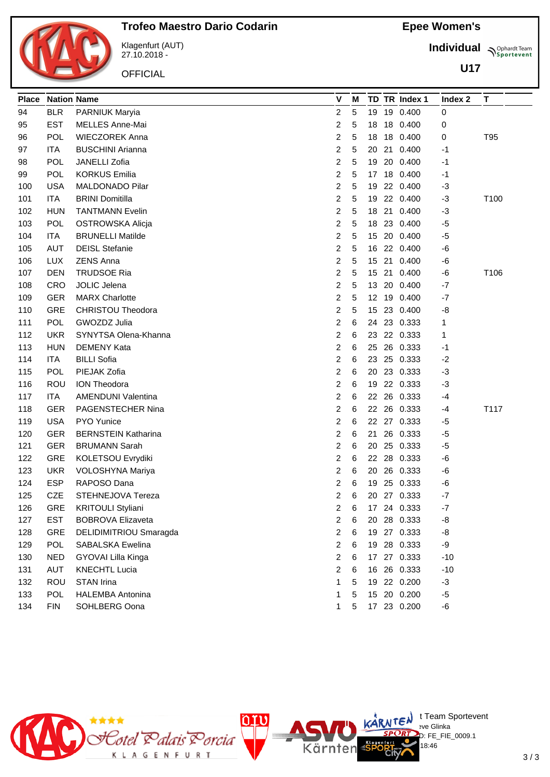

Klagenfurt (AUT) 27.10.2018 -

**OFFICIAL** 

**Individual Supplemant** Team

**U17**

| <b>Place</b> | <b>Nation Name</b> |                            | V | М |    |    | TD TR Index 1 | Index <sub>2</sub> | т    |
|--------------|--------------------|----------------------------|---|---|----|----|---------------|--------------------|------|
| 94           | <b>BLR</b>         | PARNIUK Maryia             | 2 | 5 | 19 |    | 19 0.400      | 0                  |      |
| 95           | <b>EST</b>         | <b>MELLES Anne-Mai</b>     | 2 | 5 | 18 |    | 18 0.400      | 0                  |      |
| 96           | <b>POL</b>         | <b>WIECZOREK Anna</b>      | 2 | 5 | 18 |    | 18 0.400      | 0                  | T95  |
| 97           | ITA                | <b>BUSCHINI Arianna</b>    | 2 | 5 | 20 |    | 21 0.400      | -1                 |      |
| 98           | POL                | JANELLI Zofia              | 2 | 5 | 19 |    | 20 0.400      | -1                 |      |
| 99           | POL                | <b>KORKUS Emilia</b>       | 2 | 5 | 17 |    | 18 0.400      | -1                 |      |
| 100          | <b>USA</b>         | MALDONADO Pilar            | 2 | 5 | 19 |    | 22 0.400      | $-3$               |      |
| 101          | ITA                | <b>BRINI Domitilla</b>     | 2 | 5 | 19 |    | 22 0.400      | -3                 | T100 |
| 102          | <b>HUN</b>         | <b>TANTMANN Evelin</b>     | 2 | 5 | 18 |    | 21 0.400      | -3                 |      |
| 103          | <b>POL</b>         | OSTROWSKA Alicja           | 2 | 5 | 18 |    | 23 0.400      | -5                 |      |
| 104          | ITA.               | <b>BRUNELLI Matilde</b>    | 2 | 5 | 15 |    | 20 0.400      | $-5$               |      |
| 105          | <b>AUT</b>         | <b>DEISL Stefanie</b>      | 2 | 5 | 16 |    | 22 0.400      | -6                 |      |
| 106          | <b>LUX</b>         | <b>ZENS Anna</b>           | 2 | 5 |    |    | 15 21 0.400   | -6                 |      |
| 107          | <b>DEN</b>         | <b>TRUDSOE Ria</b>         | 2 | 5 | 15 | 21 | 0.400         | -6                 | T106 |
| 108          | CRO                | <b>JOLIC Jelena</b>        | 2 | 5 | 13 |    | 20 0.400      | $-7$               |      |
| 109          | <b>GER</b>         | <b>MARX Charlotte</b>      | 2 | 5 | 12 |    | 19 0.400      | -7                 |      |
| 110          | <b>GRE</b>         | <b>CHRISTOU Theodora</b>   | 2 | 5 | 15 |    | 23 0.400      | -8                 |      |
| 111          | <b>POL</b>         | GWOZDZ Julia               | 2 | 6 | 24 |    | 23 0.333      | 1                  |      |
| 112          | <b>UKR</b>         | SYNYTSA Olena-Khanna       | 2 | 6 | 23 |    | 22 0.333      | 1                  |      |
| 113          | <b>HUN</b>         | <b>DEMENY Kata</b>         | 2 | 6 | 25 |    | 26 0.333      | -1                 |      |
| 114          | ITA                | <b>BILLI Sofia</b>         | 2 | 6 |    |    | 23 25 0.333   | $-2$               |      |
| 115          | <b>POL</b>         | PIEJAK Zofia               | 2 | 6 | 20 |    | 23 0.333      | -3                 |      |
| 116          | <b>ROU</b>         | <b>ION Theodora</b>        | 2 | 6 | 19 |    | 22 0.333      | -3                 |      |
| 117          | ITA.               | <b>AMENDUNI Valentina</b>  | 2 | 6 |    |    | 22 26 0.333   | -4                 |      |
| 118          | <b>GER</b>         | PAGENSTECHER Nina          | 2 | 6 |    |    | 22 26 0.333   | -4                 | T117 |
| 119          | <b>USA</b>         | <b>PYO</b> Yunice          | 2 | 6 |    |    | 22 27 0.333   | -5                 |      |
| 120          | <b>GER</b>         | <b>BERNSTEIN Katharina</b> | 2 | 6 | 21 |    | 26 0.333      | -5                 |      |
| 121          | <b>GER</b>         | <b>BRUMANN Sarah</b>       | 2 | 6 | 20 |    | 25 0.333      | -5                 |      |
| 122          | <b>GRE</b>         | KOLETSOU Evrydiki          | 2 | 6 |    |    | 22 28 0.333   | -6                 |      |
| 123          | <b>UKR</b>         | VOLOSHYNA Mariya           | 2 | 6 | 20 |    | 26 0.333      | -6                 |      |
| 124          | <b>ESP</b>         | RAPOSO Dana                | 2 | 6 | 19 |    | 25 0.333      | -6                 |      |
| 125          | <b>CZE</b>         | STEHNEJOVA Tereza          | 2 | 6 |    |    | 20 27 0.333   | $-7$               |      |
| 126          | GRE                | <b>KRITOULI Styliani</b>   | 2 | 6 |    |    | 17 24 0.333   | $-7$               |      |
| 127          | <b>EST</b>         | <b>BOBROVA Elizaveta</b>   | 2 | 6 | 20 |    | 28 0.333      | -8                 |      |
| 128          | <b>GRE</b>         | DELIDIMITRIOU Smaragda     | 2 | 6 |    |    | 19 27 0.333   | -8                 |      |
| 129          | <b>POL</b>         | SABALSKA Ewelina           | 2 | 6 | 19 |    | 28 0.333      | -9                 |      |
| 130          | <b>NED</b>         | GYOVAI Lilla Kinga         | 2 | 6 | 17 |    | 27 0.333      | $-10$              |      |
| 131          | <b>AUT</b>         | <b>KNECHTL Lucia</b>       | 2 | 6 | 16 |    | 26 0.333      | $-10$              |      |
| 132          | <b>ROU</b>         | STAN Irina                 | 1 | 5 |    |    | 19 22 0.200   | $-3$               |      |
| 133          | <b>POL</b>         | <b>HALEMBA Antonina</b>    | 1 | 5 | 15 |    | 20 0.200      | $-5$               |      |
| 134          | <b>FIN</b>         | SOHLBERG Oona              | 1 | 5 |    |    | 17 23 0.200   | -6                 |      |



 $\bigcup_{v \in \mathcal{F}} \mathbb{I}$  Team Sportevent

18:46

D: FE\_FIE\_0009.1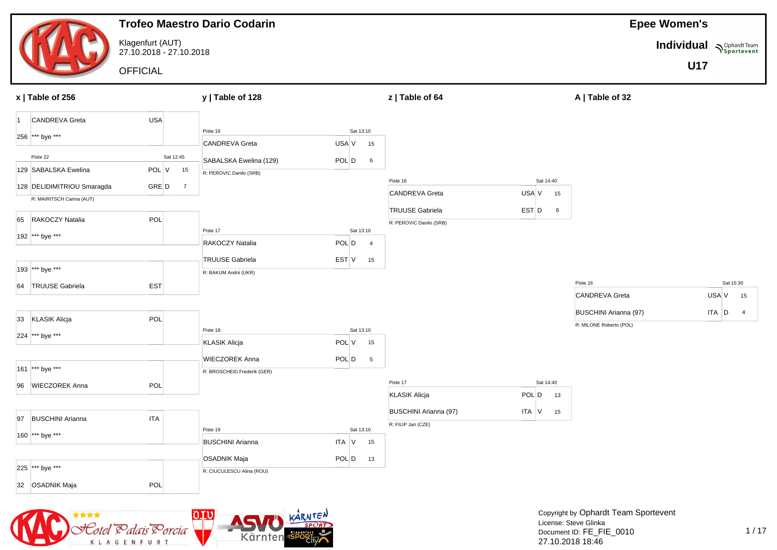|                                    |                                             | <b>Trofeo Maestro Dario Codarin</b>                  |                          |                         |              |                                                   | <b>Epee Women's</b>                  |
|------------------------------------|---------------------------------------------|------------------------------------------------------|--------------------------|-------------------------|--------------|---------------------------------------------------|--------------------------------------|
|                                    | Klagenfurt (AUT)<br>27.10.2018 - 27.10.2018 |                                                      |                          |                         |              |                                                   | Individual <b>Supplem</b> Sportevent |
|                                    | <b>OFFICIAL</b>                             |                                                      |                          |                         |              |                                                   | U17                                  |
| $x$   Table of 256                 |                                             | y   Table of 128                                     |                          | z   Table of 64         |              | A   Table of 32                                   |                                      |
| <b>CANDREVA Greta</b><br>$\vert$ 1 | <b>USA</b>                                  |                                                      |                          |                         |              |                                                   |                                      |
| 256 *** bye ***                    |                                             | Piste 16                                             | Sat 13:10                |                         |              |                                                   |                                      |
| Piste 22                           | Sat 12:45                                   | CANDREVA Greta                                       | USA V<br>15              |                         |              |                                                   |                                      |
| 129 SABALSKA Ewelina               | POL V 15                                    | SABALSKA Ewelina (129)<br>R: PEROVIC Danilo (SRB)    | POL D<br>$6\phantom{.}6$ |                         |              |                                                   |                                      |
| 128 DELIDIMITRIOU Smaragda         | $GRE$ D<br>$\overline{7}$                   |                                                      |                          | Piste 16                | Sat 14:40    |                                                   |                                      |
| R: MAIRITSCH Carina (AUT)          |                                             |                                                      |                          | CANDREVA Greta          | USA V<br>15  |                                                   |                                      |
| <b>RAKOCZY Natalia</b><br>65       | POL                                         |                                                      |                          | <b>TRUUSE Gabriela</b>  | EST D<br>6   |                                                   |                                      |
|                                    |                                             | Piste 17                                             | Sat 13:10                | R: PEROVIC Danilo (SRB) |              |                                                   |                                      |
| 192 *** bye ***                    |                                             | RAKOCZY Natalia                                      | POL D<br>$\overline{4}$  |                         |              |                                                   |                                      |
|                                    |                                             | <b>TRUUSE Gabriela</b>                               | EST V<br>15              |                         |              |                                                   |                                      |
| 193 *** bye ***                    |                                             | R: BAKUM Andrii (UKR)                                |                          |                         |              |                                                   |                                      |
| 64 TRUUSE Gabriela                 | <b>EST</b>                                  |                                                      |                          |                         |              | Piste 16<br>CANDREVA Greta                        | Sat 15:30<br>USA V                   |
|                                    |                                             |                                                      |                          |                         |              |                                                   | 15                                   |
| <b>KLASIK Alicja</b><br>33         | POL                                         |                                                      |                          |                         |              | BUSCHINI Arianna (97)<br>R: MILONE Roberto (POL)  | $ITA$ $D$<br>$\overline{4}$          |
| 224 *** bye ***                    |                                             | Piste 18                                             | Sat 13:10                |                         |              |                                                   |                                      |
|                                    |                                             | <b>KLASIK Alicja</b>                                 | POL V<br>15              |                         |              |                                                   |                                      |
| 161 *** bye ***                    |                                             | <b>WIECZOREK Anna</b><br>R: BROSCHEID Frederik (GER) | POL D<br>$\sqrt{5}$      |                         |              |                                                   |                                      |
| <b>WIECZOREK Anna</b><br>96        | <b>POL</b>                                  |                                                      |                          | Piste 17                | Sat 14:40    |                                                   |                                      |
|                                    |                                             |                                                      |                          | <b>KLASIK Alicja</b>    | POL D<br>13  |                                                   |                                      |
|                                    |                                             |                                                      |                          | BUSCHINI Arianna (97)   | $ITA$ $V$ 15 |                                                   |                                      |
| 97<br><b>BUSCHINI Arianna</b>      | <b>ITA</b>                                  | Piste 19                                             | Sat 13:10                | R: FILIP Jan (CZE)      |              |                                                   |                                      |
| 160 *** bye ***                    |                                             | <b>BUSCHINI Arianna</b>                              | ITA V<br>15              |                         |              |                                                   |                                      |
|                                    |                                             | <b>OSADNIK Maja</b>                                  | POL D<br>13              |                         |              |                                                   |                                      |
| 225 *** bye ***                    |                                             | R: CIUCULESCU Alina (ROU)                            |                          |                         |              |                                                   |                                      |
| 32 OSADNIK Maja                    | <b>POL</b>                                  |                                                      |                          |                         |              |                                                   |                                      |
| ****                               |                                             | <u>oru</u>                                           | KARNTEN                  |                         |              | Copyright by Ophardt Team Sportevent              |                                      |
|                                    | Palais Porcia                               |                                                      |                          |                         |              | License: Steve Glinka<br>Document ID: FE_FIE_0010 | 1/17                                 |
|                                    | <b>KLAGENFURT</b>                           | Kärnten                                              |                          |                         |              | 27.10.2018 18:46                                  |                                      |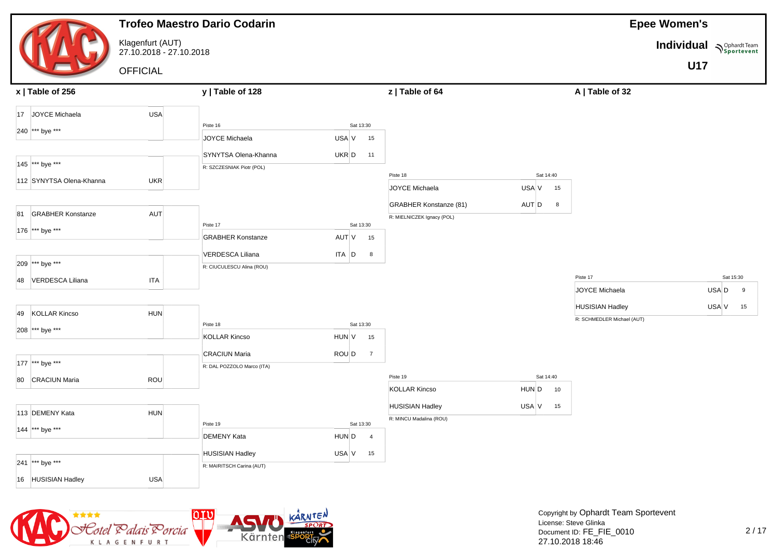|                            |                                             | <b>Trofeo Maestro Dario Codarin</b> |                         |                                                             |             |                            | <b>Epee Women's</b>      |             |
|----------------------------|---------------------------------------------|-------------------------------------|-------------------------|-------------------------------------------------------------|-------------|----------------------------|--------------------------|-------------|
|                            | Klagenfurt (AUT)<br>27.10.2018 - 27.10.2018 |                                     |                         |                                                             |             |                            | Individual Nophardt Team |             |
|                            | <b>OFFICIAL</b>                             |                                     |                         |                                                             |             |                            | <b>U17</b>               |             |
| x   Table of 256           |                                             | y   Table of 128                    |                         | z   Table of 64                                             |             | A   Table of 32            |                          |             |
| 17 JOYCE Michaela          | <b>USA</b>                                  |                                     |                         |                                                             |             |                            |                          |             |
| 240 *** bye ***            |                                             | Piste 16                            | Sat 13:30               |                                                             |             |                            |                          |             |
|                            |                                             | <b>JOYCE Michaela</b>               | USA V<br>15             |                                                             |             |                            |                          |             |
|                            |                                             | SYNYTSA Olena-Khanna                | $UKR$ $D$<br>11         |                                                             |             |                            |                          |             |
| 145 *** bye ***            |                                             | R: SZCZESNIAK Piotr (POL)           |                         | Piste 18                                                    | Sat 14:40   |                            |                          |             |
| 112 SYNYTSA Olena-Khanna   | UKR                                         |                                     |                         | JOYCE Michaela                                              | USA V<br>15 |                            |                          |             |
|                            |                                             |                                     |                         |                                                             |             |                            |                          |             |
| 81 GRABHER Konstanze       | AUT                                         |                                     |                         | <b>GRABHER Konstanze (81)</b><br>R: MIELNICZEK Ignacy (POL) | AUT D<br>8  |                            |                          |             |
| 176 *** bye ***            |                                             | Piste 17                            | Sat 13:30               |                                                             |             |                            |                          |             |
|                            |                                             | <b>GRABHER Konstanze</b>            | AUT V<br>15             |                                                             |             |                            |                          |             |
|                            |                                             | VERDESCA Liliana                    | ITA D<br>8              |                                                             |             |                            |                          |             |
| 209 *** bye ***            |                                             | R: CIUCULESCU Alina (ROU)           |                         |                                                             |             |                            |                          |             |
| 48 VERDESCA Liliana        | <b>ITA</b>                                  |                                     |                         |                                                             |             | Piste 17                   |                          | Sat 15:30   |
|                            |                                             |                                     |                         |                                                             |             | JOYCE Michaela             |                          | USA D<br>9  |
| <b>KOLLAR Kincso</b><br>49 | <b>HUN</b>                                  |                                     |                         |                                                             |             | <b>HUSISIAN Hadley</b>     |                          | USA V<br>15 |
|                            |                                             | Piste 18                            | Sat 13:30               |                                                             |             | R: SCHMEDLER Michael (AUT) |                          |             |
| 208 *** bye ***            |                                             | <b>KOLLAR Kincso</b>                | HUN V<br>15             |                                                             |             |                            |                          |             |
|                            |                                             | <b>CRACIUN Maria</b>                | ROU D<br>$\overline{7}$ |                                                             |             |                            |                          |             |
| 177 *** bye ***            |                                             | R: DAL POZZOLO Marco (ITA)          |                         |                                                             |             |                            |                          |             |
| 80 CRACIUN Maria           | ROU                                         |                                     |                         | Piste 19                                                    | Sat 14:40   |                            |                          |             |
|                            |                                             |                                     |                         | <b>KOLLAR Kincso</b>                                        | HUN D<br>10 |                            |                          |             |
| 113 DEMENY Kata            | HUN                                         |                                     |                         | <b>HUSISIAN Hadley</b>                                      | USA V<br>15 |                            |                          |             |
|                            |                                             | Piste 19                            | Sat 13:30               | R: MINCU Madalina (ROU)                                     |             |                            |                          |             |
| 144 *** bye ***            |                                             | <b>DEMENY Kata</b>                  | HUN D<br>$\overline{4}$ |                                                             |             |                            |                          |             |
|                            |                                             | <b>HUSISIAN Hadley</b>              | USA V<br>15             |                                                             |             |                            |                          |             |
| 241 *** bye ***            |                                             | R: MAIRITSCH Carina (AUT)           |                         |                                                             |             |                            |                          |             |
| 16 HUSISIAN Hadley         | <b>USA</b>                                  |                                     |                         |                                                             |             |                            |                          |             |

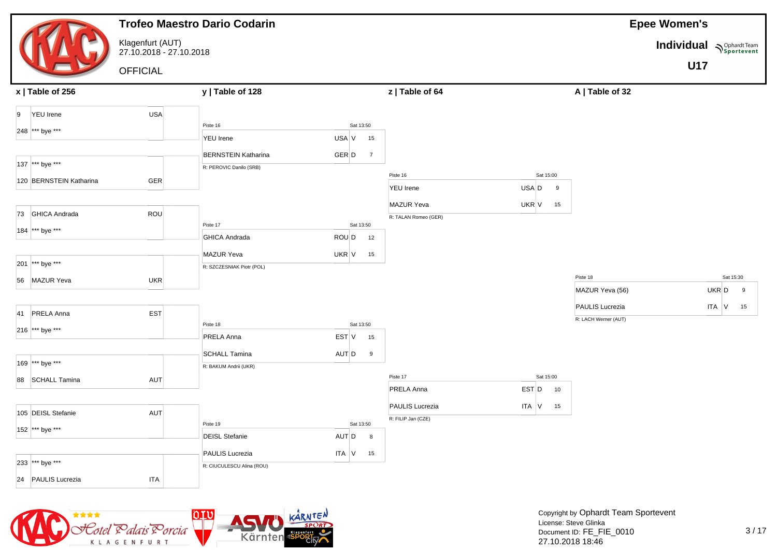|   |                         |                                             | <b>Trofeo Maestro Dario Codarin</b> |                           |                                       |                 |                      | <b>Epee Women's</b>      |               |
|---|-------------------------|---------------------------------------------|-------------------------------------|---------------------------|---------------------------------------|-----------------|----------------------|--------------------------|---------------|
|   |                         | Klagenfurt (AUT)<br>27.10.2018 - 27.10.2018 |                                     |                           |                                       |                 |                      | Individual Nophardt Team |               |
|   |                         | <b>OFFICIAL</b>                             |                                     |                           |                                       |                 |                      | <b>U17</b>               |               |
|   | x   Table of 256        |                                             | y   Table of 128                    |                           | z   Table of 64                       |                 | A   Table of 32      |                          |               |
| 9 | <b>YEU</b> Irene        | USA                                         |                                     |                           |                                       |                 |                      |                          |               |
|   | 248 *** bye ***         |                                             | Piste 16                            | Sat 13:50                 |                                       |                 |                      |                          |               |
|   |                         |                                             | <b>YEU Irene</b>                    | USA V<br>15               |                                       |                 |                      |                          |               |
|   | 137 *** bye ***         |                                             | <b>BERNSTEIN Katharina</b>          | $GER$ D<br>$\overline{7}$ |                                       |                 |                      |                          |               |
|   |                         |                                             | R: PEROVIC Danilo (SRB)             |                           | Piste 16                              | Sat 15:00       |                      |                          |               |
|   | 120 BERNSTEIN Katharina | <b>GER</b>                                  |                                     |                           | <b>YEU</b> Irene                      | USA D<br>9      |                      |                          |               |
|   |                         |                                             |                                     |                           | MAZUR Yeva                            | UKR V<br>15     |                      |                          |               |
|   | 73 GHICA Andrada        | <b>ROU</b>                                  | Piste 17                            | Sat 13:50                 | R: TALAN Romeo (GER)                  |                 |                      |                          |               |
|   | 184 *** bye ***         |                                             | <b>GHICA Andrada</b>                | ROU D<br>12               |                                       |                 |                      |                          |               |
|   |                         |                                             | <b>MAZUR Yeva</b>                   | UKR V<br>15               |                                       |                 |                      |                          |               |
|   | 201 *** bye ***         |                                             | R: SZCZESNIAK Piotr (POL)           |                           |                                       |                 |                      |                          |               |
|   | 56 MAZUR Yeva           | UKR                                         |                                     |                           |                                       |                 | Piste 18             |                          | Sat 15:30     |
|   |                         |                                             |                                     |                           |                                       |                 | MAZUR Yeva (56)      |                          | UKR D<br>9    |
|   | 41 PRELA Anna           | <b>EST</b>                                  |                                     |                           |                                       |                 | PAULIS Lucrezia      |                          | $ITA$ V<br>15 |
|   |                         |                                             | Piste 18                            | Sat 13:50                 |                                       |                 | R: LACH Werner (AUT) |                          |               |
|   | 216 *** bye ***         |                                             | PRELA Anna                          | EST V<br>15               |                                       |                 |                      |                          |               |
|   |                         |                                             | <b>SCHALL Tamina</b>                | $AUT$ $D$<br>9            |                                       |                 |                      |                          |               |
|   | 169 *** bye ***         |                                             | R: BAKUM Andrii (UKR)               |                           |                                       |                 |                      |                          |               |
|   | 88 SCHALL Tamina        | AUT                                         |                                     |                           | Piste 17<br>PRELA Anna                | Sat 15:00<br>10 |                      |                          |               |
|   |                         |                                             |                                     |                           |                                       | EST D           |                      |                          |               |
|   | 105 DEISL Stefanie      | <b>AUT</b>                                  |                                     |                           | PAULIS Lucrezia<br>R: FILIP Jan (CZE) | $ITA$ $V$ 15    |                      |                          |               |
|   | 152 *** bye ***         |                                             | Piste 19                            | Sat 13:50                 |                                       |                 |                      |                          |               |
|   |                         |                                             | <b>DEISL Stefanie</b>               | AUT D<br>8                |                                       |                 |                      |                          |               |
|   | 233 *** bye ***         |                                             | <b>PAULIS Lucrezia</b>              | $ITA$ $V$ 15              |                                       |                 |                      |                          |               |
|   |                         |                                             | R: CIUCULESCU Alina (ROU)           |                           |                                       |                 |                      |                          |               |
|   | 24 PAULIS Lucrezia      | <b>ITA</b>                                  |                                     |                           |                                       |                 |                      |                          |               |



Copyright by Ophardt Team Sportevent License: Steve Glinka Document ID: FE\_FIE\_0010 27.10.2018 18:46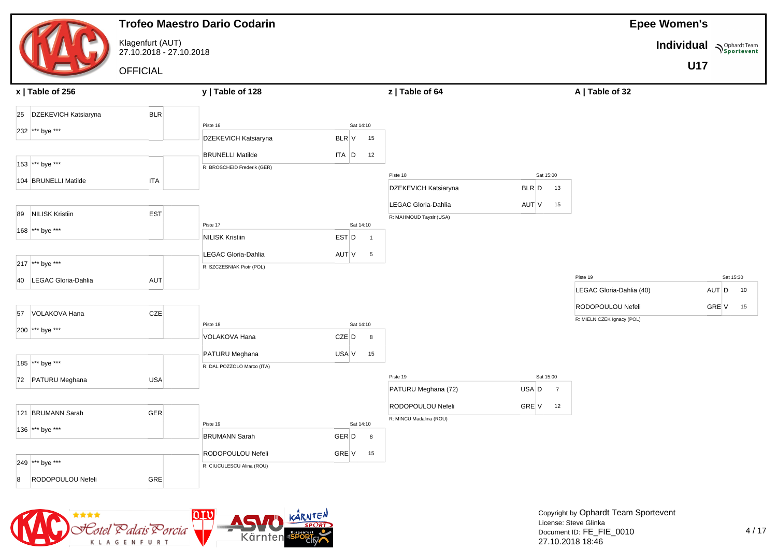|                                                                                                                                          |                                             | <b>Trofeo Maestro Dario Codarin</b>                                                                    |                                                          |                                                                                    |                                         |                                                 | <b>Epee Women's</b>      |                          |
|------------------------------------------------------------------------------------------------------------------------------------------|---------------------------------------------|--------------------------------------------------------------------------------------------------------|----------------------------------------------------------|------------------------------------------------------------------------------------|-----------------------------------------|-------------------------------------------------|--------------------------|--------------------------|
|                                                                                                                                          | Klagenfurt (AUT)<br>27.10.2018 - 27.10.2018 |                                                                                                        |                                                          |                                                                                    |                                         |                                                 | Individual Nophardt Team |                          |
|                                                                                                                                          | <b>OFFICIAL</b>                             |                                                                                                        |                                                          |                                                                                    |                                         |                                                 | <b>U17</b>               |                          |
| $x$   Table of 256                                                                                                                       |                                             | y   Table of 128                                                                                       |                                                          | z   Table of 64                                                                    |                                         | A   Table of 32                                 |                          |                          |
| 25 DZEKEVICH Katsiaryna<br>232 *** bye ***<br>153 *** bye ***<br>104 BRUNELLI Matilde<br><b>NILISK Kristiin</b><br>89<br>168 *** bye *** | <b>BLR</b><br><b>ITA</b><br>EST             | Piste 16<br>DZEKEVICH Katsiaryna<br><b>BRUNELLI Matilde</b><br>R: BROSCHEID Frederik (GER)<br>Piste 17 | Sat 14:10<br>BLR V<br>15<br>$ITA$ $D$<br>12<br>Sat 14:10 | Piste 18<br>DZEKEVICH Katsiaryna<br>LEGAC Gloria-Dahlia<br>R: MAHMOUD Taysir (USA) | Sat 15:00<br>BLR D<br>13<br>AUT V<br>15 |                                                 |                          |                          |
| 217 *** bye ***<br>40 LEGAC Gloria-Dahlia                                                                                                | AUT                                         | <b>NILISK Kristiin</b><br>LEGAC Gloria-Dahlia<br>R: SZCZESNIAK Piotr (POL)                             | EST D<br>$\overline{1}$<br>AUT V<br>5                    |                                                                                    |                                         | Piste 19<br>LEGAC Gloria-Dahlia (40)            |                          | Sat 15:30<br>AUT D<br>10 |
| VOLAKOVA Hana<br>57<br>200 *** bye ***<br>185 *** bye ***                                                                                | CZE                                         | Piste 18<br>VOLAKOVA Hana<br>PATURU Meghana                                                            | Sat 14:10<br>$CZE$ $D$<br>8<br>USA V<br>15               |                                                                                    |                                         | RODOPOULOU Nefeli<br>R: MIELNICZEK Ignacy (POL) |                          | GRE V<br>15              |
| 72 PATURU Meghana                                                                                                                        | USA                                         | R: DAL POZZOLO Marco (ITA)                                                                             |                                                          | Piste 19<br>PATURU Meghana (72)                                                    | Sat 15:00<br>USA D<br>$\overline{7}$    |                                                 |                          |                          |
| 121 BRUMANN Sarah<br>136 *** bye ***                                                                                                     | <b>GER</b>                                  | Piste 19<br><b>BRUMANN Sarah</b>                                                                       | Sat 14:10<br>GER D<br>8                                  | RODOPOULOU Nefeli<br>R: MINCU Madalina (ROU)                                       | GRE V<br>12                             |                                                 |                          |                          |
| 249 *** bye ***<br>RODOPOULOU Nefeli<br>8                                                                                                | GRE                                         | RODOPOULOU Nefeli<br>R: CIUCULESCU Alina (ROU)                                                         | $GRE$ V<br>15                                            |                                                                                    |                                         |                                                 |                          |                          |

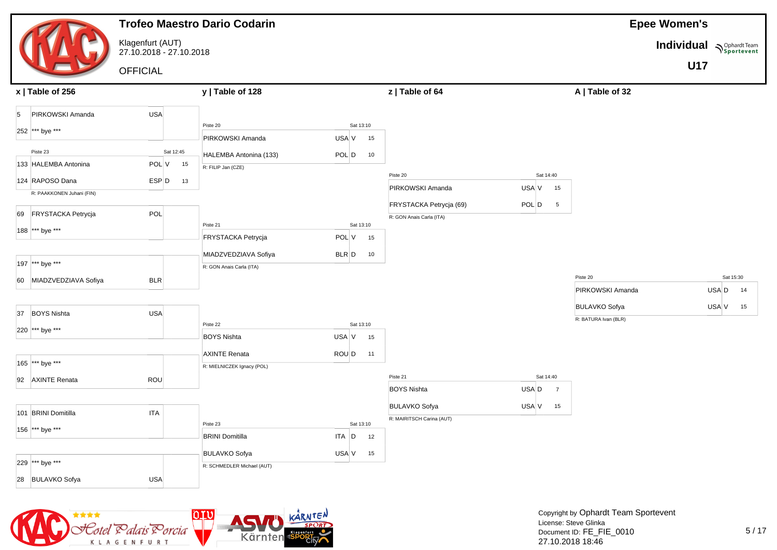|                                 |                                             | <b>Trofeo Maestro Dario Codarin</b>              |                          |                                                     |                          |                      | <b>Epee Women's</b>      |           |
|---------------------------------|---------------------------------------------|--------------------------------------------------|--------------------------|-----------------------------------------------------|--------------------------|----------------------|--------------------------|-----------|
|                                 | Klagenfurt (AUT)<br>27.10.2018 - 27.10.2018 |                                                  |                          |                                                     |                          |                      | Individual Nophardt Team |           |
|                                 | <b>OFFICIAL</b>                             |                                                  |                          |                                                     |                          |                      | <b>U17</b>               |           |
| $x$   Table of 256              |                                             | y   Table of 128                                 |                          | z   Table of 64                                     |                          | A   Table of 32      |                          |           |
| 5<br>PIRKOWSKI Amanda           | <b>USA</b>                                  |                                                  |                          |                                                     |                          |                      |                          |           |
| 252 *** bye ***                 |                                             | Piste 20<br>PIRKOWSKI Amanda                     | Sat 13:10<br>USA V<br>15 |                                                     |                          |                      |                          |           |
| Piste 23                        | Sat 12:45                                   | HALEMBA Antonina (133)                           | POL D<br>10              |                                                     |                          |                      |                          |           |
| 133 HALEMBA Antonina            | POL V<br>15                                 | R: FILIP Jan (CZE)                               |                          |                                                     |                          |                      |                          |           |
| 124 RAPOSO Dana                 | ESP <sub>D</sub><br>13                      |                                                  |                          | Piste 20<br>PIRKOWSKI Amanda                        | Sat 14:40<br>USA V<br>15 |                      |                          |           |
| R: PAAKKONEN Juhani (FIN)       |                                             |                                                  |                          |                                                     | 5                        |                      |                          |           |
| <b>FRYSTACKA Petrycja</b><br>69 | POL                                         |                                                  |                          | FRYSTACKA Petrycja (69)<br>R: GON Anais Carla (ITA) | POL D                    |                      |                          |           |
| 188  *** bye ***                |                                             | Piste 21                                         | Sat 13:10                |                                                     |                          |                      |                          |           |
|                                 |                                             | FRYSTACKA Petrycja                               | POL V<br>15              |                                                     |                          |                      |                          |           |
| 197 *** bye ***                 |                                             | MIADZVEDZIAVA Sofiya<br>R: GON Anais Carla (ITA) | BLR D<br>10              |                                                     |                          |                      |                          |           |
| 60 MIADZVEDZIAVA Sofiya         | <b>BLR</b>                                  |                                                  |                          |                                                     |                          | Piste 20             |                          | Sat 15:30 |
|                                 |                                             |                                                  |                          |                                                     |                          | PIRKOWSKI Amanda     | USA D                    | 14        |
| <b>BOYS Nishta</b><br>37        | <b>USA</b>                                  |                                                  |                          |                                                     |                          | <b>BULAVKO Sofya</b> | USA V                    | 15        |
| 220 *** bye ***                 |                                             | Piste 22                                         | Sat 13:10                |                                                     |                          | R: BATURA Ivan (BLR) |                          |           |
|                                 |                                             | <b>BOYS Nishta</b>                               | USA V<br>15              |                                                     |                          |                      |                          |           |
| 165 *** bye ***                 |                                             | <b>AXINTE Renata</b>                             | $ROU D$ 11               |                                                     |                          |                      |                          |           |
| 92 AXINTE Renata                | ROU                                         | R: MIELNICZEK Ignacy (POL)                       |                          | Piste 21                                            | Sat 14:40                |                      |                          |           |
|                                 |                                             |                                                  |                          | <b>BOYS Nishta</b>                                  | USA D<br>$\overline{7}$  |                      |                          |           |
|                                 |                                             |                                                  |                          | <b>BULAVKO Sofya</b>                                | USA V<br>15              |                      |                          |           |
| 101 BRINI Domitilla             | <b>ITA</b>                                  | Piste 23                                         | Sat 13:10                | R: MAIRITSCH Carina (AUT)                           |                          |                      |                          |           |
| 156 *** bye ***                 |                                             | <b>BRINI Domitilla</b>                           | $ITA$ $D$<br>12          |                                                     |                          |                      |                          |           |
|                                 |                                             | <b>BULAVKO Sofya</b>                             | USA V<br>15              |                                                     |                          |                      |                          |           |
| 229 *** bye ***                 |                                             | R: SCHMEDLER Michael (AUT)                       |                          |                                                     |                          |                      |                          |           |
| 28 BULAVKO Sofya                | <b>USA</b>                                  |                                                  |                          |                                                     |                          |                      |                          |           |

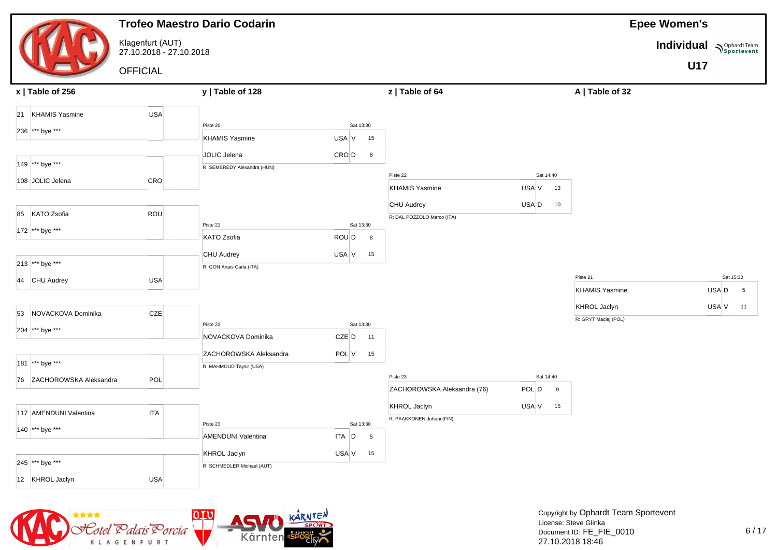|                           |                                             | <b>Trofeo Maestro Dario Codarin</b> |             |                             |             |                       | <b>Epee Women's</b>      |             |
|---------------------------|---------------------------------------------|-------------------------------------|-------------|-----------------------------|-------------|-----------------------|--------------------------|-------------|
|                           | Klagenfurt (AUT)<br>27.10.2018 - 27.10.2018 |                                     |             |                             |             |                       | Individual Nophardt Team |             |
|                           | <b>OFFICIAL</b>                             |                                     |             |                             |             |                       | <b>U17</b>               |             |
| x   Table of 256          |                                             | y   Table of 128                    |             | z   Table of 64             |             | A   Table of 32       |                          |             |
| 21 KHAMIS Yasmine         | <b>USA</b>                                  |                                     |             |                             |             |                       |                          |             |
| 236 *** bye ***           |                                             | Piste 20                            | Sat 13:30   |                             |             |                       |                          |             |
|                           |                                             | <b>KHAMIS Yasmine</b>               | USA V<br>15 |                             |             |                       |                          |             |
|                           |                                             | JOLIC Jelena                        | CRO D<br>8  |                             |             |                       |                          |             |
| 149 *** bye ***           |                                             | R: SEMEREDY Alexandra (HUN)         |             | Piste 22                    | Sat 14:40   |                       |                          |             |
| 108 JOLIC Jelena          | CRO                                         |                                     |             | <b>KHAMIS Yasmine</b>       | USA V<br>13 |                       |                          |             |
|                           |                                             |                                     |             | <b>CHU Audrey</b>           | USA D<br>10 |                       |                          |             |
| 85 KATO Zsofia            | ROU                                         |                                     |             | R: DAL POZZOLO Marco (ITA)  |             |                       |                          |             |
| 172 *** bye ***           |                                             | Piste 21                            | Sat 13:30   |                             |             |                       |                          |             |
|                           |                                             | KATO Zsofia                         | ROU D<br>8  |                             |             |                       |                          |             |
|                           |                                             | CHU Audrey                          | USA V<br>15 |                             |             |                       |                          |             |
| 213 *** bye ***           |                                             | R: GON Anais Carla (ITA)            |             |                             |             |                       |                          |             |
| 44 CHU Audrey             | <b>USA</b>                                  |                                     |             |                             |             | Piste 21              |                          | Sat 15:30   |
|                           |                                             |                                     |             |                             |             | <b>KHAMIS Yasmine</b> |                          | USA D<br>5  |
| NOVACKOVA Dominika<br>53  | <b>CZE</b>                                  |                                     |             |                             |             | <b>KHROL Jaclyn</b>   |                          | USA V<br>11 |
| 204 *** bye ***           |                                             | Piste 22                            | Sat 13:30   |                             |             | R: GRYT Maciej (POL)  |                          |             |
|                           |                                             | NOVACKOVA Dominika                  | CZE D<br>11 |                             |             |                       |                          |             |
|                           |                                             | ZACHOROWSKA Aleksandra              | POL V<br>15 |                             |             |                       |                          |             |
| 181 *** bye ***           |                                             | R: MAHMOUD Taysir (USA)             |             |                             |             |                       |                          |             |
| 76 ZACHOROWSKA Aleksandra | POL                                         |                                     |             | Piste 23                    | Sat 14:40   |                       |                          |             |
|                           |                                             |                                     |             | ZACHOROWSKA Aleksandra (76) | POL D<br>9  |                       |                          |             |
| 117 AMENDUNI Valentina    | <b>ITA</b>                                  |                                     |             | KHROL Jaclyn                | USA V<br>15 |                       |                          |             |
|                           |                                             | Piste 23                            | Sat 13:30   | R: PAAKKONEN Juhani (FIN)   |             |                       |                          |             |
| 140 *** bye ***           |                                             | <b>AMENDUNI Valentina</b>           | ITA D<br>5  |                             |             |                       |                          |             |
|                           |                                             | <b>KHROL Jaclyn</b>                 | USA V<br>15 |                             |             |                       |                          |             |
| 245 *** bye ***           |                                             | R: SCHMEDLER Michael (AUT)          |             |                             |             |                       |                          |             |
| 12 KHROL Jaclyn           | <b>USA</b>                                  |                                     |             |                             |             |                       |                          |             |

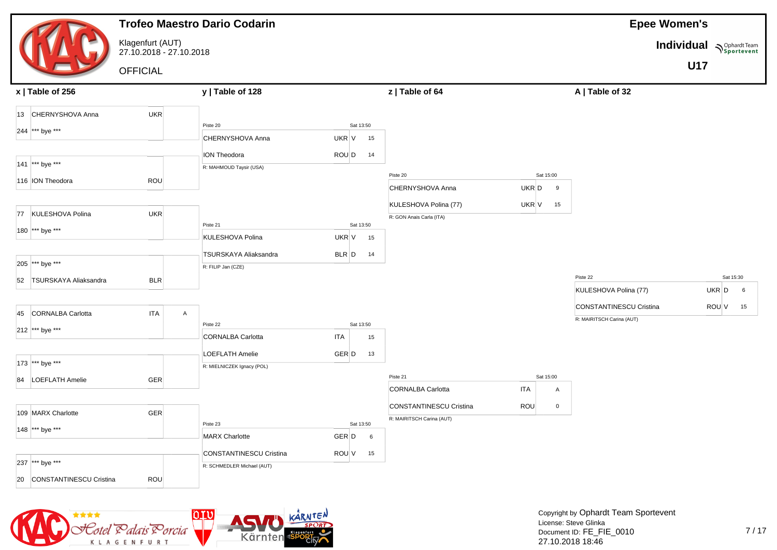|                                                   |                                             | <b>Trofeo Maestro Dario Codarin</b>                   |                               |                                                      |                              | <b>Epee Women's</b>                                         |            |                          |
|---------------------------------------------------|---------------------------------------------|-------------------------------------------------------|-------------------------------|------------------------------------------------------|------------------------------|-------------------------------------------------------------|------------|--------------------------|
|                                                   | Klagenfurt (AUT)<br>27.10.2018 - 27.10.2018 |                                                       |                               |                                                      |                              |                                                             |            | Individual Nophardt Team |
|                                                   | <b>OFFICIAL</b>                             |                                                       |                               |                                                      |                              |                                                             | <b>U17</b> |                          |
| x   Table of 256                                  |                                             | y   Table of 128                                      |                               | z   Table of 64                                      |                              | A   Table of 32                                             |            |                          |
| 13 CHERNYSHOVA Anna<br>244 *** bye ***            | <b>UKR</b>                                  | Piste 20<br>CHERNYSHOVA Anna                          | Sat 13:50<br>UKR V<br>15      |                                                      |                              |                                                             |            |                          |
| 141 *** bye ***<br>116 ION Theodora               | ROU                                         | ION Theodora<br>R: MAHMOUD Taysir (USA)               | ROU D<br>14                   | Piste 20<br>CHERNYSHOVA Anna                         | Sat 15:00<br>UKR D<br>9      |                                                             |            |                          |
| 77 KULESHOVA Polina<br>180 *** bye ***            | <b>UKR</b>                                  | Piste 21<br>KULESHOVA Polina                          | Sat 13:50<br>UKR V<br>15      | KULESHOVA Polina (77)<br>R: GON Anais Carla (ITA)    | UKR V<br>15                  |                                                             |            |                          |
| 205 *** bye ***<br>52 TSURSKAYA Aliaksandra       | <b>BLR</b>                                  | <b>TSURSKAYA Aliaksandra</b><br>R: FILIP Jan (CZE)    | BLR D<br>14                   |                                                      |                              | Piste 22<br>KULESHOVA Polina (77)                           |            | Sat 15:30<br>UKR D<br>6  |
| <b>CORNALBA Carlotta</b><br>45<br>212 *** bye *** | <b>ITA</b><br>$\mathsf{A}$                  | Piste 22<br><b>CORNALBA Carlotta</b>                  | Sat 13:50<br><b>ITA</b><br>15 |                                                      |                              | <b>CONSTANTINESCU Cristina</b><br>R: MAIRITSCH Carina (AUT) |            | ROU V<br>15              |
| 173 *** bye ***<br>84 LOEFLATH Amelie             | GER                                         | <b>LOEFLATH Amelie</b><br>R: MIELNICZEK Ignacy (POL)  | GER D<br>13                   | Piste 21<br>CORNALBA Carlotta                        | Sat 15:00<br><b>ITA</b><br>Α |                                                             |            |                          |
| 109 MARX Charlotte<br>148 *** bye ***             | <b>GER</b>                                  | Piste 23<br><b>MARX Charlotte</b>                     | Sat 13:50<br>GER D<br>$\,6\,$ | CONSTANTINESCU Cristina<br>R: MAIRITSCH Carina (AUT) | ROU<br>$\mathsf 0$           |                                                             |            |                          |
| 237 *** bye ***<br>20 CONSTANTINESCU Cristina     | <b>ROU</b>                                  | CONSTANTINESCU Cristina<br>R: SCHMEDLER Michael (AUT) | ROU V<br>15                   |                                                      |                              |                                                             |            |                          |

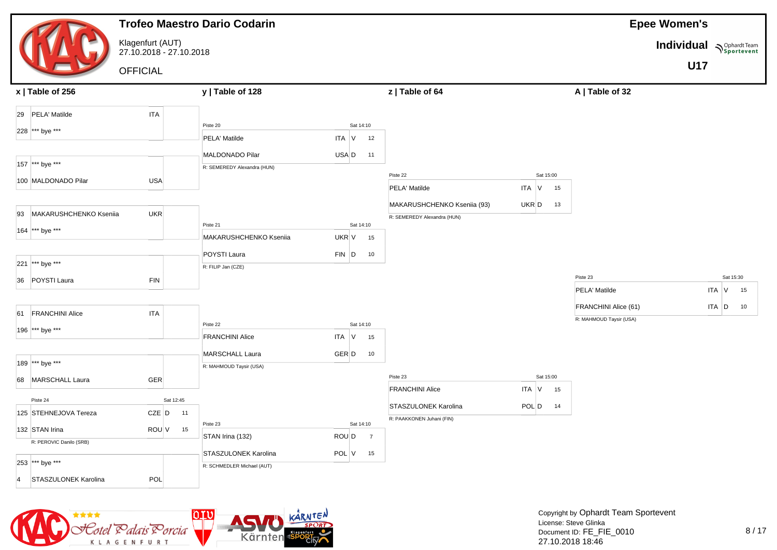|                 |                         |                                             |           |    | <b>Trofeo Maestro Dario Codarin</b> |           |           |                |                             |                     |                         | <b>Epee Women's</b>      |       |           |
|-----------------|-------------------------|---------------------------------------------|-----------|----|-------------------------------------|-----------|-----------|----------------|-----------------------------|---------------------|-------------------------|--------------------------|-------|-----------|
|                 |                         | Klagenfurt (AUT)<br>27.10.2018 - 27.10.2018 |           |    |                                     |           |           |                |                             |                     |                         | Individual Nophardt Team |       |           |
|                 |                         |                                             |           |    |                                     |           |           |                |                             |                     |                         | <b>U17</b>               |       |           |
|                 |                         | <b>OFFICIAL</b>                             |           |    |                                     |           |           |                |                             |                     |                         |                          |       |           |
|                 | x   Table of 256        |                                             |           |    | y   Table of 128                    |           |           |                | z   Table of 64             |                     | A   Table of 32         |                          |       |           |
| 29              | PELA' Matilde           | <b>ITA</b>                                  |           |    |                                     |           |           |                |                             |                     |                         |                          |       |           |
|                 | 228 *** bye ***         |                                             |           |    | Piste 20                            |           | Sat 14:10 |                |                             |                     |                         |                          |       |           |
|                 |                         |                                             |           |    | PELA' Matilde                       | ITA V     |           | 12             |                             |                     |                         |                          |       |           |
|                 |                         |                                             |           |    | MALDONADO Pilar                     | USA D     |           | 11             |                             |                     |                         |                          |       |           |
|                 | 157 *** bye ***         |                                             |           |    | R: SEMEREDY Alexandra (HUN)         |           |           |                |                             |                     |                         |                          |       |           |
|                 | 100 MALDONADO Pilar     | <b>USA</b>                                  |           |    |                                     |           |           |                | Piste 22                    | Sat 15:00           |                         |                          |       |           |
|                 |                         |                                             |           |    |                                     |           |           |                | PELA' Matilde               | ITA V<br>15         |                         |                          |       |           |
|                 |                         |                                             |           |    |                                     |           |           |                | MAKARUSHCHENKO Kseniia (93) | UKR D<br>13         |                         |                          |       |           |
| 93              | MAKARUSHCHENKO Kseniia  | <b>UKR</b>                                  |           |    | Piste 21                            |           | Sat 14:10 |                | R: SEMEREDY Alexandra (HUN) |                     |                         |                          |       |           |
|                 | 164 *** bye ***         |                                             |           |    | MAKARUSHCHENKO Kseniia              | UKR V     |           | 15             |                             |                     |                         |                          |       |           |
|                 |                         |                                             |           |    |                                     |           |           |                |                             |                     |                         |                          |       |           |
|                 | 221 *** bye ***         |                                             |           |    | POYSTI Laura<br>R: FILIP Jan (CZE)  | FIN D     |           | 10             |                             |                     |                         |                          |       |           |
|                 | 36 POYSTI Laura         | <b>FIN</b>                                  |           |    |                                     |           |           |                |                             |                     | Piste 23                |                          |       | Sat 15:30 |
|                 |                         |                                             |           |    |                                     |           |           |                |                             |                     | PELA' Matilde           |                          | ITA V | 15        |
|                 |                         |                                             |           |    |                                     |           |           |                |                             |                     | FRANCHINI Alice (61)    |                          | ITA D | 10        |
| 61              | <b>FRANCHINI Alice</b>  | <b>ITA</b>                                  |           |    |                                     |           |           |                |                             |                     | R: MAHMOUD Taysir (USA) |                          |       |           |
|                 | 196 *** bye ***         |                                             |           |    | Piste 22                            |           | Sat 14:10 |                |                             |                     |                         |                          |       |           |
|                 |                         |                                             |           |    | <b>FRANCHINI Alice</b>              | $ITA$ $V$ |           | 15             |                             |                     |                         |                          |       |           |
|                 |                         |                                             |           |    | MARSCHALL Laura                     | GER D     |           | 10             |                             |                     |                         |                          |       |           |
|                 | 189 *** bye ***         |                                             |           |    | R: MAHMOUD Taysir (USA)             |           |           |                |                             |                     |                         |                          |       |           |
|                 | 68 MARSCHALL Laura      | GER                                         |           |    |                                     |           |           |                | Piste 23                    | Sat 15:00           |                         |                          |       |           |
|                 | Piste 24                |                                             | Sat 12:45 |    |                                     |           |           |                | <b>FRANCHINI Alice</b>      | ITA<br>$\vee$<br>15 |                         |                          |       |           |
|                 | 125 STEHNEJOVA Tereza   | $CZE$ $D$                                   |           | 11 |                                     |           |           |                | STASZULONEK Karolina        | POL D<br>14         |                         |                          |       |           |
|                 |                         |                                             |           |    | Piste 23                            |           | Sat 14:10 |                | R: PAAKKONEN Juhani (FIN)   |                     |                         |                          |       |           |
|                 | 132 STAN Irina          | ROU V                                       |           | 15 | STAN Irina (132)                    | ROU D     |           | $\overline{7}$ |                             |                     |                         |                          |       |           |
|                 | R: PEROVIC Danilo (SRB) |                                             |           |    | STASZULONEK Karolina                | POL V     |           | 15             |                             |                     |                         |                          |       |           |
|                 | 253 *** bye ***         |                                             |           |    | R: SCHMEDLER Michael (AUT)          |           |           |                |                             |                     |                         |                          |       |           |
| $\vert 4 \vert$ | STASZULONEK Karolina    | POL                                         |           |    |                                     |           |           |                |                             |                     |                         |                          |       |           |
|                 |                         |                                             |           |    |                                     |           |           |                |                             |                     |                         |                          |       |           |

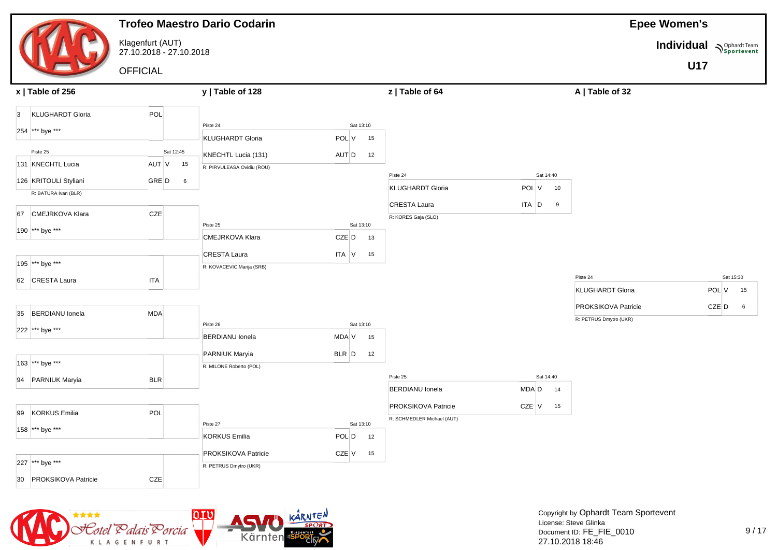|                                                 |                                             | <b>Trofeo Maestro Dario Codarin</b>                                          |                            |                                                            |                                            |                                                | <b>Epee Women's</b>           |
|-------------------------------------------------|---------------------------------------------|------------------------------------------------------------------------------|----------------------------|------------------------------------------------------------|--------------------------------------------|------------------------------------------------|-------------------------------|
|                                                 | Klagenfurt (AUT)<br>27.10.2018 - 27.10.2018 |                                                                              |                            |                                                            |                                            |                                                | Individual Nophardt Team      |
|                                                 | <b>OFFICIAL</b>                             |                                                                              |                            |                                                            |                                            |                                                | <b>U17</b>                    |
| $x$   Table of 256                              |                                             | y   Table of 128                                                             |                            | z   Table of 64                                            |                                            | A   Table of 32                                |                               |
| <b>KLUGHARDT Gloria</b><br>3<br>254 *** bye *** | POL                                         | Piste 24                                                                     | Sat 13:10                  |                                                            |                                            |                                                |                               |
| Piste 25<br>131 KNECHTL Lucia                   | Sat 12:45<br>AUT V<br>15                    | <b>KLUGHARDT Gloria</b><br>KNECHTL Lucia (131)<br>R: PIRVULEASA Ovidiu (ROU) | POL V<br>15<br>AUT D<br>12 |                                                            |                                            |                                                |                               |
| 126 KRITOULI Styliani<br>R: BATURA Ivan (BLR)   | GRE D<br>6                                  |                                                                              |                            | Piste 24<br><b>KLUGHARDT Gloria</b><br><b>CRESTA Laura</b> | Sat 14:40<br>POL V<br>10<br>$ITA$ $D$<br>9 |                                                |                               |
| CMEJRKOVA Klara<br>67<br>190 *** bye ***        | CZE                                         | Piste 25<br>CMEJRKOVA Klara                                                  | Sat 13:10<br>CZE D<br>13   | R: KORES Gaja (SLO)                                        |                                            |                                                |                               |
| 195 *** bye ***                                 |                                             | <b>CRESTA Laura</b><br>R: KOVACEVIC Marija (SRB)                             | ITA V<br>15                |                                                            |                                            | Piste 24                                       | Sat 15:30                     |
| 62 CRESTA Laura                                 | <b>ITA</b>                                  |                                                                              |                            |                                                            |                                            | <b>KLUGHARDT Gloria</b><br>PROKSIKOVA Patricie | POL V<br>15<br>$CZE$ $D$<br>6 |
| <b>BERDIANU</b> Ionela<br>35<br>222 *** bye *** | <b>MDA</b>                                  | Piste 26<br><b>BERDIANU</b> Ionela                                           | Sat 13:10<br>MDA V<br>15   |                                                            |                                            | R: PETRUS Dmytro (UKR)                         |                               |
| 163 *** bye ***                                 | <b>BLR</b>                                  | <b>PARNIUK Maryia</b><br>R: MILONE Roberto (POL)                             | 12<br>BLR D                | Piste 25                                                   | Sat 14:40                                  |                                                |                               |
| 94 PARNIUK Maryia                               |                                             |                                                                              |                            | <b>BERDIANU</b> Ionela<br>PROKSIKOVA Patricie              | MDA D<br>14<br>CZE V<br>15                 |                                                |                               |
| <b>KORKUS Emilia</b><br>99<br>158 *** bye ***   | <b>POL</b>                                  | Piste 27<br><b>KORKUS Emilia</b>                                             | Sat 13:10<br>POL D<br>12   | R: SCHMEDLER Michael (AUT)                                 |                                            |                                                |                               |
| 227 *** bye ***                                 |                                             | PROKSIKOVA Patricie<br>R: PETRUS Dmytro (UKR)                                | CZE V<br>15                |                                                            |                                            |                                                |                               |
| 30 PROKSIKOVA Patricie                          | CZE                                         |                                                                              |                            |                                                            |                                            |                                                |                               |

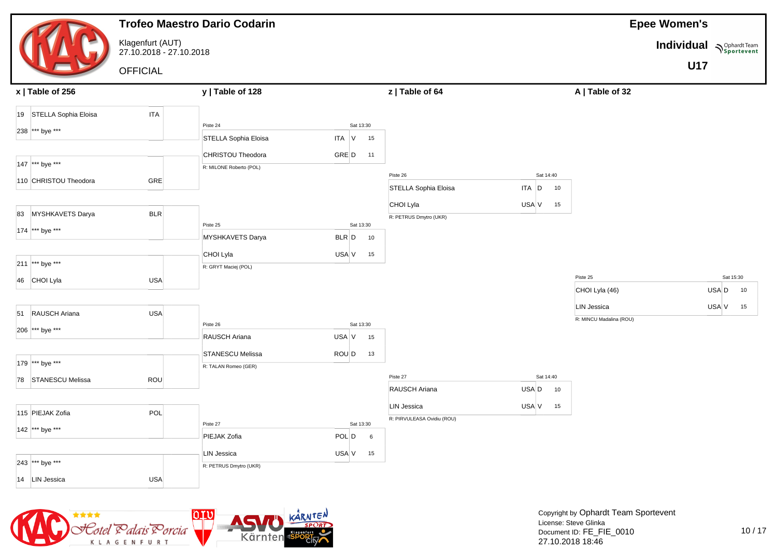|                                            |                                             | <b>Trofeo Maestro Dario Codarin</b>                          |                                  |                                                  |                          |                                               | <b>Epee Women's</b>      |                          |
|--------------------------------------------|---------------------------------------------|--------------------------------------------------------------|----------------------------------|--------------------------------------------------|--------------------------|-----------------------------------------------|--------------------------|--------------------------|
|                                            | Klagenfurt (AUT)<br>27.10.2018 - 27.10.2018 |                                                              |                                  |                                                  |                          |                                               | Individual Nophardt Team |                          |
|                                            | <b>OFFICIAL</b>                             |                                                              |                                  |                                                  |                          |                                               | <b>U17</b>               |                          |
| x   Table of 256                           |                                             | y   Table of 128                                             |                                  | z   Table of 64                                  |                          | A   Table of 32                               |                          |                          |
| 19 STELLA Sophia Eloisa<br>238 *** bye *** | <b>ITA</b>                                  | Piste 24<br>STELLA Sophia Eloisa                             | Sat 13:30<br>ITA<br>$\vee$<br>15 |                                                  |                          |                                               |                          |                          |
| 147 *** bye ***<br>110 CHRISTOU Theodora   | <b>GRE</b>                                  | CHRISTOU Theodora<br>R: MILONE Roberto (POL)                 | GRE D<br>11                      | Piste 26<br>STELLA Sophia Eloisa                 | Sat 14:40<br>ITA D<br>10 |                                               |                          |                          |
| 83 MYSHKAVETS Darya<br>174 *** bye ***     | <b>BLR</b>                                  | Piste 25<br>MYSHKAVETS Darya                                 | Sat 13:30<br>BLR D<br>10         | CHOI Lyla<br>R: PETRUS Dmytro (UKR)              | USA V<br>15              |                                               |                          |                          |
| 211 *** bye ***<br>46 CHOI Lyla            | <b>USA</b>                                  | CHOI Lyla<br>R: GRYT Maciej (POL)                            | USA V<br>15                      |                                                  |                          | Piste 25<br>CHOI Lyla (46)                    |                          | Sat 15:30<br>USA D<br>10 |
| 51 RAUSCH Ariana<br>206 *** bye ***        | <b>USA</b>                                  | Piste 26<br>RAUSCH Ariana                                    | Sat 13:30<br>USA V<br>15         |                                                  |                          | <b>LIN Jessica</b><br>R: MINCU Madalina (ROU) |                          | USA V<br>15              |
| 179 *** bye ***<br>78 STANESCU Melissa     | <b>ROU</b>                                  | <b>STANESCU Melissa</b><br>R: TALAN Romeo (GER)              | ROU D<br>13                      | Piste 27<br>RAUSCH Ariana                        | Sat 14:40<br>USA D<br>10 |                                               |                          |                          |
| 115 PIEJAK Zofia<br>142 *** bye ***        | POL                                         | Piste 27                                                     | Sat 13:30                        | <b>LIN Jessica</b><br>R: PIRVULEASA Ovidiu (ROU) | USA V<br>15              |                                               |                          |                          |
| 243 *** bye ***<br>14 LIN Jessica          | <b>USA</b>                                  | PIEJAK Zofia<br><b>LIN Jessica</b><br>R: PETRUS Dmytro (UKR) | POL D<br>6<br>USA V<br>15        |                                                  |                          |                                               |                          |                          |

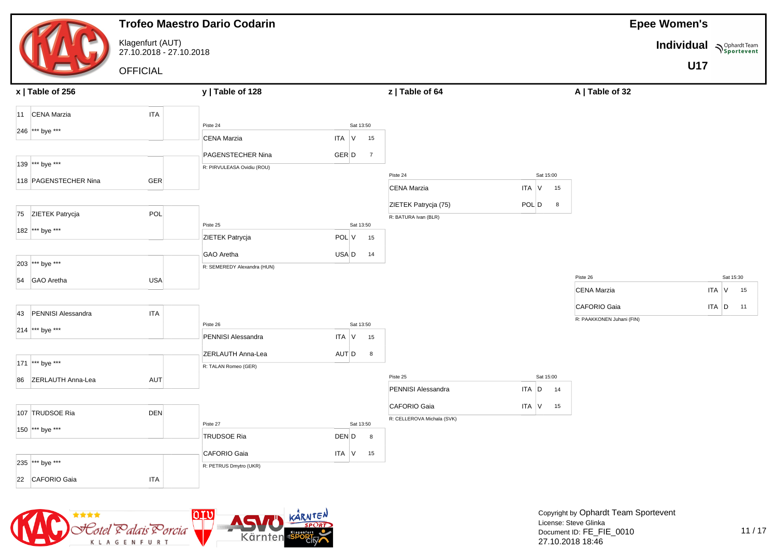|                          |                                             | <b>Trofeo Maestro Dario Codarin</b>    |                          |                                              |                           | <b>Epee Women's</b>      |
|--------------------------|---------------------------------------------|----------------------------------------|--------------------------|----------------------------------------------|---------------------------|--------------------------|
|                          | Klagenfurt (AUT)<br>27.10.2018 - 27.10.2018 |                                        |                          |                                              |                           | Individual Nophardt Team |
|                          | <b>OFFICIAL</b>                             |                                        |                          |                                              |                           | <b>U17</b>               |
| x   Table of 256         |                                             | y   Table of 128                       |                          | z   Table of 64                              | A   Table of 32           |                          |
| 11 CENA Marzia           | <b>ITA</b>                                  | Piste 24                               | Sat 13:50                |                                              |                           |                          |
| 246 *** bye ***          |                                             | <b>CENA Marzia</b>                     | $ITA$ V<br>15            |                                              |                           |                          |
| 139 *** bye ***          |                                             | PAGENSTECHER Nina                      | GER D<br>$\overline{7}$  |                                              |                           |                          |
| 118 PAGENSTECHER Nina    | GER                                         | R: PIRVULEASA Ovidiu (ROU)             |                          | Piste 24                                     | Sat 15:00                 |                          |
|                          |                                             |                                        |                          | <b>CENA Marzia</b>                           | ITA V<br>15               |                          |
| 75 ZIETEK Patrycja       | POL                                         |                                        |                          | ZIETEK Patrycja (75)<br>R: BATURA Ivan (BLR) | POL D<br>8                |                          |
| 182 *** bye ***          |                                             | Piste 25<br>ZIETEK Patrycja            | Sat 13:50<br>POL V<br>15 |                                              |                           |                          |
|                          |                                             | <b>GAO</b> Aretha                      | USA D<br>14              |                                              |                           |                          |
| 203 *** bye ***          |                                             | R: SEMEREDY Alexandra (HUN)            |                          |                                              | Piste 26                  | Sat 15:30                |
| 54 GAO Aretha            | <b>USA</b>                                  |                                        |                          |                                              | <b>CENA Marzia</b>        | $ITA$ V<br>15            |
| PENNISI Alessandra<br>43 | <b>ITA</b>                                  |                                        |                          |                                              | <b>CAFORIO Gaia</b>       | ITA D<br>11              |
| 214 *** bye ***          |                                             | Piste 26<br>PENNISI Alessandra         | Sat 13:50<br>ITA V<br>15 |                                              | R: PAAKKONEN Juhani (FIN) |                          |
|                          |                                             | ZERLAUTH Anna-Lea                      | AUT D<br>8               |                                              |                           |                          |
| 171 *** bye ***          |                                             | R: TALAN Romeo (GER)                   |                          |                                              |                           |                          |
| 86 ZERLAUTH Anna-Lea     | AUT                                         |                                        |                          | Piste 25<br>PENNISI Alessandra               | Sat 15:00<br>ITA D<br>14  |                          |
| 107 TRUDSOE Ria          | <b>DEN</b>                                  |                                        |                          | CAFORIO Gaia                                 | ITA V<br>15               |                          |
| 150 *** bye ***          |                                             | Piste 27                               | Sat 13:50                | R: CELLEROVA Michala (SVK)                   |                           |                          |
|                          |                                             | <b>TRUDSOE Ria</b>                     | DEN D<br>8               |                                              |                           |                          |
| 235 *** bye ***          |                                             | CAFORIO Gaia<br>R: PETRUS Dmytro (UKR) | $ITA$ V<br>15            |                                              |                           |                          |
| 22 CAFORIO Gaia          | <b>ITA</b>                                  |                                        |                          |                                              |                           |                          |

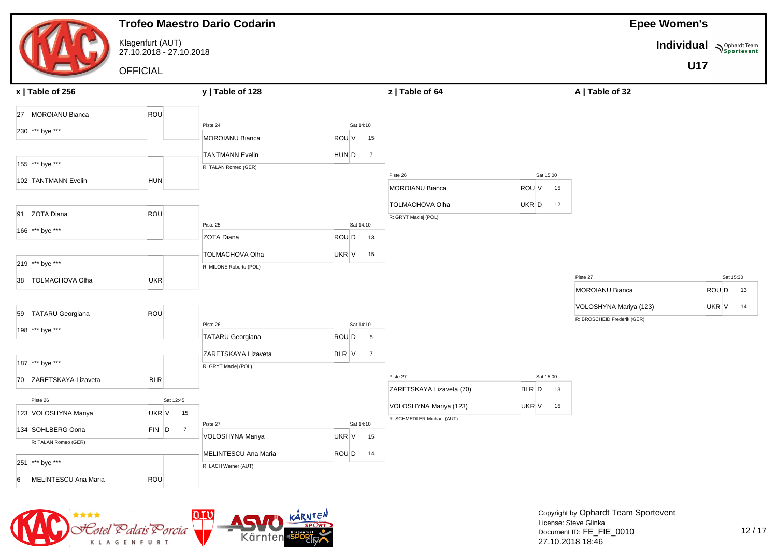|                           |                                             |                | <b>Trofeo Maestro Dario Codarin</b> |       |                |                                                      |                          |                                                       | <b>Epee Women's</b>      |                          |  |
|---------------------------|---------------------------------------------|----------------|-------------------------------------|-------|----------------|------------------------------------------------------|--------------------------|-------------------------------------------------------|--------------------------|--------------------------|--|
|                           | Klagenfurt (AUT)<br>27.10.2018 - 27.10.2018 |                |                                     |       |                |                                                      |                          |                                                       | Individual Nophardt Team |                          |  |
|                           | <b>OFFICIAL</b>                             |                |                                     |       |                |                                                      |                          |                                                       | <b>U17</b>               |                          |  |
| x   Table of 256          |                                             |                | y   Table of 128                    |       |                | z   Table of 64                                      |                          | A   Table of 32                                       |                          |                          |  |
| 27 MOROIANU Bianca        | <b>ROU</b>                                  |                |                                     |       |                |                                                      |                          |                                                       |                          |                          |  |
| 230 *** bye ***           |                                             |                | Piste 24                            |       | Sat 14:10      |                                                      |                          |                                                       |                          |                          |  |
|                           |                                             |                | MOROIANU Bianca                     | ROU V | 15             |                                                      |                          |                                                       |                          |                          |  |
|                           |                                             |                | <b>TANTMANN Evelin</b>              | HUN D | $\overline{7}$ |                                                      |                          |                                                       |                          |                          |  |
| 155 *** bye ***           |                                             |                | R: TALAN Romeo (GER)                |       |                | Piste 26                                             | Sat 15:00                |                                                       |                          |                          |  |
| 102 TANTMANN Evelin       | <b>HUN</b>                                  |                |                                     |       |                | MOROIANU Bianca                                      | ROU V<br>15              |                                                       |                          |                          |  |
|                           |                                             |                |                                     |       |                | <b>TOLMACHOVA Olha</b>                               | UKR D<br>12              |                                                       |                          |                          |  |
| 91 ZOTA Diana             | <b>ROU</b>                                  |                |                                     |       |                | R: GRYT Maciej (POL)                                 |                          |                                                       |                          |                          |  |
| 166 *** bye ***           |                                             |                | Piste 25                            |       | Sat 14:10      |                                                      |                          |                                                       |                          |                          |  |
|                           |                                             |                | ZOTA Diana                          | ROU D | 13             |                                                      |                          |                                                       |                          |                          |  |
|                           |                                             |                | <b>TOLMACHOVA Olha</b>              | UKR V | 15             |                                                      |                          |                                                       |                          |                          |  |
| 219 *** bye ***           |                                             |                | R: MILONE Roberto (POL)             |       |                |                                                      |                          |                                                       |                          |                          |  |
| 38   TOLMACHOVA Olha      | <b>UKR</b>                                  |                |                                     |       |                |                                                      |                          | Piste 27<br><b>MOROIANU Bianca</b>                    |                          | Sat 15:30<br>ROU D<br>13 |  |
|                           |                                             |                |                                     |       |                |                                                      |                          |                                                       |                          |                          |  |
| 59 TATARU Georgiana       | ROU                                         |                |                                     |       |                |                                                      |                          | VOLOSHYNA Mariya (123)<br>R: BROSCHEID Frederik (GER) |                          | UKR V<br>14              |  |
| 198 *** bye ***           |                                             |                | Piste 26                            |       | Sat 14:10      |                                                      |                          |                                                       |                          |                          |  |
|                           |                                             |                | <b>TATARU Georgiana</b>             | ROU D | $-5$           |                                                      |                          |                                                       |                          |                          |  |
|                           |                                             |                | ZARETSKAYA Lizaveta                 | BLR V | $\overline{7}$ |                                                      |                          |                                                       |                          |                          |  |
| 187 *** bye ***           |                                             |                | R: GRYT Maciej (POL)                |       |                |                                                      |                          |                                                       |                          |                          |  |
| 70 ZARETSKAYA Lizaveta    | <b>BLR</b>                                  |                |                                     |       |                | Piste 27<br>ZARETSKAYA Lizaveta (70)                 | Sat 15:00<br>BLR D<br>13 |                                                       |                          |                          |  |
| Piste 26                  | Sat 12:45                                   |                |                                     |       |                |                                                      |                          |                                                       |                          |                          |  |
| 123 VOLOSHYNA Mariya      | UKR V                                       | 15             |                                     |       |                | VOLOSHYNA Mariya (123)<br>R: SCHMEDLER Michael (AUT) | UKR V<br>15              |                                                       |                          |                          |  |
| 134 SOHLBERG Oona         | $FIN$ $D$                                   | $\overline{7}$ | Piste 27                            |       | Sat 14:10      |                                                      |                          |                                                       |                          |                          |  |
| R: TALAN Romeo (GER)      |                                             |                | VOLOSHYNA Mariya                    | UKR V | 15             |                                                      |                          |                                                       |                          |                          |  |
|                           |                                             |                | MELINTESCU Ana Maria                | ROU D | 14             |                                                      |                          |                                                       |                          |                          |  |
| 251 *** bye ***           |                                             |                | R: LACH Werner (AUT)                |       |                |                                                      |                          |                                                       |                          |                          |  |
| MELINTESCU Ana Maria<br>6 | ROU                                         |                |                                     |       |                |                                                      |                          |                                                       |                          |                          |  |

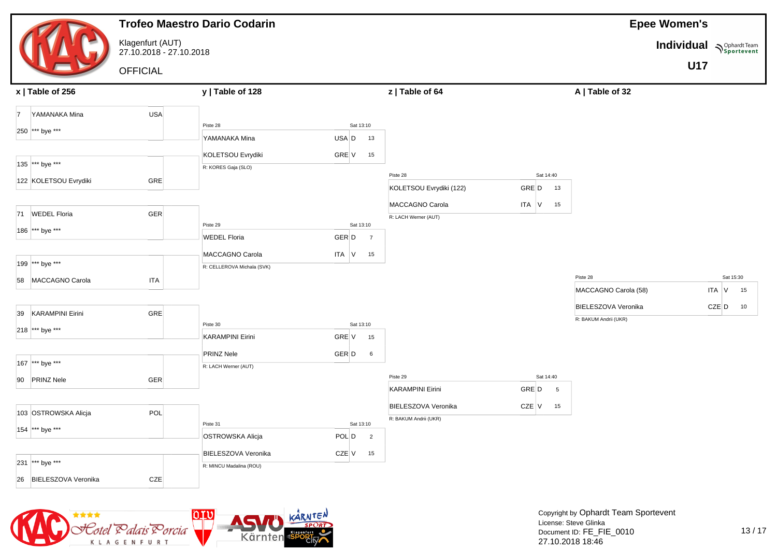| Klagenfurt (AUT)<br>Individual Nophardt Team<br>27.10.2018 - 27.10.2018<br><b>U17</b><br><b>OFFICIAL</b><br>y   Table of 128<br>z   Table of 64<br>A   Table of 32<br>x   Table of 256<br><b>USA</b><br>YAMANAKA Mina<br>17<br>Piste 28<br>Sat 13:10<br>250 *** bye ***<br>YAMANAKA Mina<br>USA D<br>13 |               |
|---------------------------------------------------------------------------------------------------------------------------------------------------------------------------------------------------------------------------------------------------------------------------------------------------------|---------------|
|                                                                                                                                                                                                                                                                                                         |               |
|                                                                                                                                                                                                                                                                                                         |               |
|                                                                                                                                                                                                                                                                                                         |               |
|                                                                                                                                                                                                                                                                                                         |               |
|                                                                                                                                                                                                                                                                                                         |               |
|                                                                                                                                                                                                                                                                                                         |               |
| KOLETSOU Evrydiki<br>GRE V<br>15                                                                                                                                                                                                                                                                        |               |
| 135 *** bye ***<br>R: KORES Gaja (SLO)<br>Sat 14:40<br>Piste 28                                                                                                                                                                                                                                         |               |
| GRE<br>122 KOLETSOU Evrydiki<br>KOLETSOU Evrydiki (122)<br>GRE D<br>13                                                                                                                                                                                                                                  |               |
|                                                                                                                                                                                                                                                                                                         |               |
| MACCAGNO Carola<br>$ITA$ $V$<br>15<br>GER<br>71 WEDEL Floria<br>R: LACH Werner (AUT)                                                                                                                                                                                                                    |               |
| Piste 29<br>Sat 13:10<br>186 *** bye ***                                                                                                                                                                                                                                                                |               |
| <b>WEDEL Floria</b><br>GER D<br>$\overline{7}$                                                                                                                                                                                                                                                          |               |
| MACCAGNO Carola<br>$ITA$ V<br>15                                                                                                                                                                                                                                                                        |               |
| 199 *** bye ***<br>R: CELLEROVA Michala (SVK)                                                                                                                                                                                                                                                           |               |
| Piste 28<br><b>ITA</b><br>58 MACCAGNO Carola                                                                                                                                                                                                                                                            | Sat 15:30     |
| MACCAGNO Carola (58)                                                                                                                                                                                                                                                                                    | ITA V<br>15   |
| <b>BIELESZOVA Veronika</b><br>GRE<br>39 KARAMPINI Eirini                                                                                                                                                                                                                                                | $CZE$ D<br>10 |
| R: BAKUM Andrii (UKR)<br>Piste 30<br>Sat 13:10                                                                                                                                                                                                                                                          |               |
| 218 *** bye ***<br><b>KARAMPINI Eirini</b><br>GRE V<br>15                                                                                                                                                                                                                                               |               |
| <b>PRINZ Nele</b><br>GER D<br>$\,6\,$                                                                                                                                                                                                                                                                   |               |
| 167 *** bye ***<br>R: LACH Werner (AUT)                                                                                                                                                                                                                                                                 |               |
| Piste 29<br>Sat 14:40<br>90 PRINZ Nele<br><b>GER</b>                                                                                                                                                                                                                                                    |               |
| <b>KARAMPINI Eirini</b><br>GRE D<br>5                                                                                                                                                                                                                                                                   |               |
| <b>BIELESZOVA Veronika</b><br>CZE V<br>15                                                                                                                                                                                                                                                               |               |
| POL<br>103 OSTROWSKA Alicja<br>R: BAKUM Andrii (UKR)<br>Sat 13:10<br>Piste 31                                                                                                                                                                                                                           |               |
| 154 *** bye ***<br>OSTROWSKA Alicja<br>POL D<br>$\overline{2}$                                                                                                                                                                                                                                          |               |
|                                                                                                                                                                                                                                                                                                         |               |
| BIELESZOVA Veronika<br>CZE V<br>15<br>231 *** bye ***<br>R: MINCU Madalina (ROU)                                                                                                                                                                                                                        |               |
| 26 BIELESZOVA Veronika<br>CZE                                                                                                                                                                                                                                                                           |               |

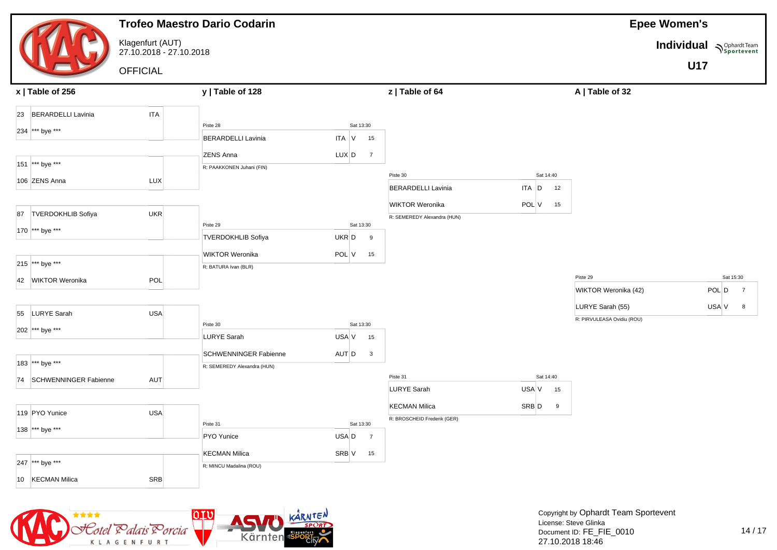|                                                    |                                             | <b>Trofeo Maestro Dario Codarin</b>                         |                                      |                                                       |                              |                                                | <b>Epee Women's</b>      |                                      |
|----------------------------------------------------|---------------------------------------------|-------------------------------------------------------------|--------------------------------------|-------------------------------------------------------|------------------------------|------------------------------------------------|--------------------------|--------------------------------------|
|                                                    | Klagenfurt (AUT)<br>27.10.2018 - 27.10.2018 |                                                             |                                      |                                                       |                              |                                                | Individual Nophardt Team |                                      |
|                                                    | <b>OFFICIAL</b>                             |                                                             |                                      |                                                       |                              |                                                | <b>U17</b>               |                                      |
| x   Table of 256                                   |                                             | y   Table of 128                                            |                                      | z   Table of 64                                       |                              | A   Table of 32                                |                          |                                      |
| 23 BERARDELLI Lavinia<br>234 *** bye ***           | <b>ITA</b>                                  | Piste 28<br><b>BERARDELLI Lavinia</b>                       | Sat 13:30<br>ITA V<br>15             |                                                       |                              |                                                |                          |                                      |
| 151 *** bye ***<br>106 ZENS Anna                   | <b>LUX</b>                                  | ZENS Anna<br>R: PAAKKONEN Juhani (FIN)                      | LUX D<br>$\overline{7}$              | Piste 30<br><b>BERARDELLI Lavinia</b>                 | Sat 14:40<br>$ITA$ $D$<br>12 |                                                |                          |                                      |
| <b>TVERDOKHLIB Sofiya</b><br>87<br>170 *** bye *** | <b>UKR</b>                                  | Piste 29<br><b>TVERDOKHLIB Sofiya</b>                       | Sat 13:30<br>UKR D<br>9              | <b>WIKTOR Weronika</b><br>R: SEMEREDY Alexandra (HUN) | POL V<br>15                  |                                                |                          |                                      |
| 215 *** bye ***<br>42 WIKTOR Weronika              | POL                                         | WIKTOR Weronika<br>R: BATURA Ivan (BLR)                     | POL V<br>15                          |                                                       |                              | Piste 29<br>WIKTOR Weronika (42)               |                          | Sat 15:30<br>POL D<br>$\overline{7}$ |
| 55<br><b>LURYE Sarah</b><br>202 *** bye ***        | <b>USA</b>                                  | Piste 30<br>LURYE Sarah                                     | Sat 13:30<br>USA V<br>15             |                                                       |                              | LURYE Sarah (55)<br>R: PIRVULEASA Ovidiu (ROU) |                          | USA V<br>8                           |
| 183 *** bye ***<br>74 SCHWENNINGER Fabienne        | AUT                                         | <b>SCHWENNINGER Fabienne</b><br>R: SEMEREDY Alexandra (HUN) | AUT D<br>$\mathbf{3}$                | Piste 31<br><b>LURYE Sarah</b>                        | Sat 14:40<br>USA V<br>15     |                                                |                          |                                      |
| 119 PYO Yunice<br>138 *** bye ***                  | <b>USA</b>                                  | Piste 31<br>PYO Yunice                                      | Sat 13:30<br>USA D<br>$\overline{7}$ | <b>KECMAN Milica</b><br>R: BROSCHEID Frederik (GER)   | SRB <sub>D</sub><br>9        |                                                |                          |                                      |
| 247 *** bye ***<br>10 KECMAN Milica                | <b>SRB</b>                                  | <b>KECMAN Milica</b><br>R: MINCU Madalina (ROU)             | SRB V<br>15                          |                                                       |                              |                                                |                          |                                      |



Copyright by Ophardt Team Sportevent License: Steve Glinka Document ID: FE\_FIE\_0010 27.10.2018 18:46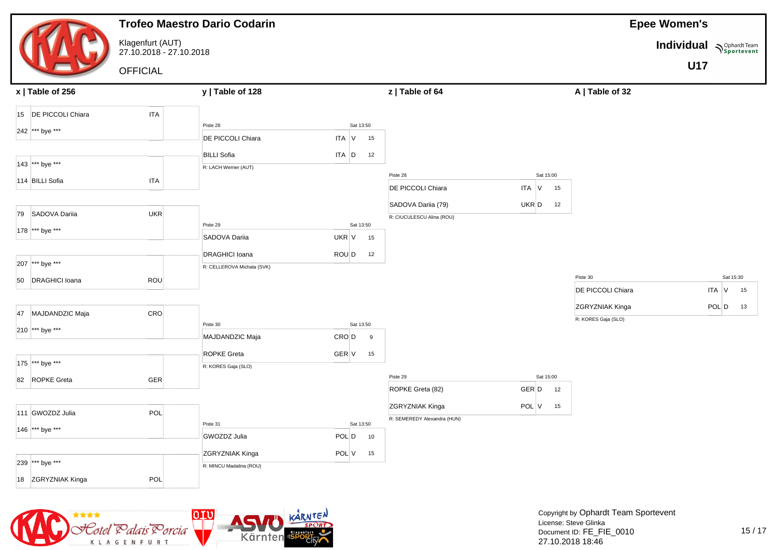|                                         |                                             | <b>Trofeo Maestro Dario Codarin</b>                 |                                  |                                                       |                          |                                      | <b>Epee Women's</b>      |                            |
|-----------------------------------------|---------------------------------------------|-----------------------------------------------------|----------------------------------|-------------------------------------------------------|--------------------------|--------------------------------------|--------------------------|----------------------------|
|                                         | Klagenfurt (AUT)<br>27.10.2018 - 27.10.2018 |                                                     |                                  |                                                       |                          |                                      | Individual Nophardt Team |                            |
|                                         | <b>OFFICIAL</b>                             |                                                     |                                  |                                                       |                          |                                      | <b>U17</b>               |                            |
| x   Table of 256                        |                                             | y   Table of 128                                    |                                  | z   Table of 64                                       |                          | A   Table of 32                      |                          |                            |
| 15 DE PICCOLI Chiara<br>242 *** bye *** | <b>ITA</b>                                  | Piste 28                                            | Sat 13:50                        |                                                       |                          |                                      |                          |                            |
|                                         |                                             | DE PICCOLI Chiara                                   | <b>ITA</b><br>$\mathsf{V}$<br>15 |                                                       |                          |                                      |                          |                            |
| 143 *** bye ***                         |                                             | <b>BILLI Sofia</b><br>R: LACH Werner (AUT)          | ITA D<br>12                      |                                                       |                          |                                      |                          |                            |
| 114 BILLI Sofia                         | <b>ITA</b>                                  |                                                     |                                  | Piste 28<br>DE PICCOLI Chiara                         | Sat 15:00<br>ITA V<br>15 |                                      |                          |                            |
|                                         |                                             |                                                     |                                  | SADOVA Dariia (79)                                    | UKR D<br>12              |                                      |                          |                            |
| 79 SADOVA Dariia<br>178 *** bye ***     | <b>UKR</b>                                  | Piste 29                                            | Sat 13:50                        | R: CIUCULESCU Alina (ROU)                             |                          |                                      |                          |                            |
|                                         |                                             | SADOVA Dariia                                       | UKR V<br>15                      |                                                       |                          |                                      |                          |                            |
| 207 *** bye ***                         |                                             | <b>DRAGHICI</b> Ioana<br>R: CELLEROVA Michala (SVK) | ROU D<br>12                      |                                                       |                          |                                      |                          |                            |
| 50 DRAGHICI Ioana                       | ROU                                         |                                                     |                                  |                                                       |                          | Piste 30                             |                          | Sat 15:30                  |
|                                         |                                             |                                                     |                                  |                                                       |                          | DE PICCOLI Chiara<br>ZGRYZNIAK Kinga |                          | ITA V<br>15<br>POL D<br>13 |
| MAJDANDZIC Maja<br>47                   | CRO                                         | Piste 30                                            | Sat 13:50                        |                                                       |                          | R: KORES Gaja (SLO)                  |                          |                            |
| 210 *** bye ***                         |                                             | MAJDANDZIC Maja                                     | CRO D<br>9                       |                                                       |                          |                                      |                          |                            |
| 175 *** bye ***                         |                                             | <b>ROPKE Greta</b><br>R: KORES Gaja (SLO)           | GER V<br>15                      |                                                       |                          |                                      |                          |                            |
| 82 ROPKE Greta                          | GER                                         |                                                     |                                  | Piste 29                                              | Sat 15:00                |                                      |                          |                            |
|                                         |                                             |                                                     |                                  | ROPKE Greta (82)                                      | GER D<br>12              |                                      |                          |                            |
| 111 GWOZDZ Julia                        | POL                                         | Piste 31                                            | Sat 13:50                        | <b>ZGRYZNIAK Kinga</b><br>R: SEMEREDY Alexandra (HUN) | POL V 15                 |                                      |                          |                            |
| 146 *** bye ***                         |                                             | GWOZDZ Julia                                        | POL D<br>10                      |                                                       |                          |                                      |                          |                            |
| 239 *** bye ***                         |                                             | ZGRYZNIAK Kinga                                     | $POL$ V<br>15                    |                                                       |                          |                                      |                          |                            |
| 18 ZGRYZNIAK Kinga                      | POL                                         | R: MINCU Madalina (ROU)                             |                                  |                                                       |                          |                                      |                          |                            |

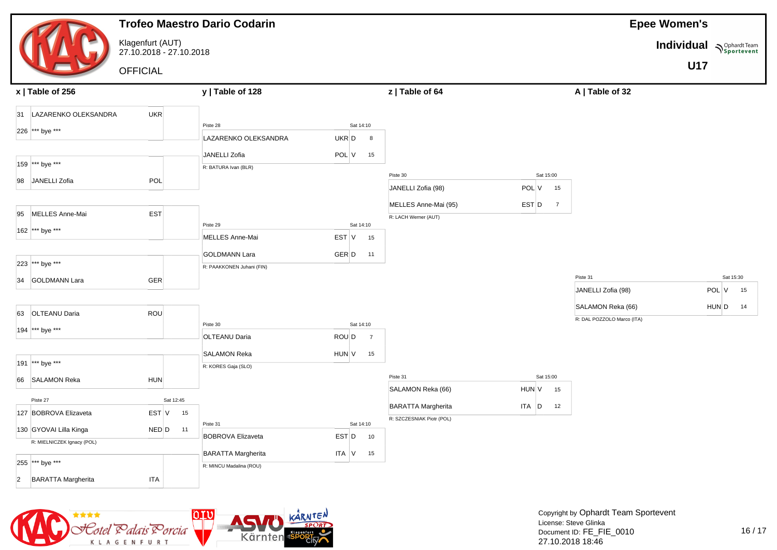|                                                                    | <b>Trofeo Maestro Dario Codarin</b>                                      |                                                        |                         | <b>Epee Women's</b>                             |             |
|--------------------------------------------------------------------|--------------------------------------------------------------------------|--------------------------------------------------------|-------------------------|-------------------------------------------------|-------------|
| Klagenfurt (AUT)<br>27.10.2018 - 27.10.2018                        |                                                                          |                                                        |                         | Individual Nophardt Team                        |             |
| <b>OFFICIAL</b>                                                    |                                                                          |                                                        |                         | <b>U17</b>                                      |             |
| x   Table of 256                                                   | y   Table of 128                                                         | z   Table of 64                                        |                         | A   Table of 32                                 |             |
| <b>UKR</b><br>LAZARENKO OLEKSANDRA<br>31                           |                                                                          |                                                        |                         |                                                 |             |
| 226 *** bye ***                                                    | Piste 28<br>Sat 14:10<br>LAZARENKO OLEKSANDRA<br>UKR D<br>8              |                                                        |                         |                                                 |             |
| 159 *** bye ***                                                    | JANELLI Zofia<br>POL V<br>15                                             |                                                        |                         |                                                 |             |
| POL<br>98 JANELLI Zofia                                            | R: BATURA Ivan (BLR)                                                     | Piste 30                                               | Sat 15:00               |                                                 |             |
|                                                                    |                                                                          | JANELLI Zofia (98)                                     | POL V<br>15             |                                                 |             |
| EST<br>MELLES Anne-Mai<br>95                                       | Piste 29                                                                 | MELLES Anne-Mai (95)<br>R: LACH Werner (AUT)           | EST D<br>$\overline{7}$ |                                                 |             |
| 162 *** bye ***                                                    | Sat 14:10<br>MELLES Anne-Mai<br>EST V<br>15                              |                                                        |                         |                                                 |             |
| 223 *** bye ***                                                    | GER D<br><b>GOLDMANN Lara</b><br>11                                      |                                                        |                         |                                                 |             |
| <b>GER</b><br>34 GOLDMANN Lara                                     | R: PAAKKONEN Juhani (FIN)                                                |                                                        | Piste 31                |                                                 | Sat 15:30   |
|                                                                    |                                                                          |                                                        |                         | JANELLI Zofia (98)                              | POL V<br>15 |
| ROU<br>63 OLTEANU Daria                                            |                                                                          |                                                        |                         | SALAMON Reka (66)<br>R: DAL POZZOLO Marco (ITA) | HUN D<br>14 |
| 194 *** bye ***                                                    | Sat 14:10<br>Piste 30<br><b>OLTEANU Daria</b><br>ROU D<br>$\overline{7}$ |                                                        |                         |                                                 |             |
| 191 *** bye ***                                                    | $HUN V$ 15<br><b>SALAMON Reka</b>                                        |                                                        |                         |                                                 |             |
| <b>HUN</b><br>66 SALAMON Reka                                      | R: KORES Gaja (SLO)                                                      | Piste 31                                               | Sat 15:00               |                                                 |             |
| Sat 12:45<br>Piste 27                                              |                                                                          | SALAMON Reka (66)                                      | HUN V<br>15             |                                                 |             |
| EST V<br>127 BOBROVA Elizaveta<br>15                               | Sat 14:10                                                                | <b>BARATTA Margherita</b><br>R: SZCZESNIAK Piotr (POL) | $ITA$ $D$<br>12         |                                                 |             |
| $NED$ 0 11<br>130 GYOVAI Lilla Kinga<br>R: MIELNICZEK Ignacy (POL) | Piste 31<br><b>BOBROVA Elizaveta</b><br>EST D<br>10                      |                                                        |                         |                                                 |             |
| 255 *** bye ***                                                    | <b>BARATTA Margherita</b><br>ITA V<br>15                                 |                                                        |                         |                                                 |             |
| <b>BARATTA Margherita</b><br>ITA<br>$\overline{2}$                 | R: MINCU Madalina (ROU)                                                  |                                                        |                         |                                                 |             |

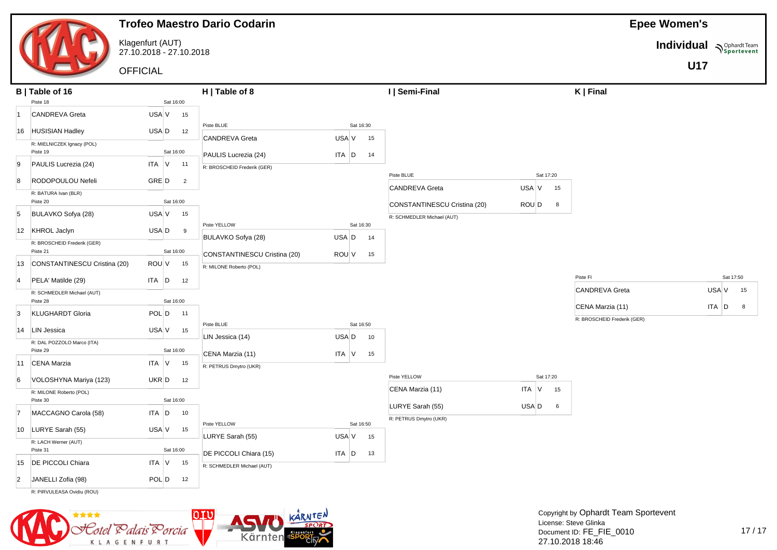|                 | <b>Trofeo</b>          |
|-----------------|------------------------|
|                 | Klagenfur<br>27.10.201 |
|                 | <b>OFFICIA</b>         |
| B   Table of 16 |                        |
| Piste 18        |                        |

### **Maestro Dario Codarin**

Klagenfurt (AUT) 27.10.2018 - 27.10.2018 **Epee Women's**

**Individual Supplardt Team** 

**U17**

AL

|                | B   Table of 16<br>Piste 18             |            | Sat 16:00      | H   Table of 8                                          |           |           |    | I   Semi-Final               |                      |           | $K$   Final                                     |            |
|----------------|-----------------------------------------|------------|----------------|---------------------------------------------------------|-----------|-----------|----|------------------------------|----------------------|-----------|-------------------------------------------------|------------|
|                | <b>CANDREVA Greta</b>                   | $USA V$ 15 |                |                                                         |           |           |    |                              |                      |           |                                                 |            |
|                |                                         |            |                | Piste BLUE                                              |           | Sat 16:30 |    |                              |                      |           |                                                 |            |
| 16             | <b>HUSISIAN Hadley</b>                  | USA D      | 12             |                                                         |           |           |    |                              |                      |           |                                                 |            |
|                | R: MIELNICZEK Ignacy (POL)<br>Piste 19  |            | Sat 16:00      | <b>CANDREVA Greta</b>                                   | USA V     |           | 15 |                              |                      |           |                                                 |            |
| 9              | PAULIS Lucrezia (24)                    | ITA V      | 11             | PAULIS Lucrezia (24)<br>R: BROSCHEID Frederik (GER)     | $ITA$ $D$ |           | 14 |                              |                      |           |                                                 |            |
| 8              | RODOPOULOU Nefeli                       | GRE D      | $\overline{c}$ |                                                         |           |           |    | Piste BLUE                   |                      | Sat 17:20 |                                                 |            |
|                | R: BATURA Ivan (BLR)                    |            |                |                                                         |           |           |    | <b>CANDREVA Greta</b>        | USA V                | 15        |                                                 |            |
|                | Piste 20                                |            | Sat 16:00      |                                                         |           |           |    | CONSTANTINESCU Cristina (20) | ROU D                | 8         |                                                 |            |
| 5              | BULAVKO Sofya (28)                      | USA V      | 15             |                                                         |           |           |    | R: SCHMEDLER Michael (AUT)   |                      |           |                                                 |            |
| 12             | <b>KHROL Jaclyn</b>                     | USA D      | 9              | Piste YELLOW                                            |           | Sat 16:30 |    |                              |                      |           |                                                 |            |
|                | R: BROSCHEID Frederik (GER)<br>Piste 21 |            | Sat 16:00      | BULAVKO Sofya (28)                                      | USA D     |           | 14 |                              |                      |           |                                                 |            |
| 13             | CONSTANTINESCU Cristina (20)            | ROU V      | 15             | CONSTANTINESCU Cristina (20)<br>R: MILONE Roberto (POL) | ROU V     |           | 15 |                              |                      |           |                                                 |            |
| $\overline{4}$ | PELA' Matilde (29)                      | $ITA$ $D$  | 12             |                                                         |           |           |    |                              |                      |           | Piste FI                                        | Sat 17:50  |
|                | R: SCHMEDLER Michael (AUT)              |            |                |                                                         |           |           |    |                              |                      |           | <b>CANDREVA Greta</b>                           | $USA V$ 15 |
|                | Piste 28                                |            | Sat 16:00      |                                                         |           |           |    |                              |                      |           |                                                 |            |
| 3              | <b>KLUGHARDT Gloria</b>                 | POL D      | 11             |                                                         |           |           |    |                              |                      |           | CENA Marzia (11)<br>R: BROSCHEID Frederik (GER) | ITA D<br>8 |
| 14             | <b>LIN Jessica</b>                      | USA V      | 15             | Piste BLUE                                              |           | Sat 16:50 |    |                              |                      |           |                                                 |            |
|                | R: DAL POZZOLO Marco (ITA)              |            |                | LIN Jessica (14)                                        | USA D     |           | 10 |                              |                      |           |                                                 |            |
|                | Piste 29                                |            | Sat 16:00      | CENA Marzia (11)                                        | ITA V     |           | 15 |                              |                      |           |                                                 |            |
| 11             | <b>CENA Marzia</b>                      | ITA V      | 15             | R: PETRUS Dmytro (UKR)                                  |           |           |    |                              |                      |           |                                                 |            |
| 6              | VOLOSHYNA Mariya (123)                  | UKR D      | 12             |                                                         |           |           |    | Piste YELLOW                 |                      | Sat 17:20 |                                                 |            |
|                | R: MILONE Roberto (POL)                 |            |                |                                                         |           |           |    | CENA Marzia (11)             | <b>ITA</b><br>$\vee$ | 15        |                                                 |            |
|                | Piste 30                                |            | Sat 16:00      |                                                         |           |           |    | LURYE Sarah (55)             | USA D                | 6         |                                                 |            |
| 17             | MACCAGNO Carola (58)                    | $ITA$ $D$  | 10             |                                                         |           |           |    | R: PETRUS Dmytro (UKR)       |                      |           |                                                 |            |
| 10             | LURYE Sarah (55)                        | USA V      | 15             | Piste YELLOW<br>LURYE Sarah (55)                        | USA V     | Sat 16:50 | 15 |                              |                      |           |                                                 |            |
|                | R: LACH Werner (AUT)<br>Piste 31        |            | Sat 16:00      |                                                         |           |           |    |                              |                      |           |                                                 |            |
| 15             | <b>DE PICCOLI Chiara</b>                | ITA V      | 15             | DE PICCOLI Chiara (15)<br>R: SCHMEDLER Michael (AUT)    | ITA D     |           | 13 |                              |                      |           |                                                 |            |
| $\overline{2}$ | JANELLI Zofia (98)                      | POL D      | 12             |                                                         |           |           |    |                              |                      |           |                                                 |            |
|                | R: PIRVULEASA Ovidiu (ROU)              |            |                |                                                         |           |           |    |                              |                      |           |                                                 |            |

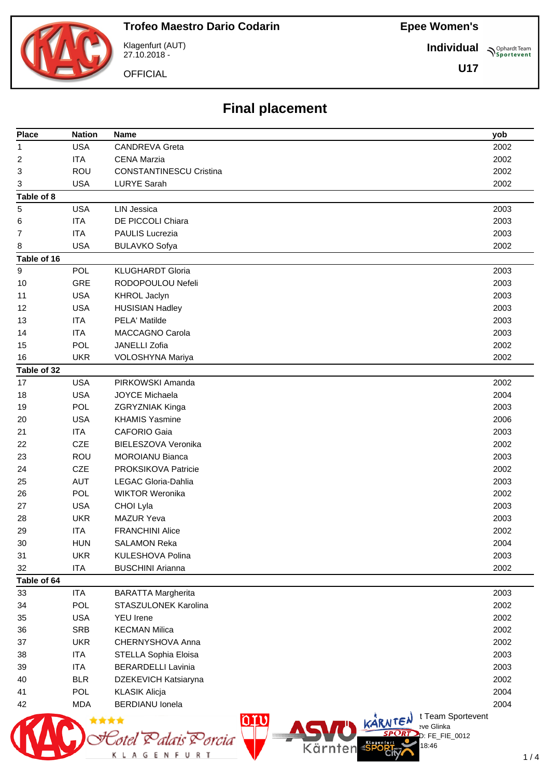**Trofeo Maestro Dario Codarin** Klagenfurt (AUT)

**Individual**

**Sportevent** 

**U17**

**OFFICIAL** 

# **Final placement**

| <b>Place</b> | <b>Nation</b> | <b>Name</b>                                       | yob  |
|--------------|---------------|---------------------------------------------------|------|
| 1            | <b>USA</b>    | <b>CANDREVA Greta</b>                             | 2002 |
| 2            | <b>ITA</b>    | <b>CENA Marzia</b>                                | 2002 |
| 3            | ROU           | <b>CONSTANTINESCU Cristina</b>                    | 2002 |
| 3            | <b>USA</b>    | <b>LURYE Sarah</b>                                | 2002 |
| Table of 8   |               |                                                   |      |
| 5            | <b>USA</b>    | <b>LIN Jessica</b>                                | 2003 |
| 6            | <b>ITA</b>    | DE PICCOLI Chiara                                 | 2003 |
| 7            | <b>ITA</b>    | PAULIS Lucrezia                                   | 2003 |
| 8            | <b>USA</b>    | <b>BULAVKO Sofya</b>                              | 2002 |
| Table of 16  |               |                                                   |      |
| 9            | <b>POL</b>    | <b>KLUGHARDT Gloria</b>                           | 2003 |
| 10           | <b>GRE</b>    | RODOPOULOU Nefeli                                 | 2003 |
| 11           | <b>USA</b>    | KHROL Jaclyn                                      | 2003 |
| 12           | <b>USA</b>    | <b>HUSISIAN Hadley</b>                            | 2003 |
| 13           | <b>ITA</b>    | PELA' Matilde                                     | 2003 |
| 14           | <b>ITA</b>    | <b>MACCAGNO Carola</b>                            | 2003 |
| 15           | POL           | JANELLI Zofia                                     | 2002 |
| 16           | <b>UKR</b>    | VOLOSHYNA Mariya                                  | 2002 |
| Table of 32  |               |                                                   |      |
| 17           | <b>USA</b>    | PIRKOWSKI Amanda                                  | 2002 |
| 18           | <b>USA</b>    | <b>JOYCE Michaela</b>                             | 2004 |
| 19           | POL           | ZGRYZNIAK Kinga                                   | 2003 |
| 20           | <b>USA</b>    | <b>KHAMIS Yasmine</b>                             | 2006 |
| 21           | <b>ITA</b>    | <b>CAFORIO Gaia</b>                               | 2003 |
| 22           | <b>CZE</b>    | BIELESZOVA Veronika                               | 2002 |
| 23           | ROU           | <b>MOROIANU Bianca</b>                            | 2003 |
| 24           | <b>CZE</b>    | PROKSIKOVA Patricie                               | 2002 |
| 25           | <b>AUT</b>    | LEGAC Gloria-Dahlia                               | 2003 |
| 26           | POL           | <b>WIKTOR Weronika</b>                            | 2002 |
| 27           | <b>USA</b>    | CHOI Lyla                                         | 2003 |
| 28           | <b>UKR</b>    | <b>MAZUR Yeva</b>                                 | 2003 |
| 29           | <b>ITA</b>    | <b>FRANCHINI Alice</b>                            | 2002 |
| 30           | <b>HUN</b>    | <b>SALAMON Reka</b>                               | 2004 |
| 31           | <b>UKR</b>    | KULESHOVA Polina                                  | 2003 |
| 32           | <b>ITA</b>    | <b>BUSCHINI Arianna</b>                           | 2002 |
| Table of 64  |               |                                                   |      |
| 33           | <b>ITA</b>    | <b>BARATTA Margherita</b>                         | 2003 |
| 34           | POL           | STASZULONEK Karolina                              | 2002 |
| 35           | <b>USA</b>    | <b>YEU Irene</b>                                  | 2002 |
| 36           | <b>SRB</b>    | <b>KECMAN Milica</b>                              | 2002 |
| 37           | <b>UKR</b>    | CHERNYSHOVA Anna                                  | 2002 |
| 38           | <b>ITA</b>    | STELLA Sophia Eloisa                              | 2003 |
| 39           | <b>ITA</b>    | <b>BERARDELLI Lavinia</b>                         | 2003 |
| 40           | <b>BLR</b>    | DZEKEVICH Katsiaryna                              | 2002 |
| 41           | POL           | <b>KLASIK Alicja</b>                              | 2004 |
| 42           | <b>MDA</b>    | <b>BERDIANU</b> Ionela                            | 2004 |
|              |               | t Team Sportevent<br>nru<br>KARNTEN<br>eve Glinka |      |
|              |               | $D: FE_FIE_0012$<br>Lorcia                        |      |
|              |               | <b>Klagenfurt</b><br>18:46<br>Kärnten             |      |
|              |               | <b>GENFURT</b><br>A                               | 1/   |

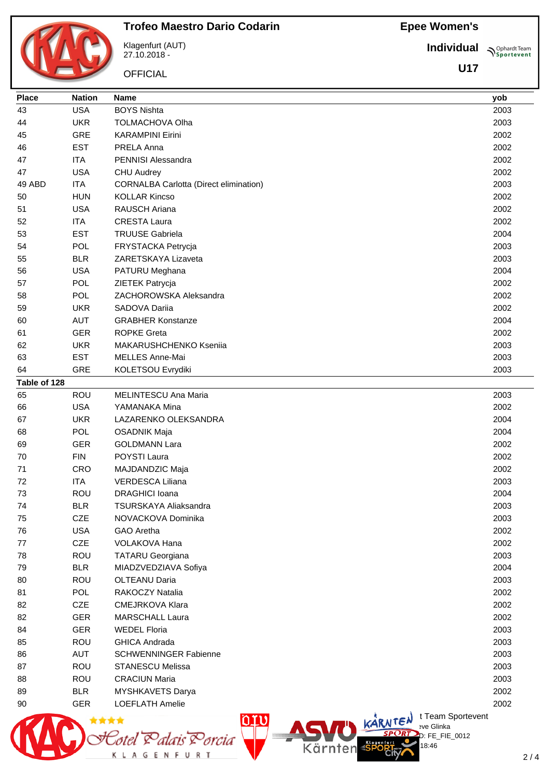**Trofeo Maestro Dario Codarin** Klagenfurt (AUT) 27.10.2018 -

**OFFICIAL** 

**Individual Supplemant** Team

**U17**

| <b>Place</b> | <b>Nation</b> | <b>Name</b>                                                             | yob  |
|--------------|---------------|-------------------------------------------------------------------------|------|
| 43           | <b>USA</b>    | <b>BOYS Nishta</b>                                                      | 2003 |
| 44           | <b>UKR</b>    | <b>TOLMACHOVA Olha</b>                                                  | 2003 |
| 45           | <b>GRE</b>    | <b>KARAMPINI Eirini</b>                                                 | 2002 |
| 46           | <b>EST</b>    | PRELA Anna                                                              | 2002 |
| 47           | <b>ITA</b>    | PENNISI Alessandra                                                      | 2002 |
| 47           | <b>USA</b>    | <b>CHU Audrey</b>                                                       | 2002 |
| 49 ABD       | <b>ITA</b>    | <b>CORNALBA Carlotta (Direct elimination)</b>                           | 2003 |
| 50           | <b>HUN</b>    | <b>KOLLAR Kincso</b>                                                    | 2002 |
| 51           | <b>USA</b>    | RAUSCH Ariana                                                           | 2002 |
| 52           | <b>ITA</b>    | <b>CRESTA Laura</b>                                                     | 2002 |
| 53           | <b>EST</b>    | <b>TRUUSE Gabriela</b>                                                  | 2004 |
| 54           | <b>POL</b>    | FRYSTACKA Petrycja                                                      | 2003 |
| 55           | <b>BLR</b>    | ZARETSKAYA Lizaveta                                                     | 2003 |
| 56           | <b>USA</b>    | PATURU Meghana                                                          | 2004 |
| 57           | POL           | ZIETEK Patrycja                                                         | 2002 |
| 58           | POL           | ZACHOROWSKA Aleksandra                                                  | 2002 |
| 59           | <b>UKR</b>    | SADOVA Dariia                                                           | 2002 |
| 60           | <b>AUT</b>    | <b>GRABHER Konstanze</b>                                                | 2004 |
| 61           | <b>GER</b>    | <b>ROPKE Greta</b>                                                      | 2002 |
| 62           | <b>UKR</b>    | MAKARUSHCHENKO Ksenija                                                  | 2003 |
| 63           | <b>EST</b>    | MELLES Anne-Mai                                                         | 2003 |
| 64           | <b>GRE</b>    | KOLETSOU Evrydiki                                                       | 2003 |
| Table of 128 |               |                                                                         |      |
| 65           | <b>ROU</b>    | MELINTESCU Ana Maria                                                    | 2003 |
| 66           | <b>USA</b>    | YAMANAKA Mina                                                           | 2002 |
| 67           | <b>UKR</b>    | LAZARENKO OLEKSANDRA                                                    | 2004 |
| 68           | POL           | <b>OSADNIK Maja</b>                                                     | 2004 |
| 69           | <b>GER</b>    | <b>GOLDMANN Lara</b>                                                    | 2002 |
| 70           | <b>FIN</b>    | POYSTI Laura                                                            | 2002 |
| 71           | <b>CRO</b>    | MAJDANDZIC Maja                                                         | 2002 |
| 72           | <b>ITA</b>    | <b>VERDESCA Liliana</b>                                                 | 2003 |
| 73           | <b>ROU</b>    | <b>DRAGHICI Ioana</b>                                                   | 2004 |
| 74           | <b>BLR</b>    | TSURSKAYA Aliaksandra                                                   | 2003 |
| 75           | <b>CZE</b>    | NOVACKOVA Dominika                                                      | 2003 |
| 76           | <b>USA</b>    | <b>GAO Aretha</b>                                                       | 2002 |
| 77           | <b>CZE</b>    | VOLAKOVA Hana                                                           | 2002 |
| 78           | ROU           | <b>TATARU Georgiana</b>                                                 | 2003 |
| 79           | <b>BLR</b>    | MIADZVEDZIAVA Sofiya                                                    | 2004 |
| 80           | <b>ROU</b>    | OLTEANU Daria                                                           | 2003 |
| 81           | <b>POL</b>    | RAKOCZY Natalia                                                         | 2002 |
| 82           | <b>CZE</b>    | CMEJRKOVA Klara                                                         | 2002 |
| 82           | <b>GER</b>    | <b>MARSCHALL Laura</b>                                                  | 2002 |
| 84           | <b>GER</b>    | <b>WEDEL Floria</b>                                                     | 2003 |
| 85           | ROU           | <b>GHICA Andrada</b>                                                    | 2003 |
| 86           | AUT           | <b>SCHWENNINGER Fabienne</b>                                            | 2003 |
| 87           | <b>ROU</b>    | <b>STANESCU Melissa</b>                                                 | 2003 |
| 88           | <b>ROU</b>    | <b>CRACIUN Maria</b>                                                    | 2003 |
| 89           | <b>BLR</b>    | MYSHKAVETS Darya                                                        | 2002 |
| 90           | <b>GER</b>    | <b>LOEFLATH Amelie</b>                                                  | 2002 |
|              | A ****        | t Team Sportevent<br><b>ACT F'S KARNTEN</b><br><u>oru</u><br>sve Glinka |      |



Statel Palais Porcia

.<br>D: FE\_FIE\_0012

18:46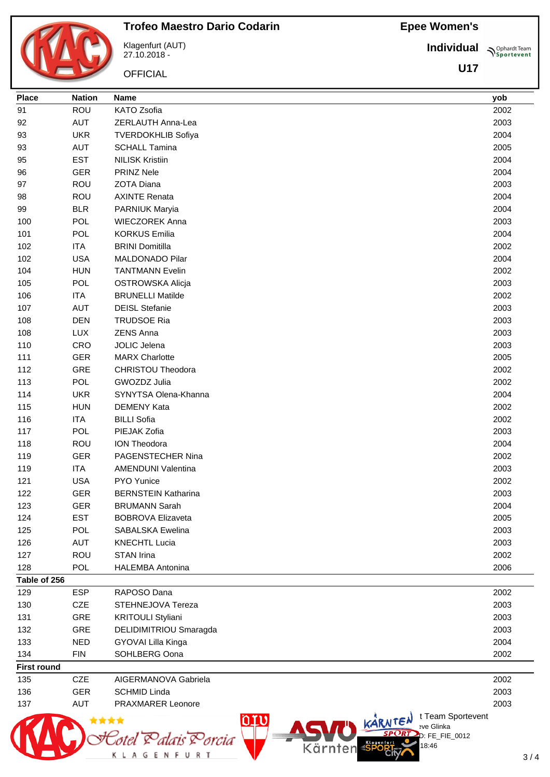**Trofeo Maestro Dario Codarin**

Klagenfurt (AUT) 27.10.2018 -

OFFICIAL

**Individual Prophardt Team** 

**U17**

| <b>Place</b>       | <b>Nation</b> | <b>Name</b>                                 | yob          |
|--------------------|---------------|---------------------------------------------|--------------|
| 91                 | <b>ROU</b>    | KATO Zsofia                                 | 2002         |
| 92                 | <b>AUT</b>    | ZERLAUTH Anna-Lea                           | 2003         |
| 93                 | <b>UKR</b>    | <b>TVERDOKHLIB Sofiya</b>                   | 2004         |
| 93                 | <b>AUT</b>    | <b>SCHALL Tamina</b>                        | 2005         |
| 95                 | <b>EST</b>    | <b>NILISK Kristiin</b>                      | 2004         |
| 96                 | <b>GER</b>    | PRINZ Nele                                  | 2004         |
| 97                 | ROU           | <b>ZOTA Diana</b>                           | 2003         |
| 98                 | <b>ROU</b>    | <b>AXINTE Renata</b>                        | 2004         |
| 99                 | <b>BLR</b>    | PARNIUK Maryia                              | 2004         |
| 100                | <b>POL</b>    | <b>WIECZOREK Anna</b>                       | 2003         |
| 101                | <b>POL</b>    | <b>KORKUS Emilia</b>                        | 2004         |
| 102                | <b>ITA</b>    | <b>BRINI Domitilla</b>                      | 2002         |
| 102                | <b>USA</b>    | MALDONADO Pilar                             | 2004         |
| 104                | <b>HUN</b>    | <b>TANTMANN Evelin</b>                      | 2002         |
| 105                | <b>POL</b>    | OSTROWSKA Alicja                            | 2003         |
| 106                | <b>ITA</b>    | <b>BRUNELLI Matilde</b>                     | 2002         |
| 107                | <b>AUT</b>    | <b>DEISL Stefanie</b>                       | 2003         |
| 108                | <b>DEN</b>    | <b>TRUDSOE Ria</b>                          | 2003         |
| 108                | <b>LUX</b>    | <b>ZENS Anna</b>                            | 2003         |
| 110                | CRO           | <b>JOLIC Jelena</b>                         | 2003         |
| 111                | <b>GER</b>    | <b>MARX Charlotte</b>                       | 2005         |
| 112                | GRE           | <b>CHRISTOU Theodora</b>                    | 2002         |
| 113                | <b>POL</b>    | GWOZDZ Julia                                | 2002         |
| 114                | <b>UKR</b>    | SYNYTSA Olena-Khanna                        | 2004         |
| 115                | <b>HUN</b>    | <b>DEMENY Kata</b>                          | 2002         |
| 116                | <b>ITA</b>    | <b>BILLI Sofia</b>                          | 2002         |
| 117                | POL           | PIEJAK Zofia                                | 2003         |
| 118                | <b>ROU</b>    | ION Theodora                                | 2004         |
| 119                | <b>GER</b>    | PAGENSTECHER Nina                           | 2002         |
| 119                | <b>ITA</b>    | <b>AMENDUNI Valentina</b>                   | 2003         |
| 121                | <b>USA</b>    | PYO Yunice                                  | 2002         |
| 122                | <b>GER</b>    | <b>BERNSTEIN Katharina</b>                  | 2003         |
| 123                | <b>GER</b>    | <b>BRUMANN Sarah</b>                        | 2004         |
| 124                | <b>EST</b>    | <b>BOBROVA Elizaveta</b>                    | 2005         |
| 125                | POL           | SABALSKA Ewelina                            | 2003         |
| 126                | <b>AUT</b>    | <b>KNECHTL Lucia</b>                        | 2003         |
| 127                | ROU           | <b>STAN Irina</b>                           | 2002         |
| 128                | POL           | <b>HALEMBA Antonina</b>                     | 2006         |
| Table of 256       |               |                                             |              |
| 129                | <b>ESP</b>    | RAPOSO Dana                                 | 2002         |
| 130                | <b>CZE</b>    | STEHNEJOVA Tereza                           | 2003         |
| 131                | <b>GRE</b>    | <b>KRITOULI Styliani</b>                    | 2003         |
| 132                | <b>GRE</b>    | DELIDIMITRIOU Smaragda                      | 2003         |
| 133                | <b>NED</b>    | GYOVAI Lilla Kinga                          | 2004         |
| 134                | <b>FIN</b>    | SOHLBERG Oona                               | 2002         |
| <b>First round</b> | CZE           |                                             |              |
| 135<br>136         | <b>GER</b>    | AIGERMANOVA Gabriela<br><b>SCHMID Linda</b> | 2002<br>2003 |
| 137                | <b>AUT</b>    | PRAXMARER Leonore                           | 2003         |
|                    |               | t Team Sportevent                           |              |
|                    |               | oru<br>KARNTEN<br>eve Glinka                |              |
|                    |               | D: FE_FIE_0012<br><sup>s</sup> orcia        |              |
|                    |               | Kärnten<br>18:46<br>ENFURT<br>G<br>ΚL       | 3/           |
|                    |               |                                             |              |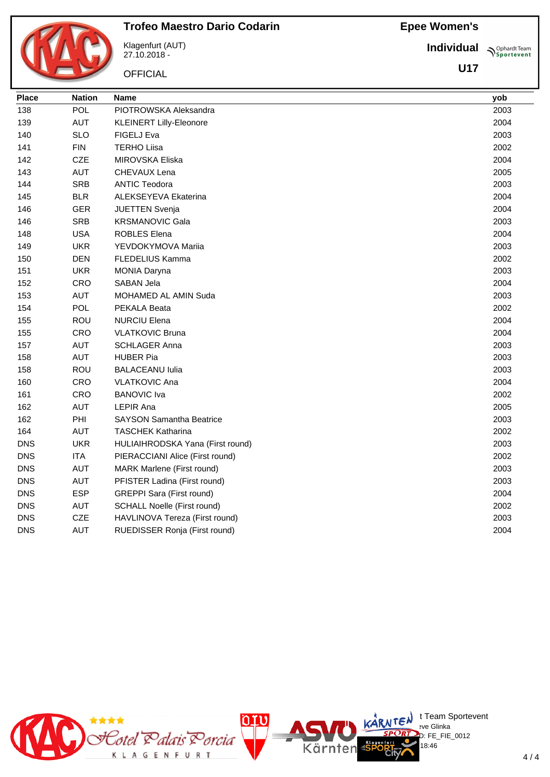**Individual Supplemant** Team

## **Trofeo Maestro Dario Codarin**

Klagenfurt (AUT) 27.10.2018 -

|               | <b>OFFICIAL</b>                | U17  |
|---------------|--------------------------------|------|
| <b>Nation</b> | Name                           | yob  |
| POL           | PIOTROWSKA Aleksandra          | 2003 |
| <b>AUT</b>    | <b>KLEINERT Lilly-Eleonore</b> | 2004 |
| <b>SLO</b>    | FIGELJ Eva                     | 2003 |
|               |                                |      |

| 139        | <b>AUT</b> | <b>KLEINERT Lilly-Eleonore</b>     | 2004 |
|------------|------------|------------------------------------|------|
| 140        | <b>SLO</b> | FIGELJ Eva                         | 2003 |
| 141        | <b>FIN</b> | <b>TERHO Liisa</b>                 | 2002 |
| 142        | <b>CZE</b> | MIROVSKA Eliska                    | 2004 |
| 143        | <b>AUT</b> | CHEVAUX Lena                       | 2005 |
| 144        | <b>SRB</b> | <b>ANTIC Teodora</b>               | 2003 |
| 145        | <b>BLR</b> | ALEKSEYEVA Ekaterina               | 2004 |
| 146        | <b>GER</b> | <b>JUETTEN Svenja</b>              | 2004 |
| 146        | <b>SRB</b> | <b>KRSMANOVIC Gala</b>             | 2003 |
| 148        | <b>USA</b> | <b>ROBLES Elena</b>                | 2004 |
| 149        | <b>UKR</b> | YEVDOKYMOVA Mariia                 | 2003 |
| 150        | <b>DEN</b> | <b>FLEDELIUS Kamma</b>             | 2002 |
| 151        | <b>UKR</b> | <b>MONIA Daryna</b>                | 2003 |
| 152        | <b>CRO</b> | SABAN Jela                         | 2004 |
| 153        | <b>AUT</b> | MOHAMED AL AMIN Suda               | 2003 |
| 154        | <b>POL</b> | PEKALA Beata                       | 2002 |
| 155        | ROU        | <b>NURCIU Elena</b>                | 2004 |
| 155        | CRO        | <b>VLATKOVIC Bruna</b>             | 2004 |
| 157        | <b>AUT</b> | <b>SCHLAGER Anna</b>               | 2003 |
| 158        | <b>AUT</b> | <b>HUBER Pia</b>                   | 2003 |
| 158        | ROU        | <b>BALACEANU Iulia</b>             | 2003 |
| 160        | CRO        | <b>VLATKOVIC Ana</b>               | 2004 |
| 161        | CRO        | <b>BANOVIC Iva</b>                 | 2002 |
| 162        | <b>AUT</b> | <b>LEPIR Ana</b>                   | 2005 |
| 162        | PHI        | <b>SAYSON Samantha Beatrice</b>    | 2003 |
| 164        | <b>AUT</b> | <b>TASCHEK Katharina</b>           | 2002 |
| <b>DNS</b> | <b>UKR</b> | HULIAIHRODSKA Yana (First round)   | 2003 |
| <b>DNS</b> | <b>ITA</b> | PIERACCIANI Alice (First round)    | 2002 |
| <b>DNS</b> | <b>AUT</b> | MARK Marlene (First round)         | 2003 |
| <b>DNS</b> | <b>AUT</b> | PFISTER Ladina (First round)       | 2003 |
| <b>DNS</b> | <b>ESP</b> | <b>GREPPI Sara (First round)</b>   | 2004 |
| <b>DNS</b> | <b>AUT</b> | <b>SCHALL Noelle (First round)</b> | 2002 |
| <b>DNS</b> | <b>CZE</b> | HAVLINOVA Tereza (First round)     | 2003 |
| <b>DNS</b> | <b>AUT</b> | RUEDISSER Ronja (First round)      | 2004 |
|            |            |                                    |      |

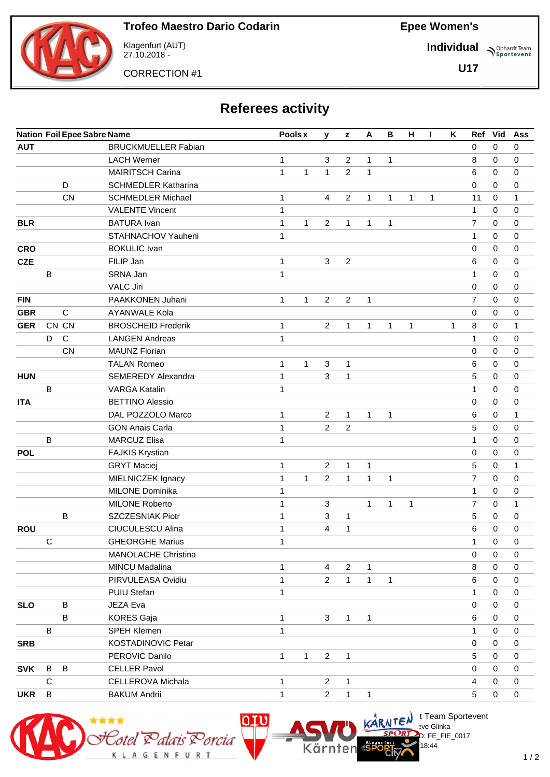

Klagenfurt (AUT) 27.10.2018 -

CORRECTION #1

**Individual**

**U17**

**Sportevent** 

# **Referees activity**

|            |             |              | <b>Nation Foil Epee Sabre Name</b> |              | $\, {\bf B}$<br>н<br>Κ<br>Ref<br>Pools x<br>A<br>L<br>y<br>z |                |                |              |              | Vid          | Ass |   |                |   |              |
|------------|-------------|--------------|------------------------------------|--------------|--------------------------------------------------------------|----------------|----------------|--------------|--------------|--------------|-----|---|----------------|---|--------------|
| <b>AUT</b> |             |              | <b>BRUCKMUELLER Fabian</b>         |              |                                                              |                |                |              |              |              |     |   | 0              | 0 | 0            |
|            |             |              | <b>LACH Werner</b>                 | 1            |                                                              | 3              | $\overline{2}$ | $\mathbf{1}$ | $\mathbf{1}$ |              |     |   | 8              | 0 | 0            |
|            |             |              | <b>MAIRITSCH Carina</b>            | $\mathbf 1$  | 1                                                            | $\mathbf{1}$   | $\overline{2}$ | $\mathbf{1}$ |              |              |     |   | 6              | 0 | 0            |
|            |             | D            | <b>SCHMEDLER Katharina</b>         |              |                                                              |                |                |              |              |              |     |   | 0              | 0 | 0            |
|            |             | CN           | <b>SCHMEDLER Michael</b>           | 1            |                                                              | 4              | $\overline{2}$ | $\mathbf{1}$ | $\mathbf{1}$ | $\mathbf{1}$ | 1   |   | 11             | 0 | 1            |
|            |             |              | <b>VALENTE Vincent</b>             | $\mathbf 1$  |                                                              |                |                |              |              |              |     |   | 1              | 0 | 0            |
| <b>BLR</b> |             |              | <b>BATURA</b> Ivan                 | $\mathbf 1$  | 1                                                            | 2              | $\mathbf{1}$   | 1            | 1            |              |     |   | 7              | 0 | 0            |
|            |             |              | STAHNACHOV Yauheni                 | 1            |                                                              |                |                |              |              |              |     |   | 1              | 0 | 0            |
| <b>CRO</b> |             |              | <b>BOKULIC Ivan</b>                |              |                                                              |                |                |              |              |              |     |   | 0              | 0 | 0            |
| <b>CZE</b> |             |              | FILIP Jan                          | 1            |                                                              | 3              | $\overline{c}$ |              |              |              |     |   | 6              | 0 | 0            |
|            | B           |              | SRNA Jan                           | $\mathbf{1}$ |                                                              |                |                |              |              |              |     |   | 1              | 0 | 0            |
|            |             |              | <b>VALC Jiri</b>                   |              |                                                              |                |                |              |              |              |     |   | 0              | 0 | 0            |
| <b>FIN</b> |             |              | PAAKKONEN Juhani                   | $\mathbf{1}$ | 1                                                            | $\overline{2}$ | $\overline{2}$ | 1            |              |              |     |   | 7              | 0 | 0            |
| <b>GBR</b> |             | $\mathsf{C}$ | <b>AYANWALE Kola</b>               |              |                                                              |                |                |              |              |              |     |   | 0              | 0 | 0            |
| <b>GER</b> |             | CN CN        | <b>BROSCHEID Frederik</b>          | 1            |                                                              | $\overline{2}$ | $\mathbf{1}$   | $\mathbf{1}$ | $\mathbf{1}$ | $\mathbf{1}$ |     | 1 | 8              | 0 | $\mathbf{1}$ |
|            | D           | $\mathsf C$  | <b>LANGEN Andreas</b>              | $\mathbf 1$  |                                                              |                |                |              |              |              |     |   | 1              | 0 | 0            |
|            |             | CN           | <b>MAUNZ Florian</b>               |              |                                                              |                |                |              |              |              |     |   | 0              | 0 | 0            |
|            |             |              | <b>TALAN Romeo</b>                 | 1            | 1                                                            | 3              | 1              |              |              |              |     |   | 6              | 0 | 0            |
| <b>HUN</b> |             |              | <b>SEMEREDY Alexandra</b>          | $\mathbf{1}$ |                                                              | 3              | $\mathbf{1}$   |              |              |              |     |   | 5              | 0 | 0            |
|            | B           |              | <b>VARGA Katalin</b>               | $\mathbf{1}$ |                                                              |                |                |              |              |              |     |   | 1              | 0 | 0            |
| <b>ITA</b> |             |              | <b>BETTINO Alessio</b>             |              |                                                              |                |                |              |              |              |     |   | 0              | 0 | 0            |
|            |             |              | DAL POZZOLO Marco                  | 1            |                                                              | 2              | $\mathbf{1}$   | $\mathbf{1}$ | $\mathbf{1}$ |              |     |   | 6              | 0 | 1            |
|            |             |              | <b>GON Anais Carla</b>             | $\mathbf 1$  |                                                              | 2              | 2              |              |              |              |     |   | 5              | 0 | 0            |
|            | B           |              | <b>MARCUZ Elisa</b>                | $\mathbf{1}$ |                                                              |                |                |              |              |              |     |   | 1              | 0 | 0            |
| <b>POL</b> |             |              | FAJKIS Krystian                    |              |                                                              |                |                |              |              |              |     |   | 0              | 0 | 0            |
|            |             |              | <b>GRYT Maciej</b>                 | 1            |                                                              | $\overline{2}$ | 1              | 1            |              |              |     |   | 5              | 0 | 1            |
|            |             |              | MIELNICZEK Ignacy                  | 1            | 1                                                            | 2              | $\mathbf{1}$   | $\mathbf{1}$ | 1            |              |     |   | 7              | 0 | 0            |
|            |             |              | <b>MILONE Dominika</b>             | 1            |                                                              |                |                |              |              |              |     |   | 1              | 0 | 0            |
|            |             |              | MILONE Roberto                     | $\mathbf 1$  |                                                              | 3              |                | $\mathbf{1}$ | 1            | $\mathbf{1}$ |     |   | $\overline{7}$ | 0 | 1            |
|            |             | B            | SZCZESNIAK Piotr                   | $\mathbf 1$  |                                                              | 3              | 1              |              |              |              |     |   | 5              | 0 | 0            |
| <b>ROU</b> |             |              | CIUCULESCU Alina                   | $\mathbf{1}$ |                                                              | 4              | 1              |              |              |              |     |   | 6              | 0 | 0            |
|            | $\mathsf C$ |              | <b>GHEORGHE Marius</b>             | $\mathbf 1$  |                                                              |                |                |              |              |              |     |   | 1              | 0 | 0            |
|            |             |              | <b>MANOLACHE Christina</b>         |              |                                                              |                |                |              |              |              |     |   | 0              | 0 | 0            |
|            |             |              | MINCU Madalina                     | 1            |                                                              | 4              | $\overline{2}$ | 1            |              |              |     |   | 8              | 0 | 0            |
|            |             |              | PIRVULEASA Ovidiu                  | 1            |                                                              | $\overline{2}$ | $\mathbf{1}$   | $\mathbf{1}$ | $\mathbf{1}$ |              |     |   | 6              | 0 | 0            |
|            |             |              | PUIU Stefan                        | $\mathbf{1}$ |                                                              |                |                |              |              |              |     |   | 1              | 0 | 0            |
| <b>SLO</b> |             | B            | JEZA Eva                           |              |                                                              |                |                |              |              |              |     |   | 0              | 0 | 0            |
|            |             | B            | <b>KORES Gaja</b>                  | 1            |                                                              | 3              | $\mathbf{1}$   | 1            |              |              |     |   | 6              | 0 | 0            |
|            | B           |              | SPEH Klemen                        | 1            |                                                              |                |                |              |              |              |     |   | 1              | 0 | 0            |
| <b>SRB</b> |             |              | KOSTADINOVIC Petar                 |              |                                                              |                |                |              |              |              |     |   | 0              | 0 | 0            |
|            |             |              | PEROVIC Danilo                     | $\mathbf{1}$ | $\mathbf{1}$                                                 | $\overline{2}$ | $\mathbf{1}$   |              |              |              |     |   | 5              | 0 | 0            |
| <b>SVK</b> | В           | $\sf B$      | <b>CELLER Pavol</b>                |              |                                                              |                |                |              |              |              |     |   | 0              | 0 | 0            |
|            | С           |              | CELLEROVA Michala                  | 1            |                                                              | $\overline{2}$ | $\mathbf{1}$   |              |              |              |     |   | 4              | 0 | 0            |
| <b>UKR</b> | B           |              | <b>BAKUM Andrii</b>                | 1            |                                                              | $\overline{2}$ | $\mathbf{1}$   | $\mathbf{1}$ |              |              |     |   | 5              | 0 | 0            |



 $\bigcup_{v \in \mathcal{F}} \mathbb{I}$  Team Sportevent

18:44

 $D: FE$  FIE 0017

**N'Y'License:** Bye Glinka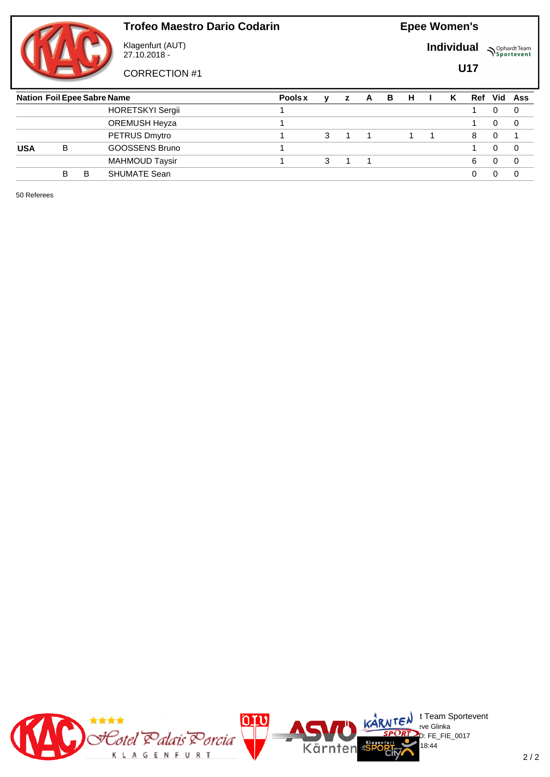

Klagenfurt (AUT) 27.10.2018 -

CORRECTION #1

**Epee Women's**

**Individual Prophardt Team** 

**U17**

| <b>Nation Foil Epee Sabre Name</b> |   |   |                         | Pools x | v | z | A | в | н | Κ | Vid<br>Ref |          |          |  |
|------------------------------------|---|---|-------------------------|---------|---|---|---|---|---|---|------------|----------|----------|--|
|                                    |   |   | <b>HORETSKYI Sergii</b> |         |   |   |   |   |   |   |            |          | 0        |  |
|                                    |   |   | OREMUSH Heyza           |         |   |   |   |   |   |   |            | $\Omega$ | 0        |  |
|                                    |   |   | PETRUS Dmytro           |         | 3 |   |   |   |   |   | 8          | 0        |          |  |
| <b>USA</b>                         | B |   | GOOSSENS Bruno          |         |   |   |   |   |   |   |            |          | $\Omega$ |  |
|                                    |   |   | <b>MAHMOUD Taysir</b>   |         |   |   |   |   |   |   | 6          |          | $\Omega$ |  |
|                                    | B | B | <b>SHUMATE Sean</b>     |         |   |   |   |   |   |   |            |          |          |  |

50 Referees